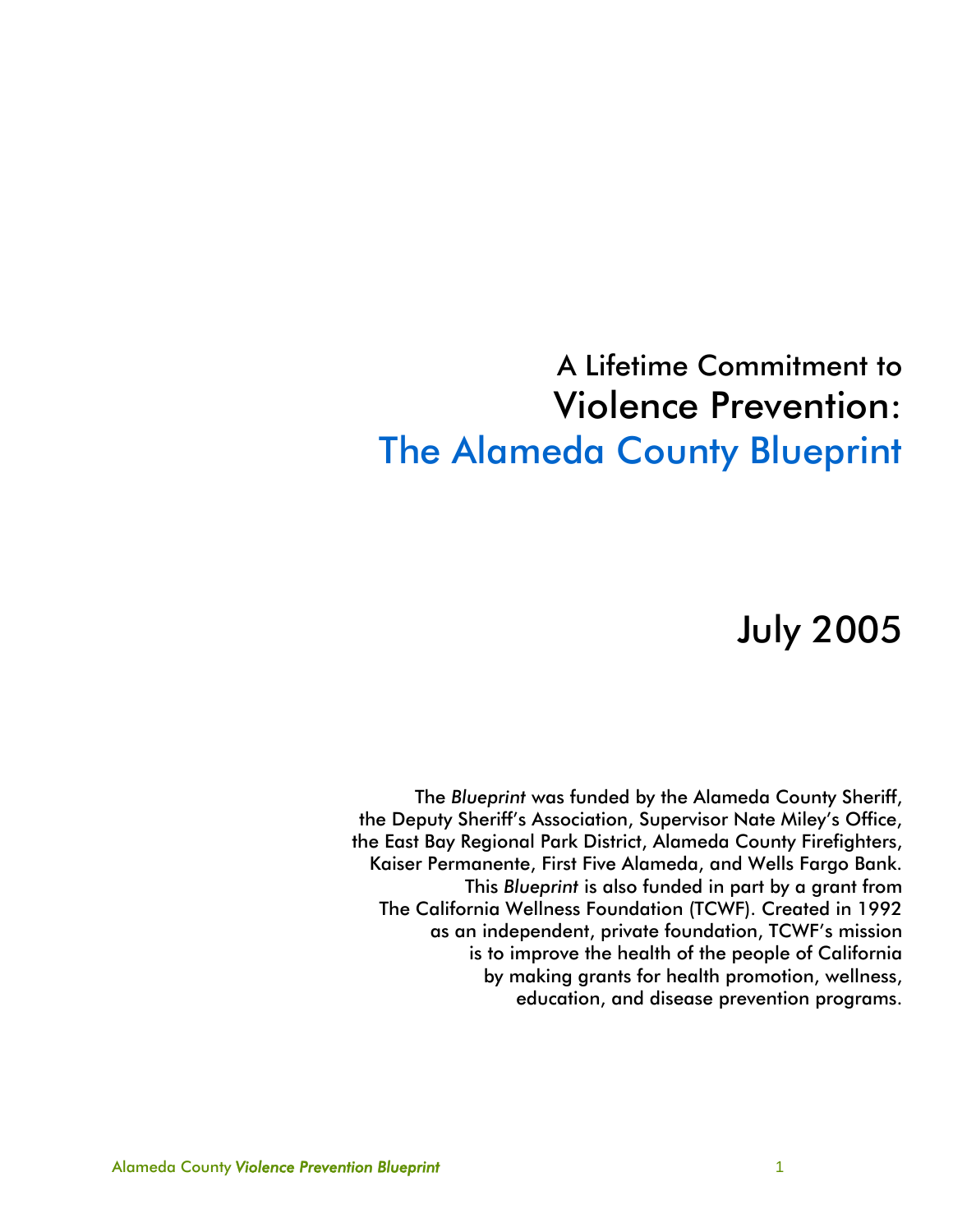## A Lifetime Commitment to Violence Prevention: The Alameda County Blueprint

# July 2005

The *Blueprint* was funded by the Alameda County Sheriff, the Deputy Sheriff's Association, Supervisor Nate Miley's Office, the East Bay Regional Park District, Alameda County Firefighters, Kaiser Permanente, First Five Alameda, and Wells Fargo Bank. This *Blueprint* is also funded in part by a grant from The California Wellness Foundation (TCWF). Created in 1992 as an independent, private foundation, TCWF's mission is to improve the health of the people of California by making grants for health promotion, wellness, education, and disease prevention programs.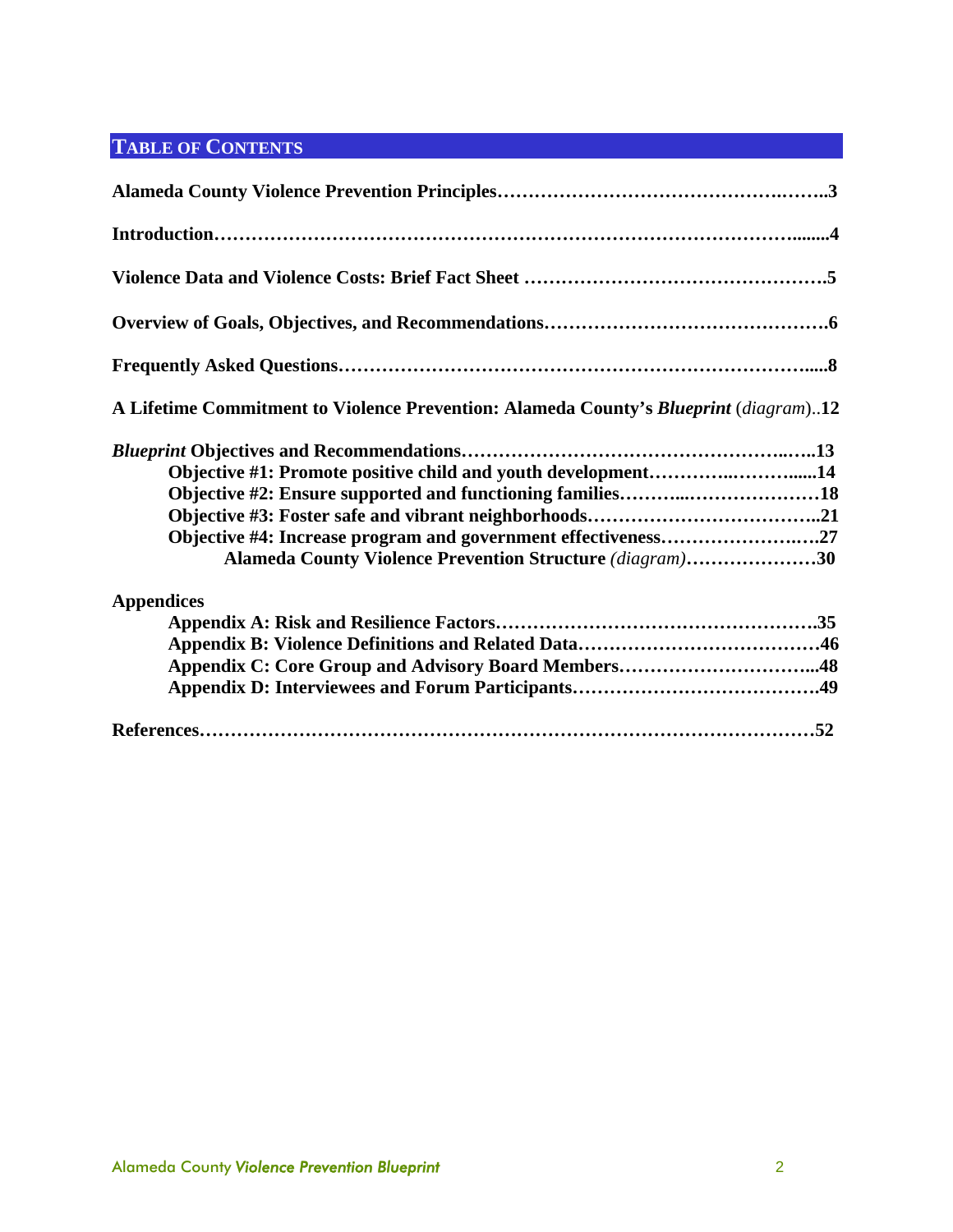### **TABLE OF CONTENTS**

| A Lifetime Commitment to Violence Prevention: Alameda County's Blueprint (diagram)12 |
|--------------------------------------------------------------------------------------|
|                                                                                      |
| Objective #1: Promote positive child and youth development14                         |
| Objective #2: Ensure supported and functioning families18                            |
|                                                                                      |
| Objective #4: Increase program and government effectiveness27                        |
| Alameda County Violence Prevention Structure (diagram)30                             |
| <b>Appendices</b>                                                                    |
|                                                                                      |
|                                                                                      |
|                                                                                      |
|                                                                                      |
|                                                                                      |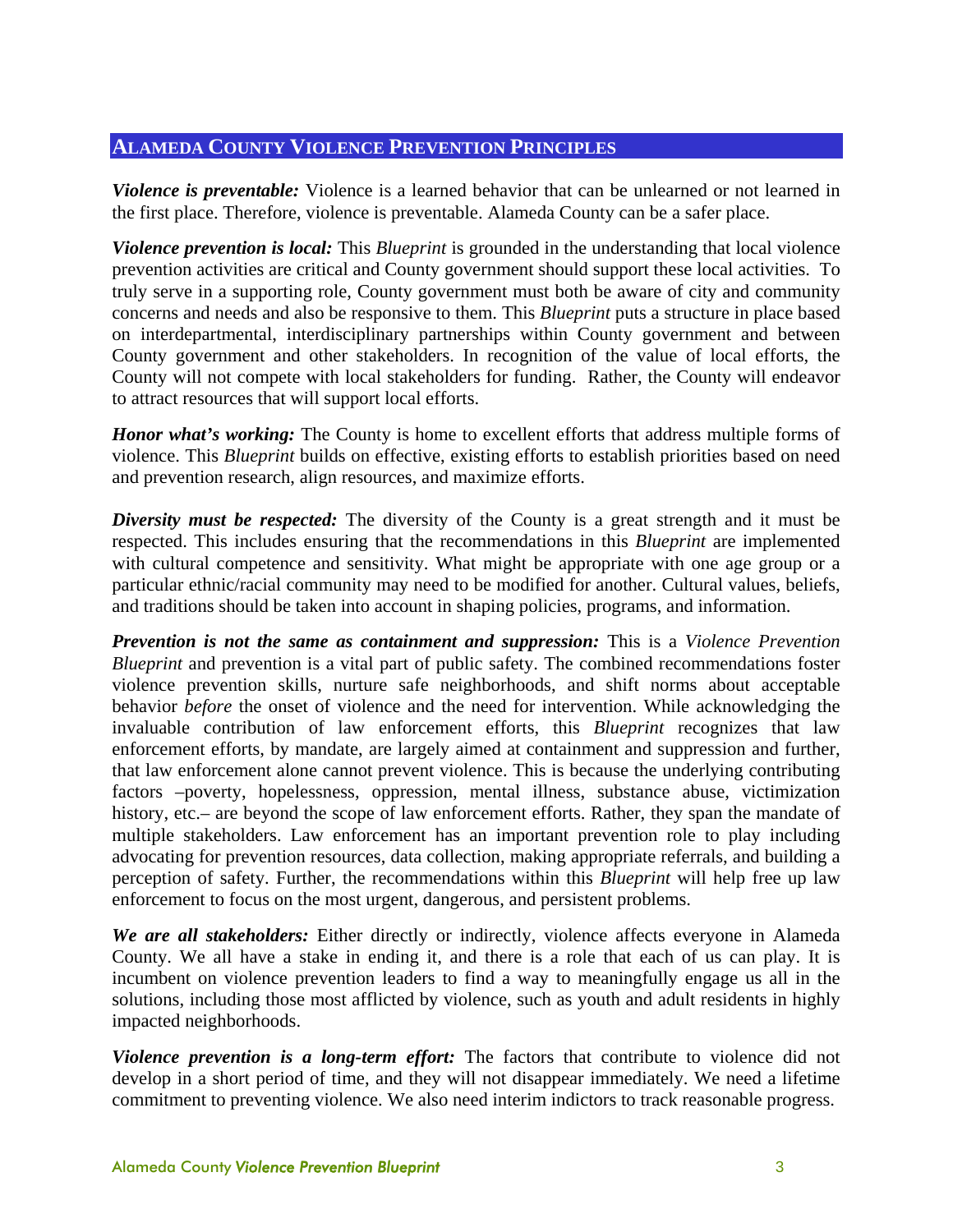#### **ALAMEDA COUNTY VIOLENCE PREVENTION PRINCIPLES**

*Violence is preventable:* Violence is a learned behavior that can be unlearned or not learned in the first place. Therefore, violence is preventable. Alameda County can be a safer place.

*Violence prevention is local:* This *Blueprint* is grounded in the understanding that local violence prevention activities are critical and County government should support these local activities. To truly serve in a supporting role, County government must both be aware of city and community concerns and needs and also be responsive to them. This *Blueprint* puts a structure in place based on interdepartmental, interdisciplinary partnerships within County government and between County government and other stakeholders. In recognition of the value of local efforts, the County will not compete with local stakeholders for funding. Rather, the County will endeavor to attract resources that will support local efforts.

*Honor what's working:* The County is home to excellent efforts that address multiple forms of violence. This *Blueprint* builds on effective, existing efforts to establish priorities based on need and prevention research, align resources, and maximize efforts.

*Diversity must be respected:* The diversity of the County is a great strength and it must be respected. This includes ensuring that the recommendations in this *Blueprint* are implemented with cultural competence and sensitivity. What might be appropriate with one age group or a particular ethnic/racial community may need to be modified for another. Cultural values, beliefs, and traditions should be taken into account in shaping policies, programs, and information.

*Prevention is not the same as containment and suppression:* This is a *Violence Prevention Blueprint* and prevention is a vital part of public safety. The combined recommendations foster violence prevention skills, nurture safe neighborhoods, and shift norms about acceptable behavior *before* the onset of violence and the need for intervention. While acknowledging the invaluable contribution of law enforcement efforts, this *Blueprint* recognizes that law enforcement efforts, by mandate, are largely aimed at containment and suppression and further, that law enforcement alone cannot prevent violence. This is because the underlying contributing factors –poverty, hopelessness, oppression, mental illness, substance abuse, victimization history, etc.– are beyond the scope of law enforcement efforts. Rather, they span the mandate of multiple stakeholders. Law enforcement has an important prevention role to play including advocating for prevention resources, data collection, making appropriate referrals, and building a perception of safety. Further, the recommendations within this *Blueprint* will help free up law enforcement to focus on the most urgent, dangerous, and persistent problems.

*We are all stakeholders:* Either directly or indirectly, violence affects everyone in Alameda County. We all have a stake in ending it, and there is a role that each of us can play. It is incumbent on violence prevention leaders to find a way to meaningfully engage us all in the solutions, including those most afflicted by violence, such as youth and adult residents in highly impacted neighborhoods.

*Violence prevention is a long-term effort:* The factors that contribute to violence did not develop in a short period of time, and they will not disappear immediately. We need a lifetime commitment to preventing violence. We also need interim indictors to track reasonable progress.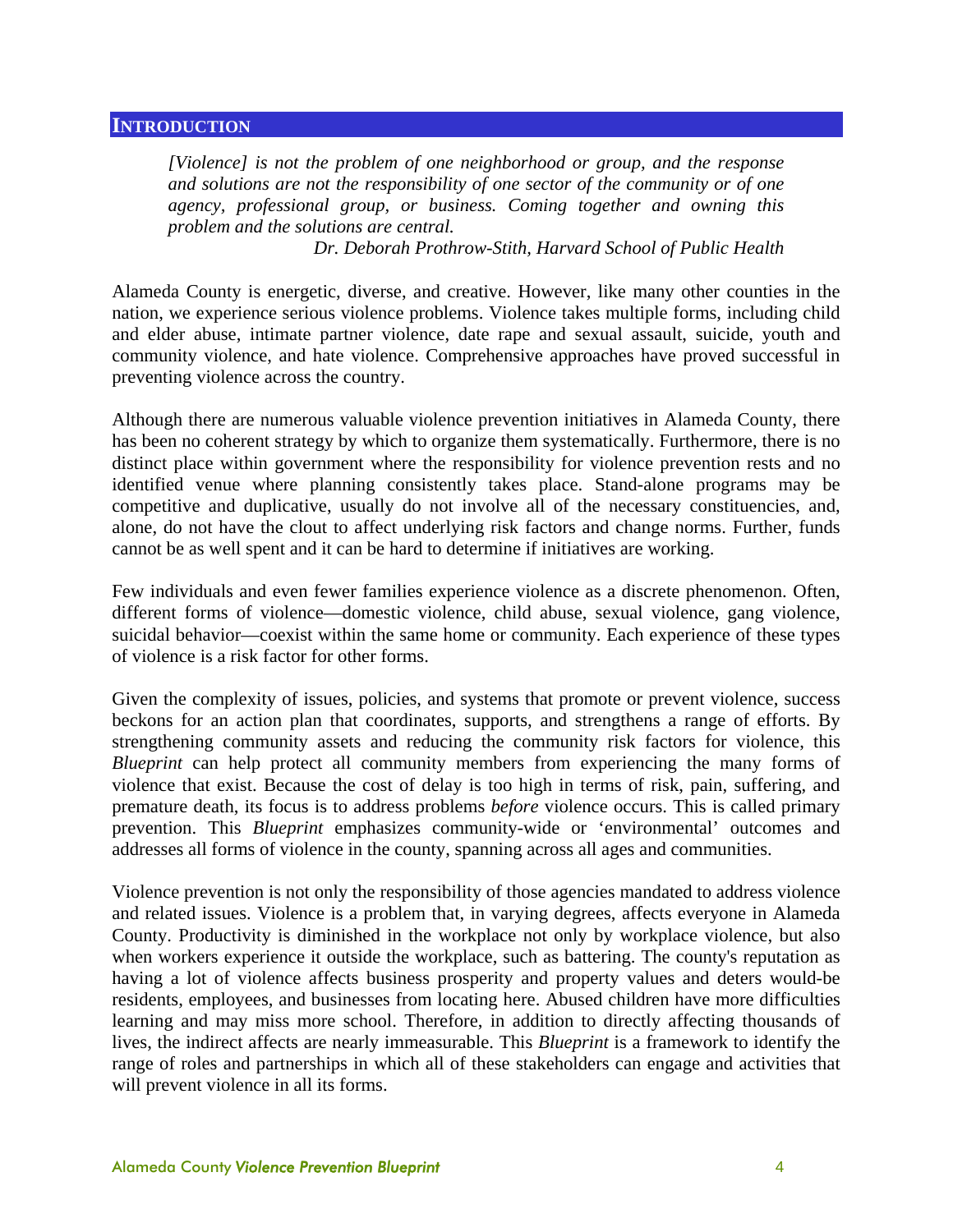#### **INTRODUCTION**

*[Violence] is not the problem of one neighborhood or group, and the response and solutions are not the responsibility of one sector of the community or of one agency, professional group, or business. Coming together and owning this problem and the solutions are central.* 

*Dr. Deborah Prothrow-Stith, Harvard School of Public Health* 

Alameda County is energetic, diverse, and creative. However, like many other counties in the nation, we experience serious violence problems. Violence takes multiple forms, including child and elder abuse, intimate partner violence, date rape and sexual assault, suicide, youth and community violence, and hate violence. Comprehensive approaches have proved successful in preventing violence across the country.

Although there are numerous valuable violence prevention initiatives in Alameda County, there has been no coherent strategy by which to organize them systematically. Furthermore, there is no distinct place within government where the responsibility for violence prevention rests and no identified venue where planning consistently takes place. Stand-alone programs may be competitive and duplicative, usually do not involve all of the necessary constituencies, and, alone, do not have the clout to affect underlying risk factors and change norms. Further, funds cannot be as well spent and it can be hard to determine if initiatives are working.

Few individuals and even fewer families experience violence as a discrete phenomenon. Often, different forms of violence—domestic violence, child abuse, sexual violence, gang violence, suicidal behavior—coexist within the same home or community. Each experience of these types of violence is a risk factor for other forms.

Given the complexity of issues, policies, and systems that promote or prevent violence, success beckons for an action plan that coordinates, supports, and strengthens a range of efforts. By strengthening community assets and reducing the community risk factors for violence, this *Blueprint* can help protect all community members from experiencing the many forms of violence that exist. Because the cost of delay is too high in terms of risk, pain, suffering, and premature death, its focus is to address problems *before* violence occurs. This is called primary prevention. This *Blueprint* emphasizes community-wide or 'environmental' outcomes and addresses all forms of violence in the county, spanning across all ages and communities.

Violence prevention is not only the responsibility of those agencies mandated to address violence and related issues. Violence is a problem that, in varying degrees, affects everyone in Alameda County. Productivity is diminished in the workplace not only by workplace violence, but also when workers experience it outside the workplace, such as battering. The county's reputation as having a lot of violence affects business prosperity and property values and deters would-be residents, employees, and businesses from locating here. Abused children have more difficulties learning and may miss more school. Therefore, in addition to directly affecting thousands of lives, the indirect affects are nearly immeasurable. This *Blueprint* is a framework to identify the range of roles and partnerships in which all of these stakeholders can engage and activities that will prevent violence in all its forms.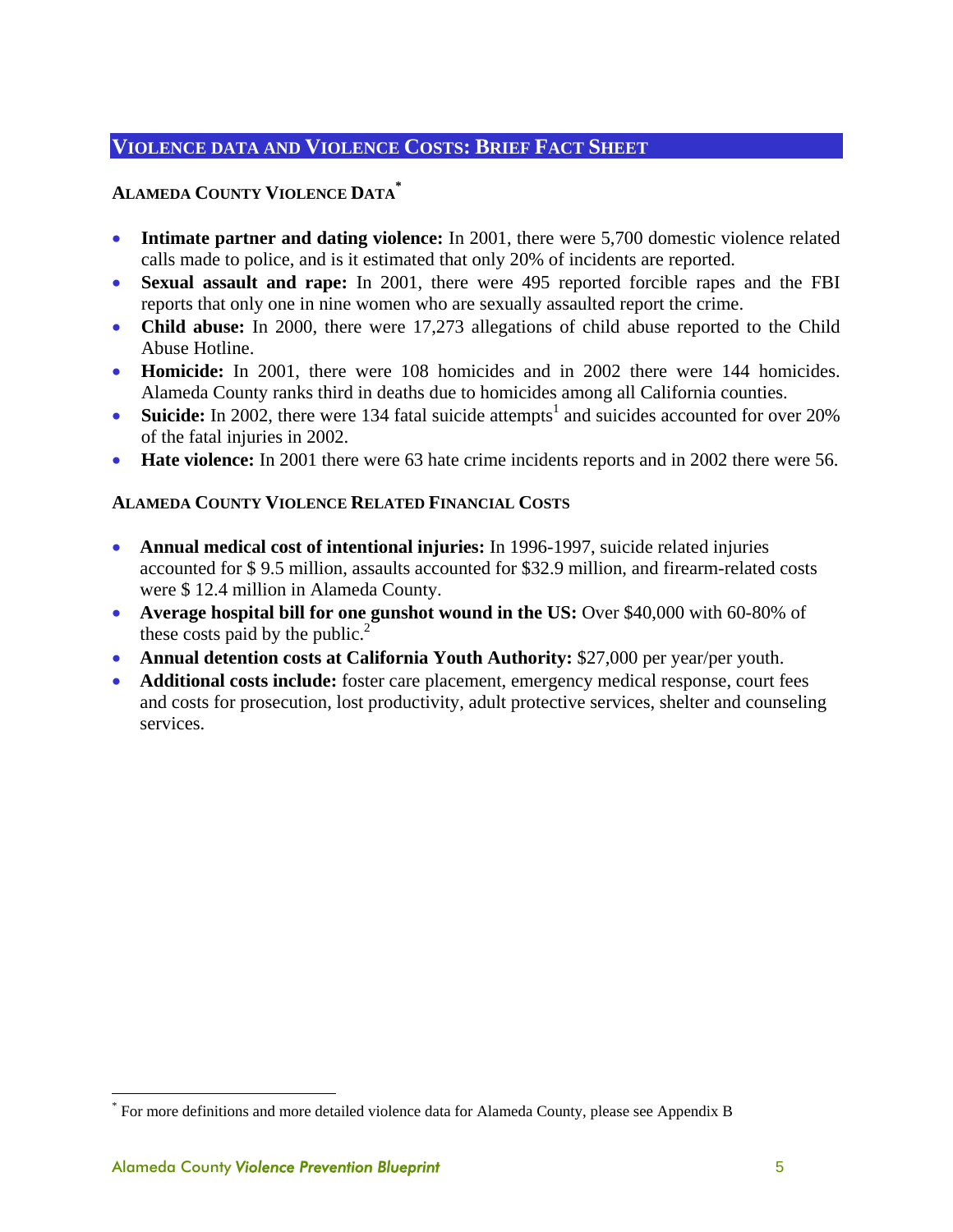### **VIOLENCE DATA AND VIOLENCE COSTS: BRIEF FACT SHEET**

#### **ALAMEDA COUNTY VIOLENCE DATA\***

- **Intimate partner and dating violence:** In 2001, there were 5,700 domestic violence related calls made to police, and is it estimated that only 20% of incidents are reported.
- **Sexual assault and rape:** In 2001, there were 495 reported forcible rapes and the FBI reports that only one in nine women who are sexually assaulted report the crime.
- **Child abuse:** In 2000, there were 17,273 allegations of child abuse reported to the Child Abuse Hotline.
- **Homicide:** In 2001, there were 108 homicides and in 2002 there were 144 homicides. Alameda County ranks third in deaths due to homicides among all California counties.
- **Suicide:** In 2002, there were 134 fatal suicide attempts<sup>1</sup> and suicides accounted for over 20% of the fatal injuries in 2002.
- **Hate violence:** In 2001 there were 63 hate crime incidents reports and in 2002 there were 56.

#### **ALAMEDA COUNTY VIOLENCE RELATED FINANCIAL COSTS**

- **Annual medical cost of intentional injuries:** In 1996-1997, suicide related injuries accounted for \$ 9.5 million, assaults accounted for \$32.9 million, and firearm-related costs were \$ 12.4 million in Alameda County.
- **Average hospital bill for one gunshot wound in the US:** Over \$40,000 with 60-80% of these costs paid by the public. $<sup>2</sup>$ </sup>
- **Annual detention costs at California Youth Authority:** \$27,000 per year/per youth.
- **Additional costs include:** foster care placement, emergency medical response, court fees and costs for prosecution, lost productivity, adult protective services, shelter and counseling services.

<u>.</u>

<sup>\*</sup> For more definitions and more detailed violence data for Alameda County, please see Appendix B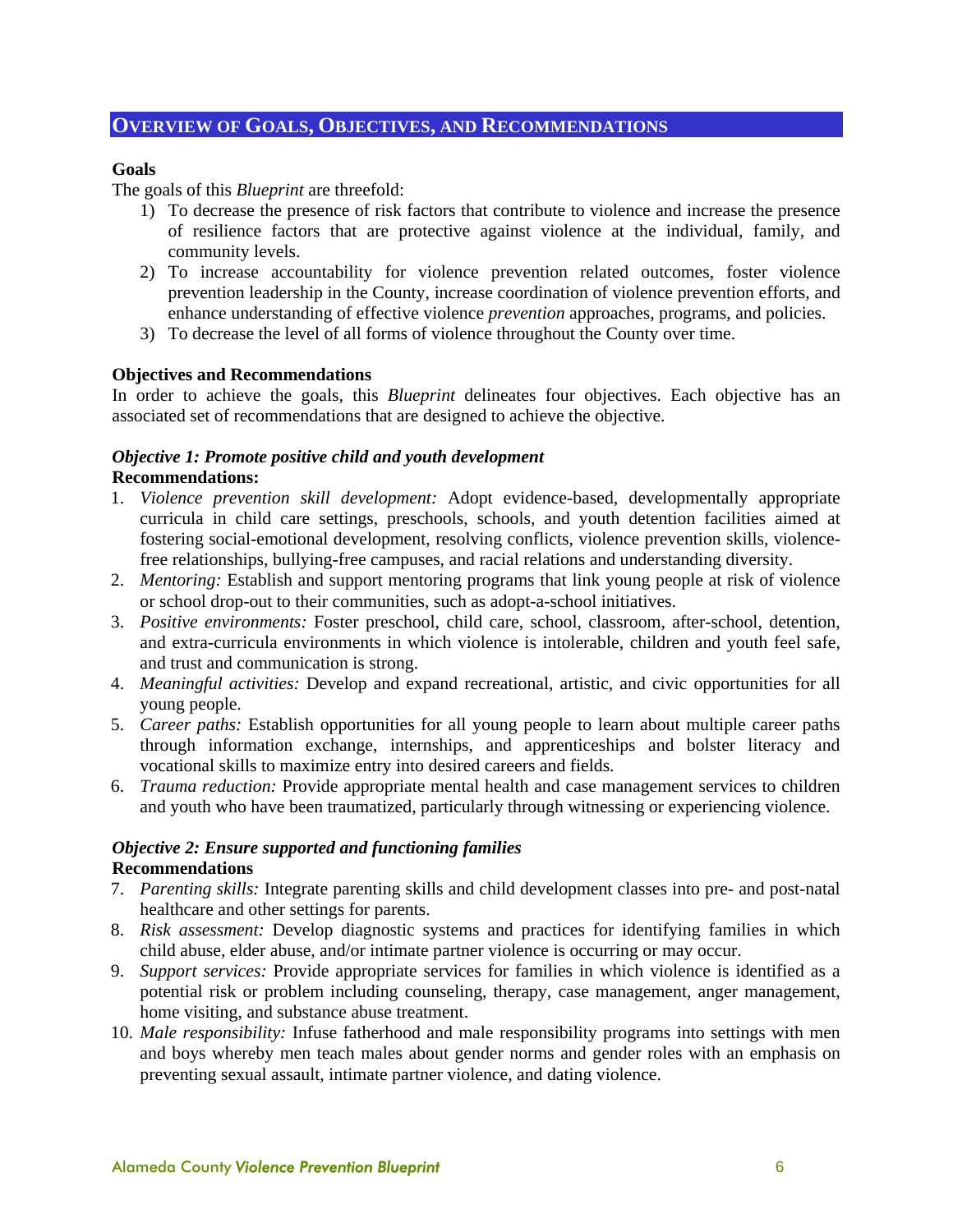#### **OVERVIEW OF GOALS, OBJECTIVES, AND RECOMMENDATIONS**

#### **Goals**

The goals of this *Blueprint* are threefold:

- 1) To decrease the presence of risk factors that contribute to violence and increase the presence of resilience factors that are protective against violence at the individual, family, and community levels.
- 2) To increase accountability for violence prevention related outcomes, foster violence prevention leadership in the County, increase coordination of violence prevention efforts, and enhance understanding of effective violence *prevention* approaches, programs, and policies.
- 3) To decrease the level of all forms of violence throughout the County over time.

#### **Objectives and Recommendations**

In order to achieve the goals, this *Blueprint* delineates four objectives. Each objective has an associated set of recommendations that are designed to achieve the objective.

#### *Objective 1: Promote positive child and youth development*

#### **Recommendations:**

- 1. *Violence prevention skill development:* Adopt evidence-based, developmentally appropriate curricula in child care settings, preschools, schools, and youth detention facilities aimed at fostering social-emotional development, resolving conflicts, violence prevention skills, violencefree relationships, bullying-free campuses, and racial relations and understanding diversity.
- 2. *Mentoring:* Establish and support mentoring programs that link young people at risk of violence or school drop-out to their communities, such as adopt-a-school initiatives.
- 3. *Positive environments:* Foster preschool, child care, school, classroom, after-school, detention, and extra-curricula environments in which violence is intolerable, children and youth feel safe, and trust and communication is strong.
- 4. *Meaningful activities:* Develop and expand recreational, artistic, and civic opportunities for all young people.
- 5. *Career paths:* Establish opportunities for all young people to learn about multiple career paths through information exchange, internships, and apprenticeships and bolster literacy and vocational skills to maximize entry into desired careers and fields.
- 6. *Trauma reduction:* Provide appropriate mental health and case management services to children and youth who have been traumatized, particularly through witnessing or experiencing violence.

#### *Objective 2: Ensure supported and functioning families*  **Recommendations**

- 7. *Parenting skills:* Integrate parenting skills and child development classes into pre- and post-natal healthcare and other settings for parents.
- 8. *Risk assessment:* Develop diagnostic systems and practices for identifying families in which child abuse, elder abuse, and/or intimate partner violence is occurring or may occur.
- 9. *Support services:* Provide appropriate services for families in which violence is identified as a potential risk or problem including counseling, therapy, case management, anger management, home visiting, and substance abuse treatment.
- 10. *Male responsibility:* Infuse fatherhood and male responsibility programs into settings with men and boys whereby men teach males about gender norms and gender roles with an emphasis on preventing sexual assault, intimate partner violence, and dating violence.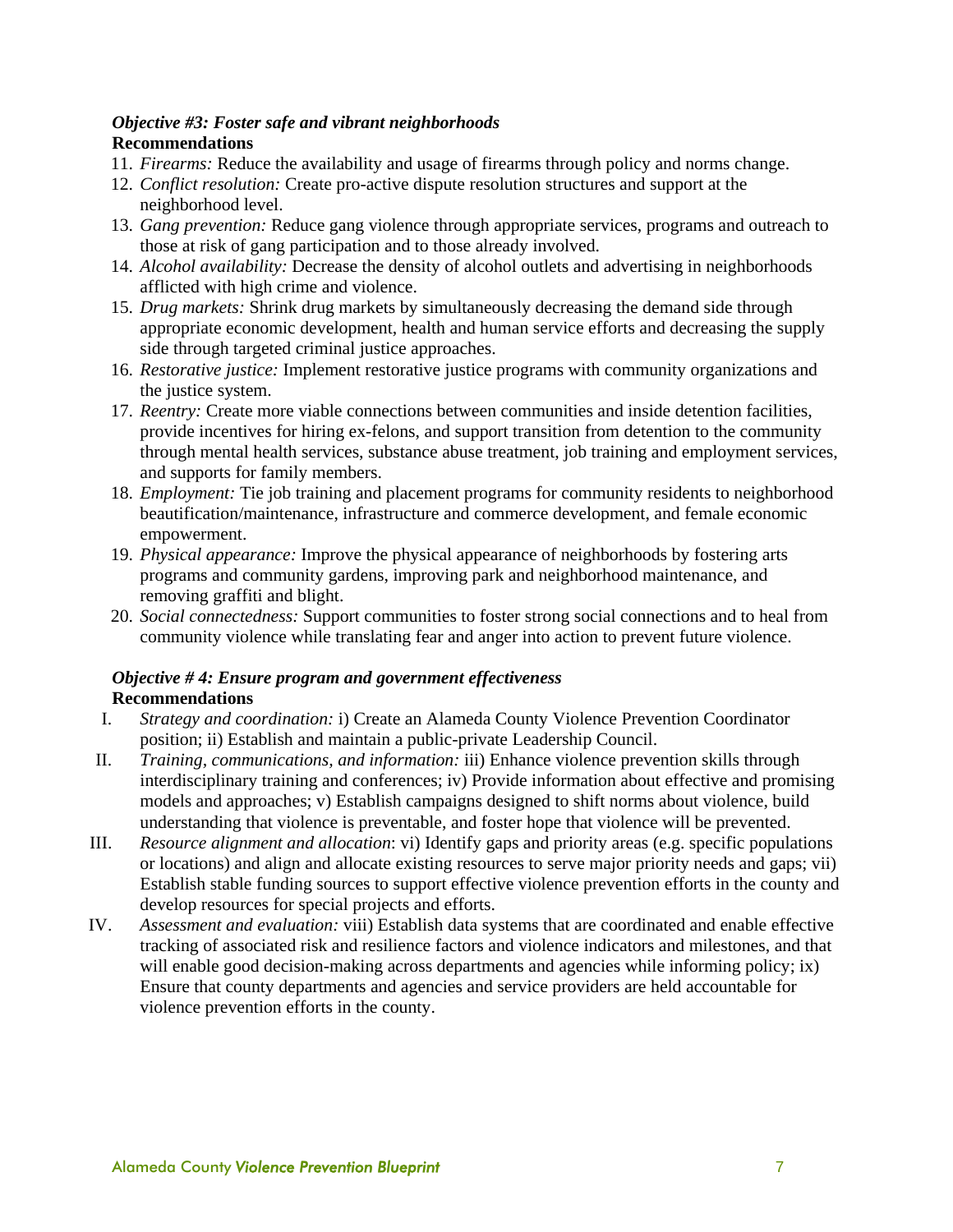#### *Objective #3: Foster safe and vibrant neighborhoods*

#### **Recommendations**

- 11. *Firearms:* Reduce the availability and usage of firearms through policy and norms change.
- 12. *Conflict resolution:* Create pro-active dispute resolution structures and support at the neighborhood level.
- 13. *Gang prevention:* Reduce gang violence through appropriate services, programs and outreach to those at risk of gang participation and to those already involved.
- 14. *Alcohol availability:* Decrease the density of alcohol outlets and advertising in neighborhoods afflicted with high crime and violence.
- 15. *Drug markets:* Shrink drug markets by simultaneously decreasing the demand side through appropriate economic development, health and human service efforts and decreasing the supply side through targeted criminal justice approaches.
- 16. *Restorative justice:* Implement restorative justice programs with community organizations and the justice system.
- 17. *Reentry:* Create more viable connections between communities and inside detention facilities, provide incentives for hiring ex-felons, and support transition from detention to the community through mental health services, substance abuse treatment, job training and employment services, and supports for family members.
- 18. *Employment:* Tie job training and placement programs for community residents to neighborhood beautification/maintenance, infrastructure and commerce development, and female economic empowerment.
- 19. *Physical appearance:* Improve the physical appearance of neighborhoods by fostering arts programs and community gardens, improving park and neighborhood maintenance, and removing graffiti and blight.
- 20. *Social connectedness:* Support communities to foster strong social connections and to heal from community violence while translating fear and anger into action to prevent future violence.

#### *Objective # 4: Ensure program and government effectiveness*  **Recommendations**

- I. *Strategy and coordination:* i) Create an Alameda County Violence Prevention Coordinator position; ii) Establish and maintain a public-private Leadership Council.
- II. *Training, communications, and information:* iii) Enhance violence prevention skills through interdisciplinary training and conferences; iv) Provide information about effective and promising models and approaches; v) Establish campaigns designed to shift norms about violence, build understanding that violence is preventable, and foster hope that violence will be prevented.
- III. *Resource alignment and allocation*: vi) Identify gaps and priority areas (e.g. specific populations or locations) and align and allocate existing resources to serve major priority needs and gaps; vii) Establish stable funding sources to support effective violence prevention efforts in the county and develop resources for special projects and efforts.
- IV. *Assessment and evaluation:* viii) Establish data systems that are coordinated and enable effective tracking of associated risk and resilience factors and violence indicators and milestones, and that will enable good decision-making across departments and agencies while informing policy; ix) Ensure that county departments and agencies and service providers are held accountable for violence prevention efforts in the county.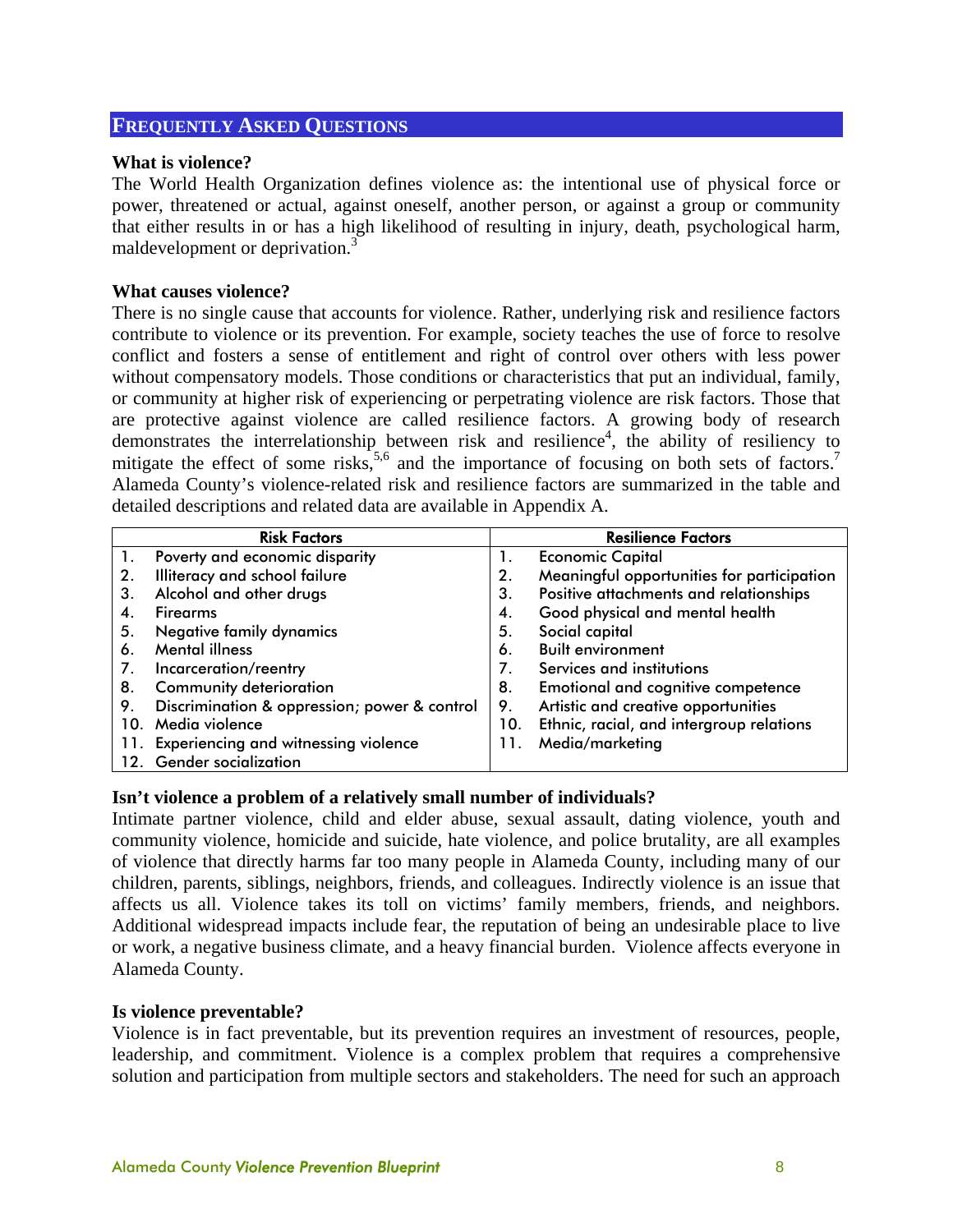#### **FREQUENTLY ASKED QUESTIONS**

#### **What is violence?**

The World Health Organization defines violence as: the intentional use of physical force or power, threatened or actual, against oneself, another person, or against a group or community that either results in or has a high likelihood of resulting in injury, death, psychological harm, maldevelopment or deprivation.<sup>3</sup>

#### **What causes violence?**

There is no single cause that accounts for violence. Rather, underlying risk and resilience factors contribute to violence or its prevention. For example, society teaches the use of force to resolve conflict and fosters a sense of entitlement and right of control over others with less power without compensatory models. Those conditions or characteristics that put an individual, family, or community at higher risk of experiencing or perpetrating violence are risk factors. Those that are protective against violence are called resilience factors. A growing body of research demonstrates the interrelationship between risk and resilience<sup>4</sup>, the ability of resiliency to mitigate the effect of some risks,<sup>5,6</sup> and the importance of focusing on both sets of factors.<sup>7</sup> Alameda County's violence-related risk and resilience factors are summarized in the table and detailed descriptions and related data are available in Appendix A.

| <b>Risk Factors</b> |                                              | <b>Resilience Factors</b> |                                            |
|---------------------|----------------------------------------------|---------------------------|--------------------------------------------|
| $\mathbf{1}$ .      | Poverty and economic disparity               | 1.                        | <b>Economic Capital</b>                    |
| 2.                  | Illiteracy and school failure                | 2.                        | Meaningful opportunities for participation |
| З.                  | Alcohol and other drugs                      | 3.                        | Positive attachments and relationships     |
| 4.                  | <b>Firearms</b>                              | 4.                        | Good physical and mental health            |
| 5.                  | Negative family dynamics                     | 5.                        | Social capital                             |
| 6.                  | <b>Mental illness</b>                        | 6.                        | <b>Built environment</b>                   |
| 7.                  | Incarceration/reentry                        | 7.                        | Services and institutions                  |
| 8.                  | <b>Community deterioration</b>               | 8.                        | <b>Emotional and cognitive competence</b>  |
| 9.                  | Discrimination & oppression; power & control | 9.                        | Artistic and creative opportunities        |
| 10.                 | Media violence                               | 10.                       | Ethnic, racial, and intergroup relations   |
| 11.                 | <b>Experiencing and witnessing violence</b>  | 11.                       | Media/marketing                            |
| 12.                 | <b>Gender socialization</b>                  |                           |                                            |

#### **Isn't violence a problem of a relatively small number of individuals?**

Intimate partner violence, child and elder abuse, sexual assault, dating violence, youth and community violence, homicide and suicide, hate violence, and police brutality, are all examples of violence that directly harms far too many people in Alameda County, including many of our children, parents, siblings, neighbors, friends, and colleagues. Indirectly violence is an issue that affects us all. Violence takes its toll on victims' family members, friends, and neighbors. Additional widespread impacts include fear, the reputation of being an undesirable place to live or work, a negative business climate, and a heavy financial burden. Violence affects everyone in Alameda County.

#### **Is violence preventable?**

Violence is in fact preventable, but its prevention requires an investment of resources, people, leadership, and commitment. Violence is a complex problem that requires a comprehensive solution and participation from multiple sectors and stakeholders. The need for such an approach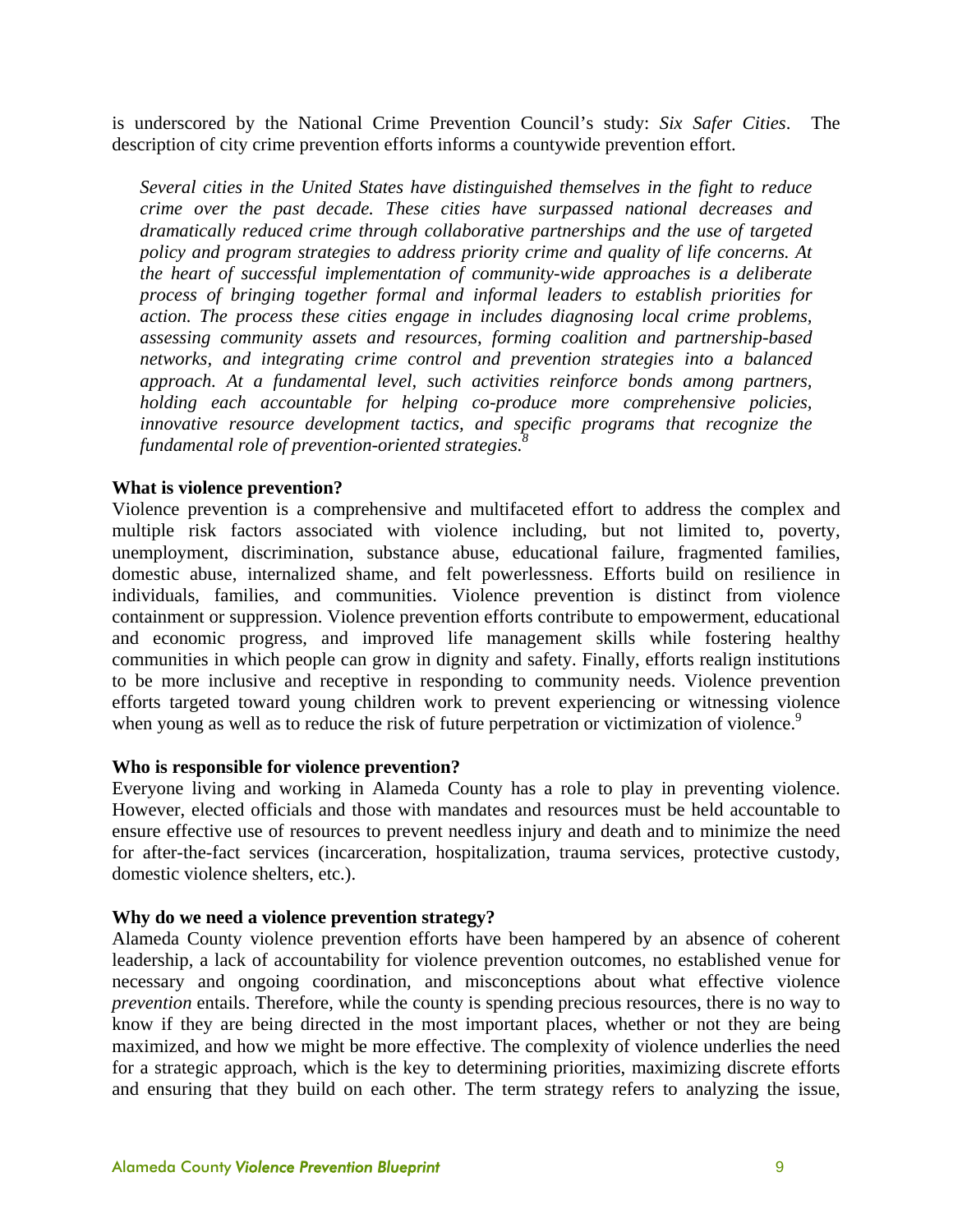is underscored by the National Crime Prevention Council's study: *Six Safer Cities*. The description of city crime prevention efforts informs a countywide prevention effort.

*Several cities in the United States have distinguished themselves in the fight to reduce crime over the past decade. These cities have surpassed national decreases and dramatically reduced crime through collaborative partnerships and the use of targeted policy and program strategies to address priority crime and quality of life concerns. At the heart of successful implementation of community-wide approaches is a deliberate process of bringing together formal and informal leaders to establish priorities for action. The process these cities engage in includes diagnosing local crime problems, assessing community assets and resources, forming coalition and partnership-based networks, and integrating crime control and prevention strategies into a balanced approach. At a fundamental level, such activities reinforce bonds among partners, holding each accountable for helping co-produce more comprehensive policies, innovative resource development tactics, and specific programs that recognize the fundamental role of prevention-oriented strategies.8*

#### **What is violence prevention?**

Violence prevention is a comprehensive and multifaceted effort to address the complex and multiple risk factors associated with violence including, but not limited to, poverty, unemployment, discrimination, substance abuse, educational failure, fragmented families, domestic abuse, internalized shame, and felt powerlessness. Efforts build on resilience in individuals, families, and communities. Violence prevention is distinct from violence containment or suppression. Violence prevention efforts contribute to empowerment, educational and economic progress, and improved life management skills while fostering healthy communities in which people can grow in dignity and safety. Finally, efforts realign institutions to be more inclusive and receptive in responding to community needs. Violence prevention efforts targeted toward young children work to prevent experiencing or witnessing violence when young as well as to reduce the risk of future perpetration or victimization of violence.<sup>9</sup>

#### **Who is responsible for violence prevention?**

Everyone living and working in Alameda County has a role to play in preventing violence. However, elected officials and those with mandates and resources must be held accountable to ensure effective use of resources to prevent needless injury and death and to minimize the need for after-the-fact services (incarceration, hospitalization, trauma services, protective custody, domestic violence shelters, etc.).

#### **Why do we need a violence prevention strategy?**

Alameda County violence prevention efforts have been hampered by an absence of coherent leadership, a lack of accountability for violence prevention outcomes, no established venue for necessary and ongoing coordination, and misconceptions about what effective violence *prevention* entails. Therefore, while the county is spending precious resources, there is no way to know if they are being directed in the most important places, whether or not they are being maximized, and how we might be more effective. The complexity of violence underlies the need for a strategic approach, which is the key to determining priorities, maximizing discrete efforts and ensuring that they build on each other. The term strategy refers to analyzing the issue,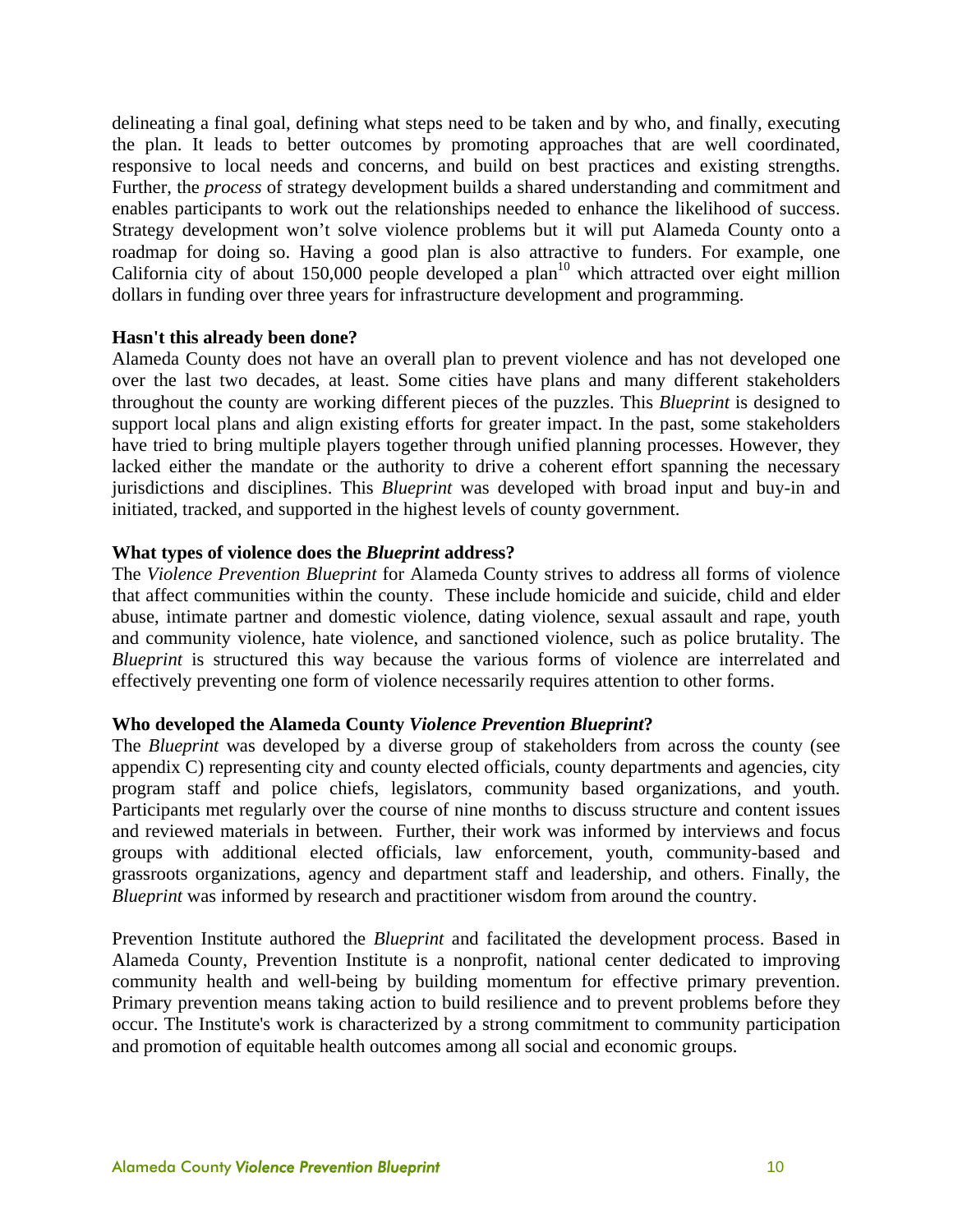delineating a final goal, defining what steps need to be taken and by who, and finally, executing the plan. It leads to better outcomes by promoting approaches that are well coordinated, responsive to local needs and concerns, and build on best practices and existing strengths. Further, the *process* of strategy development builds a shared understanding and commitment and enables participants to work out the relationships needed to enhance the likelihood of success. Strategy development won't solve violence problems but it will put Alameda County onto a roadmap for doing so. Having a good plan is also attractive to funders. For example, one California city of about  $150,000$  people developed a plan<sup>10</sup> which attracted over eight million dollars in funding over three years for infrastructure development and programming.

#### **Hasn't this already been done?**

Alameda County does not have an overall plan to prevent violence and has not developed one over the last two decades, at least. Some cities have plans and many different stakeholders throughout the county are working different pieces of the puzzles. This *Blueprint* is designed to support local plans and align existing efforts for greater impact. In the past, some stakeholders have tried to bring multiple players together through unified planning processes. However, they lacked either the mandate or the authority to drive a coherent effort spanning the necessary jurisdictions and disciplines. This *Blueprint* was developed with broad input and buy-in and initiated, tracked, and supported in the highest levels of county government.

#### **What types of violence does the** *Blueprint* **address?**

The *Violence Prevention Blueprint* for Alameda County strives to address all forms of violence that affect communities within the county. These include homicide and suicide, child and elder abuse, intimate partner and domestic violence, dating violence, sexual assault and rape, youth and community violence, hate violence, and sanctioned violence, such as police brutality. The *Blueprint* is structured this way because the various forms of violence are interrelated and effectively preventing one form of violence necessarily requires attention to other forms.

#### **Who developed the Alameda County** *Violence Prevention Blueprint***?**

The *Blueprint* was developed by a diverse group of stakeholders from across the county (see appendix C) representing city and county elected officials, county departments and agencies, city program staff and police chiefs, legislators, community based organizations, and youth. Participants met regularly over the course of nine months to discuss structure and content issues and reviewed materials in between. Further, their work was informed by interviews and focus groups with additional elected officials, law enforcement, youth, community-based and grassroots organizations, agency and department staff and leadership, and others. Finally, the *Blueprint* was informed by research and practitioner wisdom from around the country.

Prevention Institute authored the *Blueprint* and facilitated the development process. Based in Alameda County, Prevention Institute is a nonprofit, national center dedicated to improving community health and well-being by building momentum for effective primary prevention. Primary prevention means taking action to build resilience and to prevent problems before they occur. The Institute's work is characterized by a strong commitment to community participation and promotion of equitable health outcomes among all social and economic groups.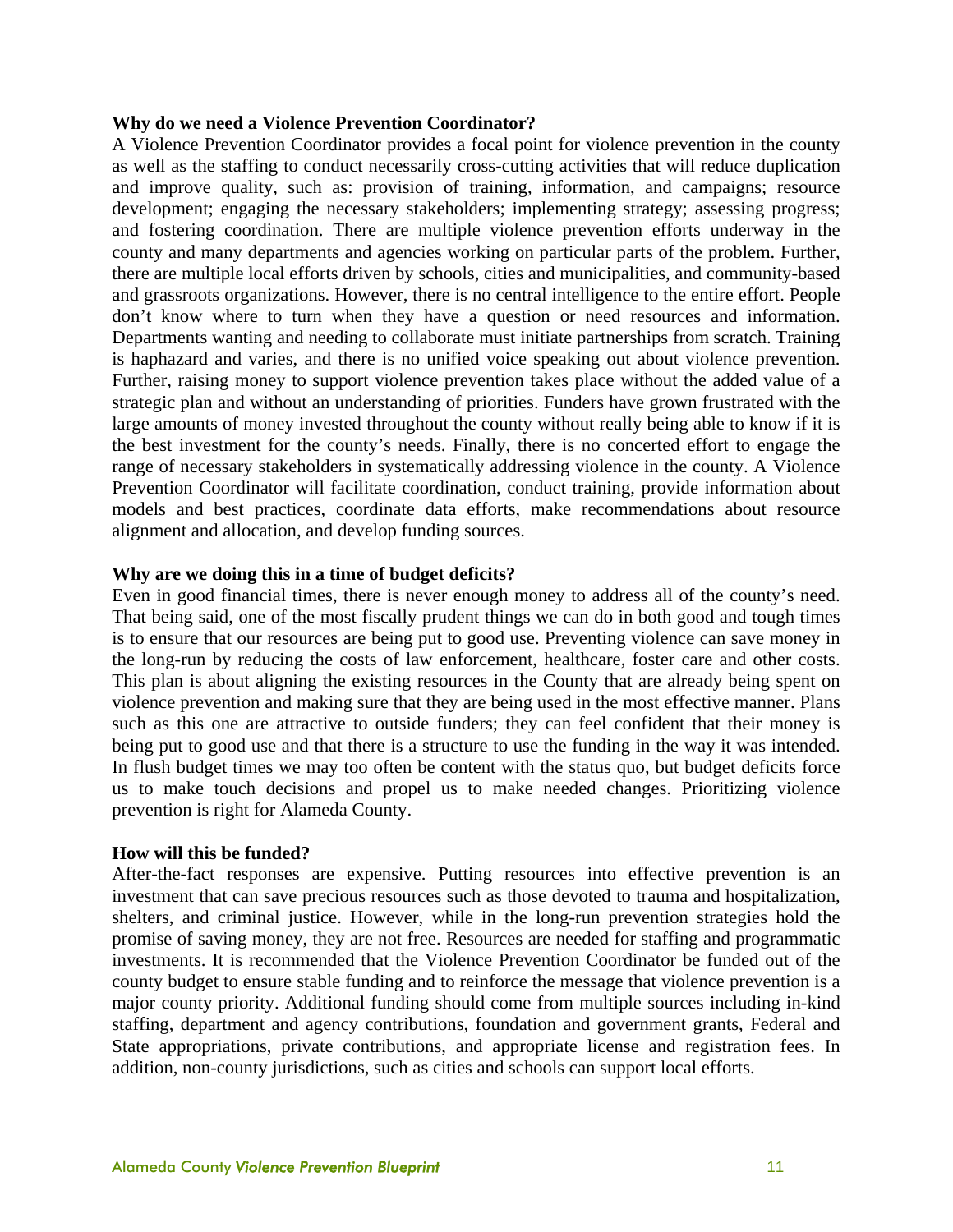#### **Why do we need a Violence Prevention Coordinator?**

A Violence Prevention Coordinator provides a focal point for violence prevention in the county as well as the staffing to conduct necessarily cross-cutting activities that will reduce duplication and improve quality, such as: provision of training, information, and campaigns; resource development; engaging the necessary stakeholders; implementing strategy; assessing progress; and fostering coordination. There are multiple violence prevention efforts underway in the county and many departments and agencies working on particular parts of the problem. Further, there are multiple local efforts driven by schools, cities and municipalities, and community-based and grassroots organizations. However, there is no central intelligence to the entire effort. People don't know where to turn when they have a question or need resources and information. Departments wanting and needing to collaborate must initiate partnerships from scratch. Training is haphazard and varies, and there is no unified voice speaking out about violence prevention. Further, raising money to support violence prevention takes place without the added value of a strategic plan and without an understanding of priorities. Funders have grown frustrated with the large amounts of money invested throughout the county without really being able to know if it is the best investment for the county's needs. Finally, there is no concerted effort to engage the range of necessary stakeholders in systematically addressing violence in the county. A Violence Prevention Coordinator will facilitate coordination, conduct training, provide information about models and best practices, coordinate data efforts, make recommendations about resource alignment and allocation, and develop funding sources.

#### **Why are we doing this in a time of budget deficits?**

Even in good financial times, there is never enough money to address all of the county's need. That being said, one of the most fiscally prudent things we can do in both good and tough times is to ensure that our resources are being put to good use. Preventing violence can save money in the long-run by reducing the costs of law enforcement, healthcare, foster care and other costs. This plan is about aligning the existing resources in the County that are already being spent on violence prevention and making sure that they are being used in the most effective manner. Plans such as this one are attractive to outside funders; they can feel confident that their money is being put to good use and that there is a structure to use the funding in the way it was intended. In flush budget times we may too often be content with the status quo, but budget deficits force us to make touch decisions and propel us to make needed changes. Prioritizing violence prevention is right for Alameda County.

#### **How will this be funded?**

After-the-fact responses are expensive. Putting resources into effective prevention is an investment that can save precious resources such as those devoted to trauma and hospitalization, shelters, and criminal justice. However, while in the long-run prevention strategies hold the promise of saving money, they are not free. Resources are needed for staffing and programmatic investments. It is recommended that the Violence Prevention Coordinator be funded out of the county budget to ensure stable funding and to reinforce the message that violence prevention is a major county priority. Additional funding should come from multiple sources including in-kind staffing, department and agency contributions, foundation and government grants, Federal and State appropriations, private contributions, and appropriate license and registration fees. In addition, non-county jurisdictions, such as cities and schools can support local efforts.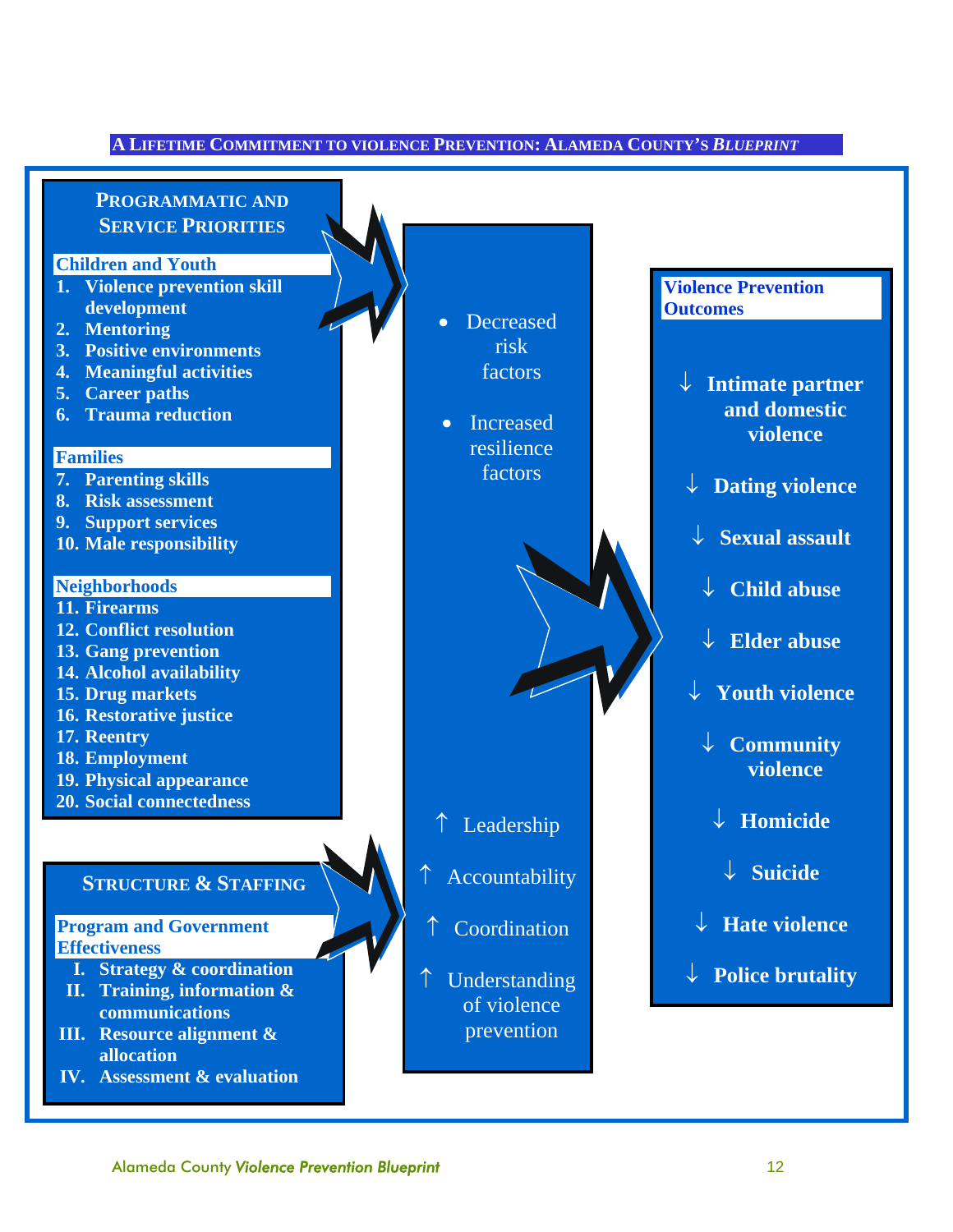#### **A LIFETIME COMMITMENT TO VIOLENCE PREVENTION: ALAMEDA COUNTY'S** *BLUEPRINT*

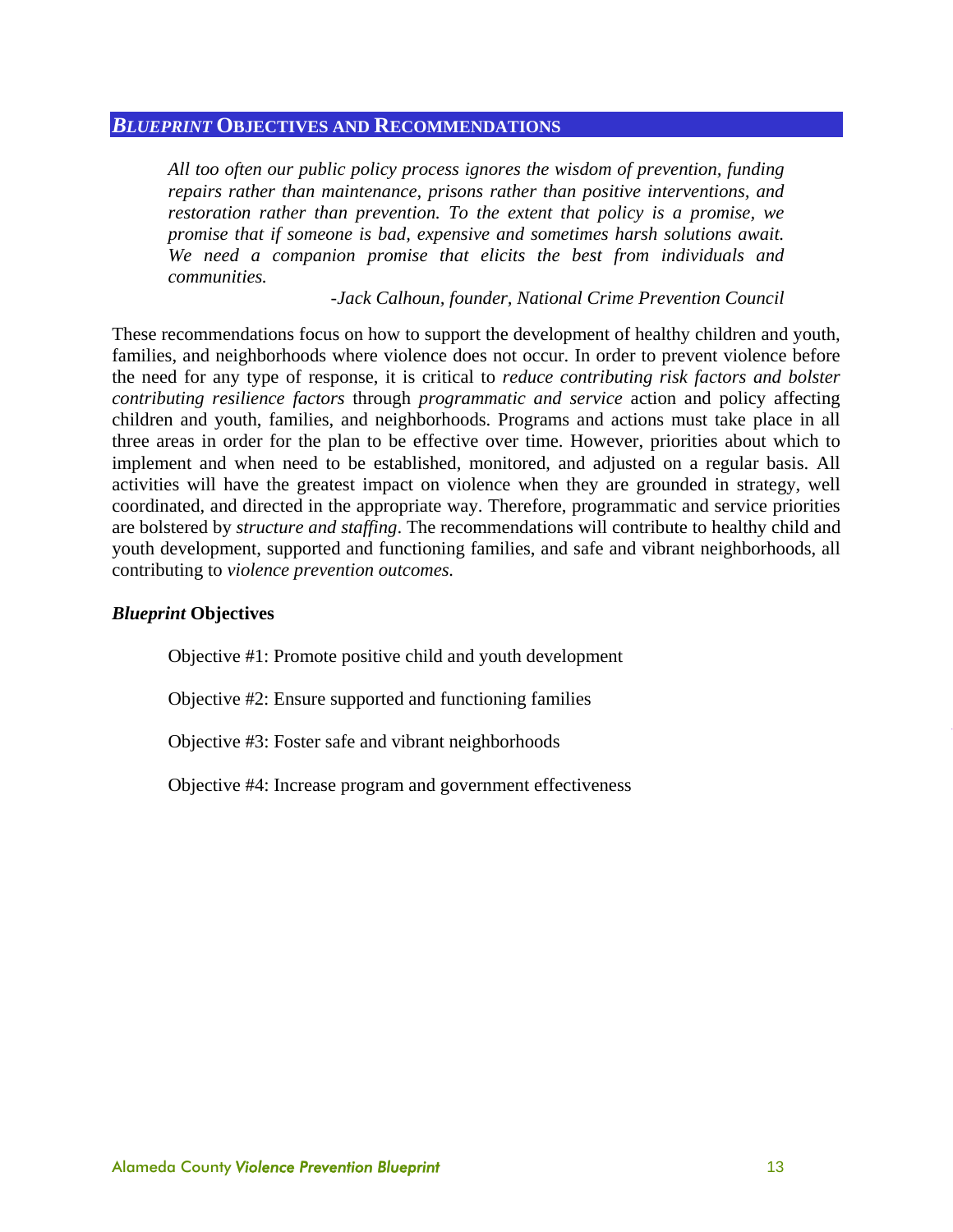#### *BLUEPRINT* **OBJECTIVES AND RECOMMENDATIONS**

*All too often our public policy process ignores the wisdom of prevention, funding repairs rather than maintenance, prisons rather than positive interventions, and restoration rather than prevention. To the extent that policy is a promise, we promise that if someone is bad, expensive and sometimes harsh solutions await. We need a companion promise that elicits the best from individuals and communities.* 

 *-Jack Calhoun, founder, National Crime Prevention Council* 

These recommendations focus on how to support the development of healthy children and youth, families, and neighborhoods where violence does not occur. In order to prevent violence before the need for any type of response, it is critical to *reduce contributing risk factors and bolster contributing resilience factors* through *programmatic and service* action and policy affecting children and youth, families, and neighborhoods. Programs and actions must take place in all three areas in order for the plan to be effective over time. However, priorities about which to implement and when need to be established, monitored, and adjusted on a regular basis. All activities will have the greatest impact on violence when they are grounded in strategy, well coordinated, and directed in the appropriate way. Therefore, programmatic and service priorities are bolstered by *structure and staffing*. The recommendations will contribute to healthy child and youth development, supported and functioning families, and safe and vibrant neighborhoods, all contributing to *violence prevention outcomes.* 

#### *Blueprint* **Objectives**

Objective #1: Promote positive child and youth development

Objective #2: Ensure supported and functioning families

Objective #3: Foster safe and vibrant neighborhoods

Objective #4: Increase program and government effectiveness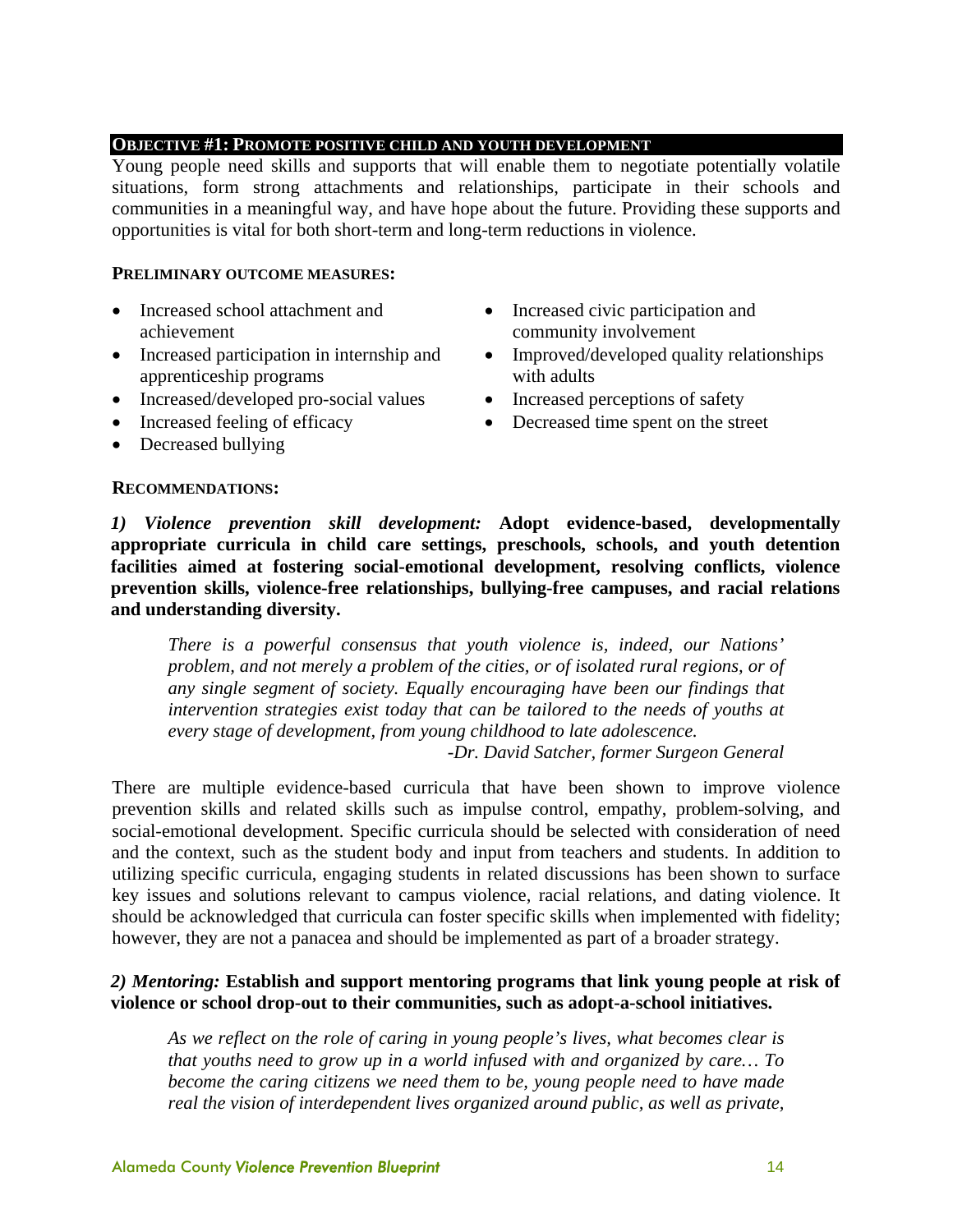#### **OBJECTIVE #1: PROMOTE POSITIVE CHILD AND YOUTH DEVELOPMENT**

Young people need skills and supports that will enable them to negotiate potentially volatile situations, form strong attachments and relationships, participate in their schools and communities in a meaningful way, and have hope about the future. Providing these supports and opportunities is vital for both short-term and long-term reductions in violence.

#### **PRELIMINARY OUTCOME MEASURES:**

- Increased school attachment and achievement
- Increased participation in internship and apprenticeship programs
- Increased/developed pro-social values Increased perceptions of safety
- 
- Decreased bullying

#### **RECOMMENDATIONS:**

- Increased civic participation and community involvement
- Improved/developed quality relationships with adults
- 
- Increased feeling of efficacy Decreased time spent on the street

*1) Violence prevention skill development:* **Adopt evidence-based, developmentally appropriate curricula in child care settings, preschools, schools, and youth detention facilities aimed at fostering social-emotional development, resolving conflicts, violence prevention skills, violence-free relationships, bullying-free campuses, and racial relations and understanding diversity.** 

*There is a powerful consensus that youth violence is, indeed, our Nations' problem, and not merely a problem of the cities, or of isolated rural regions, or of any single segment of society. Equally encouraging have been our findings that intervention strategies exist today that can be tailored to the needs of youths at every stage of development, from young childhood to late adolescence.* 

*-Dr. David Satcher, former Surgeon General* 

There are multiple evidence-based curricula that have been shown to improve violence prevention skills and related skills such as impulse control, empathy, problem-solving, and social-emotional development. Specific curricula should be selected with consideration of need and the context, such as the student body and input from teachers and students. In addition to utilizing specific curricula, engaging students in related discussions has been shown to surface key issues and solutions relevant to campus violence, racial relations, and dating violence. It should be acknowledged that curricula can foster specific skills when implemented with fidelity; however, they are not a panacea and should be implemented as part of a broader strategy.

#### *2) Mentoring:* **Establish and support mentoring programs that link young people at risk of violence or school drop-out to their communities, such as adopt-a-school initiatives.**

*As we reflect on the role of caring in young people's lives, what becomes clear is that youths need to grow up in a world infused with and organized by care… To become the caring citizens we need them to be, young people need to have made real the vision of interdependent lives organized around public, as well as private,*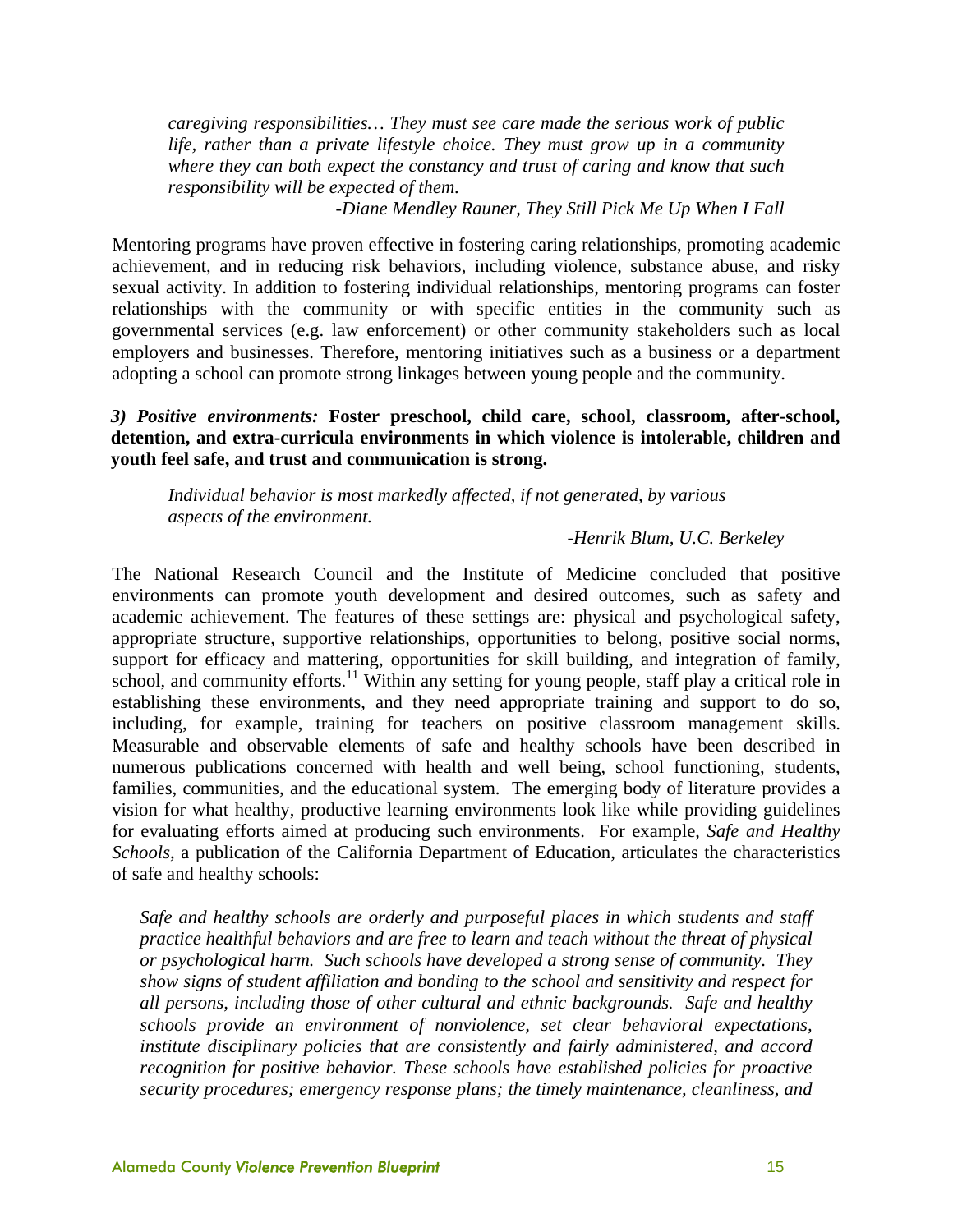*caregiving responsibilities… They must see care made the serious work of public life, rather than a private lifestyle choice. They must grow up in a community where they can both expect the constancy and trust of caring and know that such responsibility will be expected of them.* 

*-Diane Mendley Rauner, They Still Pick Me Up When I Fall* 

Mentoring programs have proven effective in fostering caring relationships, promoting academic achievement, and in reducing risk behaviors, including violence, substance abuse, and risky sexual activity. In addition to fostering individual relationships, mentoring programs can foster relationships with the community or with specific entities in the community such as governmental services (e.g. law enforcement) or other community stakeholders such as local employers and businesses. Therefore, mentoring initiatives such as a business or a department adopting a school can promote strong linkages between young people and the community.

#### *3) Positive environments:* **Foster preschool, child care, school, classroom, after-school, detention, and extra-curricula environments in which violence is intolerable, children and youth feel safe, and trust and communication is strong.**

*Individual behavior is most markedly affected, if not generated, by various aspects of the environment.* 

#### *-Henrik Blum, U.C. Berkeley*

The National Research Council and the Institute of Medicine concluded that positive environments can promote youth development and desired outcomes, such as safety and academic achievement. The features of these settings are: physical and psychological safety, appropriate structure, supportive relationships, opportunities to belong, positive social norms, support for efficacy and mattering, opportunities for skill building, and integration of family, school, and community efforts.<sup>11</sup> Within any setting for young people, staff play a critical role in establishing these environments, and they need appropriate training and support to do so, including, for example, training for teachers on positive classroom management skills. Measurable and observable elements of safe and healthy schools have been described in numerous publications concerned with health and well being, school functioning, students, families, communities, and the educational system. The emerging body of literature provides a vision for what healthy, productive learning environments look like while providing guidelines for evaluating efforts aimed at producing such environments. For example, *Safe and Healthy Schools*, a publication of the California Department of Education, articulates the characteristics of safe and healthy schools:

*Safe and healthy schools are orderly and purposeful places in which students and staff practice healthful behaviors and are free to learn and teach without the threat of physical or psychological harm. Such schools have developed a strong sense of community. They show signs of student affiliation and bonding to the school and sensitivity and respect for all persons, including those of other cultural and ethnic backgrounds. Safe and healthy schools provide an environment of nonviolence, set clear behavioral expectations, institute disciplinary policies that are consistently and fairly administered, and accord recognition for positive behavior. These schools have established policies for proactive security procedures; emergency response plans; the timely maintenance, cleanliness, and*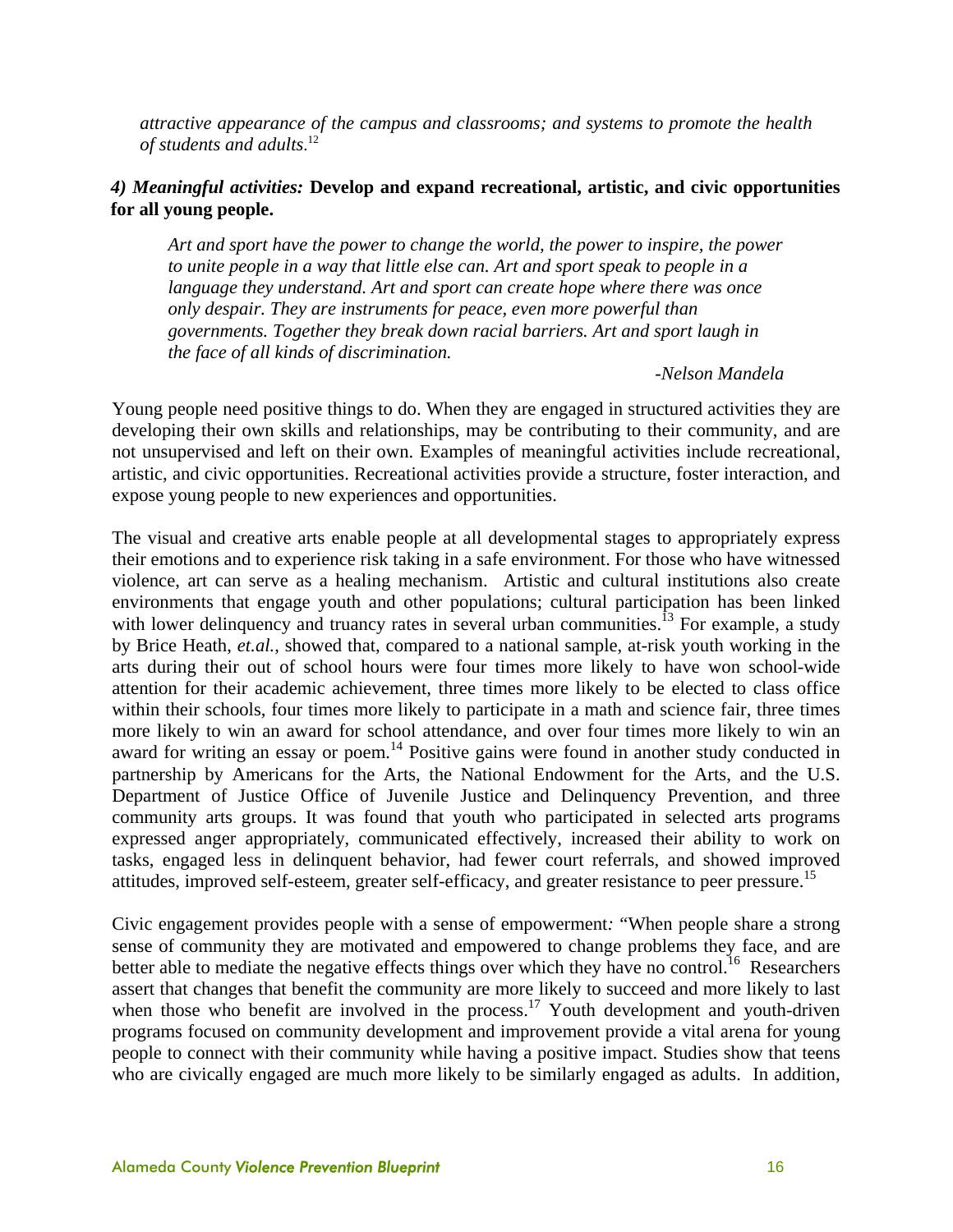*attractive appearance of the campus and classrooms; and systems to promote the health of students and adults*. 12

#### *4) Meaningful activities:* **Develop and expand recreational, artistic, and civic opportunities for all young people.**

*Art and sport have the power to change the world, the power to inspire, the power*  to unite people in a way that little else can. Art and sport speak to people in a *language they understand. Art and sport can create hope where there was once only despair. They are instruments for peace, even more powerful than governments. Together they break down racial barriers. Art and sport laugh in the face of all kinds of discrimination.* 

*-Nelson Mandela* 

Young people need positive things to do. When they are engaged in structured activities they are developing their own skills and relationships, may be contributing to their community, and are not unsupervised and left on their own. Examples of meaningful activities include recreational, artistic, and civic opportunities. Recreational activities provide a structure, foster interaction, and expose young people to new experiences and opportunities.

The visual and creative arts enable people at all developmental stages to appropriately express their emotions and to experience risk taking in a safe environment. For those who have witnessed violence, art can serve as a healing mechanism. Artistic and cultural institutions also create environments that engage youth and other populations; cultural participation has been linked with lower delinquency and truancy rates in several urban communities.<sup>13</sup> For example, a study by Brice Heath, *et.al.*, showed that, compared to a national sample, at-risk youth working in the arts during their out of school hours were four times more likely to have won school-wide attention for their academic achievement, three times more likely to be elected to class office within their schools, four times more likely to participate in a math and science fair, three times more likely to win an award for school attendance, and over four times more likely to win an award for writing an essay or poem.<sup>14</sup> Positive gains were found in another study conducted in partnership by Americans for the Arts, the National Endowment for the Arts, and the U.S. Department of Justice Office of Juvenile Justice and Delinquency Prevention, and three community arts groups. It was found that youth who participated in selected arts programs expressed anger appropriately, communicated effectively, increased their ability to work on tasks, engaged less in delinquent behavior, had fewer court referrals, and showed improved attitudes, improved self-esteem, greater self-efficacy, and greater resistance to peer pressure.<sup>15</sup>

Civic engagement provides people with a sense of empowerment*:* "When people share a strong sense of community they are motivated and empowered to change problems they face, and are better able to mediate the negative effects things over which they have no control.<sup>16</sup> Researchers assert that changes that benefit the community are more likely to succeed and more likely to last when those who benefit are involved in the process.<sup>17</sup> Youth development and youth-driven programs focused on community development and improvement provide a vital arena for young people to connect with their community while having a positive impact. Studies show that teens who are civically engaged are much more likely to be similarly engaged as adults. In addition,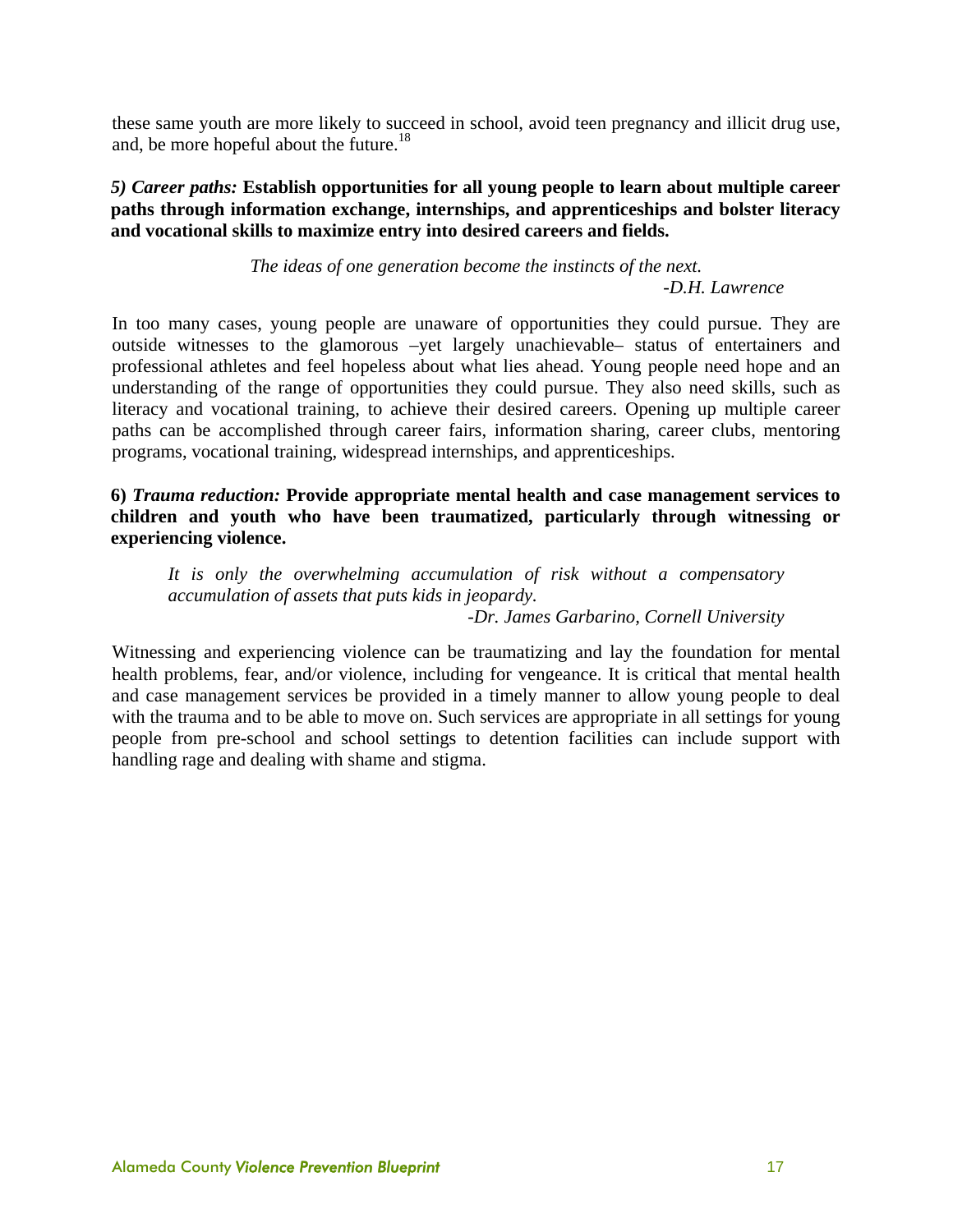these same youth are more likely to succeed in school, avoid teen pregnancy and illicit drug use, and, be more hopeful about the future.<sup>18</sup>

#### *5) Career paths:* **Establish opportunities for all young people to learn about multiple career paths through information exchange, internships, and apprenticeships and bolster literacy and vocational skills to maximize entry into desired careers and fields.**

*The ideas of one generation become the instincts of the next. -D.H. Lawrence* 

In too many cases, young people are unaware of opportunities they could pursue. They are outside witnesses to the glamorous –yet largely unachievable– status of entertainers and professional athletes and feel hopeless about what lies ahead. Young people need hope and an understanding of the range of opportunities they could pursue. They also need skills, such as literacy and vocational training, to achieve their desired careers. Opening up multiple career paths can be accomplished through career fairs, information sharing, career clubs, mentoring programs, vocational training, widespread internships, and apprenticeships.

**6)** *Trauma reduction:* **Provide appropriate mental health and case management services to children and youth who have been traumatized, particularly through witnessing or experiencing violence.** 

*It is only the overwhelming accumulation of risk without a compensatory accumulation of assets that puts kids in jeopardy. -Dr. James Garbarino, Cornell University* 

Witnessing and experiencing violence can be traumatizing and lay the foundation for mental

health problems, fear, and/or violence, including for vengeance. It is critical that mental health and case management services be provided in a timely manner to allow young people to deal with the trauma and to be able to move on. Such services are appropriate in all settings for young people from pre-school and school settings to detention facilities can include support with handling rage and dealing with shame and stigma.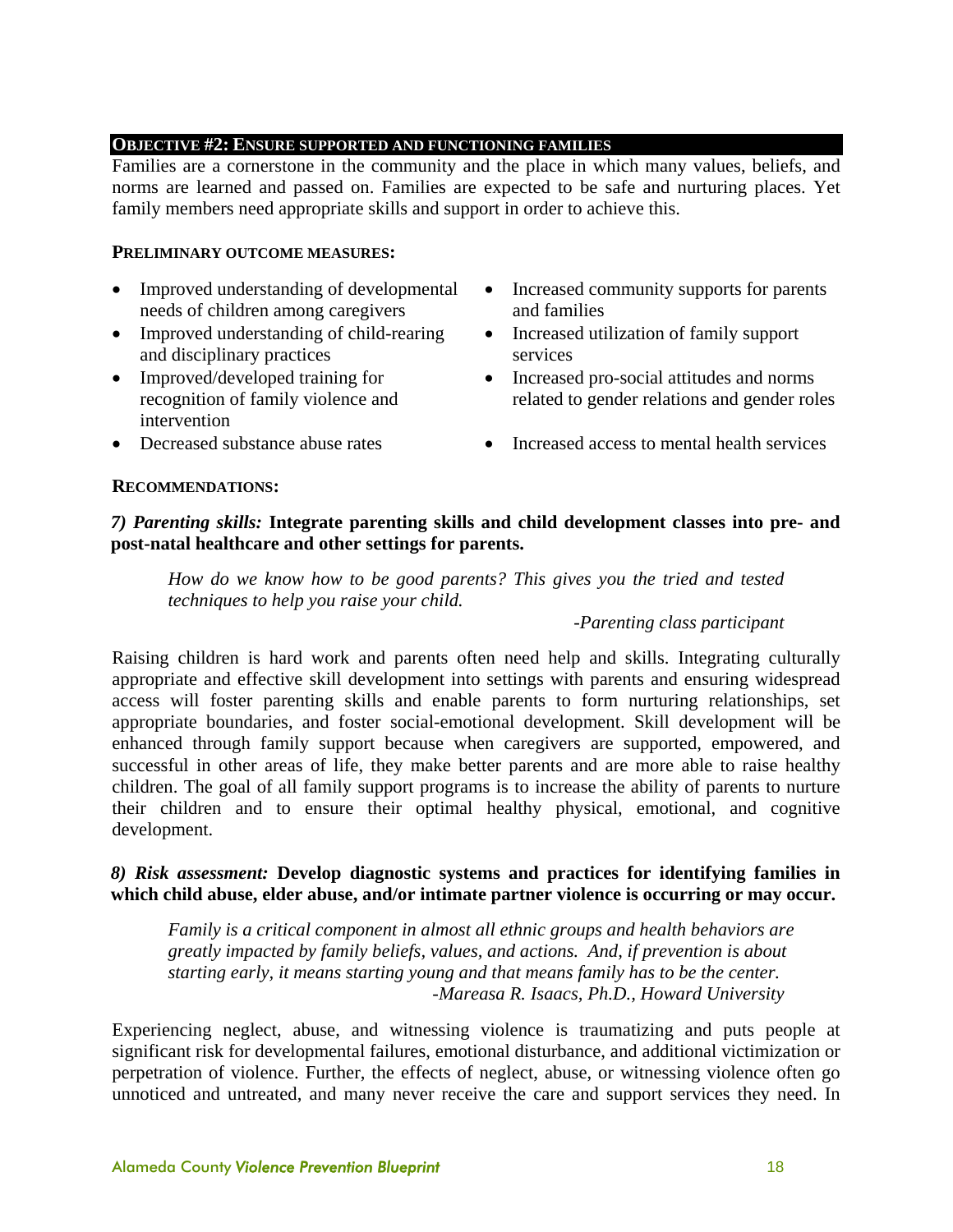#### **OBJECTIVE #2: ENSURE SUPPORTED AND FUNCTIONING FAMILIES**

Families are a cornerstone in the community and the place in which many values, beliefs, and norms are learned and passed on. Families are expected to be safe and nurturing places. Yet family members need appropriate skills and support in order to achieve this.

#### **PRELIMINARY OUTCOME MEASURES:**

- Improved understanding of developmental needs of children among caregivers
- Improved understanding of child-rearing and disciplinary practices
- Improved/developed training for recognition of family violence and intervention
- Increased community supports for parents and families
- Increased utilization of family support services
- Increased pro-social attitudes and norms related to gender relations and gender roles
- Decreased substance abuse rates Increased access to mental health services

**RECOMMENDATIONS:** 

#### *7) Parenting skills:* **Integrate parenting skills and child development classes into pre- and post-natal healthcare and other settings for parents.**

*How do we know how to be good parents? This gives you the tried and tested techniques to help you raise your child.* 

#### *-Parenting class participant*

Raising children is hard work and parents often need help and skills. Integrating culturally appropriate and effective skill development into settings with parents and ensuring widespread access will foster parenting skills and enable parents to form nurturing relationships, set appropriate boundaries, and foster social-emotional development. Skill development will be enhanced through family support because when caregivers are supported, empowered, and successful in other areas of life, they make better parents and are more able to raise healthy children. The goal of all family support programs is to increase the ability of parents to nurture their children and to ensure their optimal healthy physical, emotional, and cognitive development.

#### *8) Risk assessment:* **Develop diagnostic systems and practices for identifying families in which child abuse, elder abuse, and/or intimate partner violence is occurring or may occur.**

*Family is a critical component in almost all ethnic groups and health behaviors are greatly impacted by family beliefs, values, and actions. And, if prevention is about starting early, it means starting young and that means family has to be the center. -Mareasa R. Isaacs, Ph.D., Howard University* 

Experiencing neglect, abuse, and witnessing violence is traumatizing and puts people at significant risk for developmental failures, emotional disturbance, and additional victimization or perpetration of violence. Further, the effects of neglect, abuse, or witnessing violence often go unnoticed and untreated, and many never receive the care and support services they need. In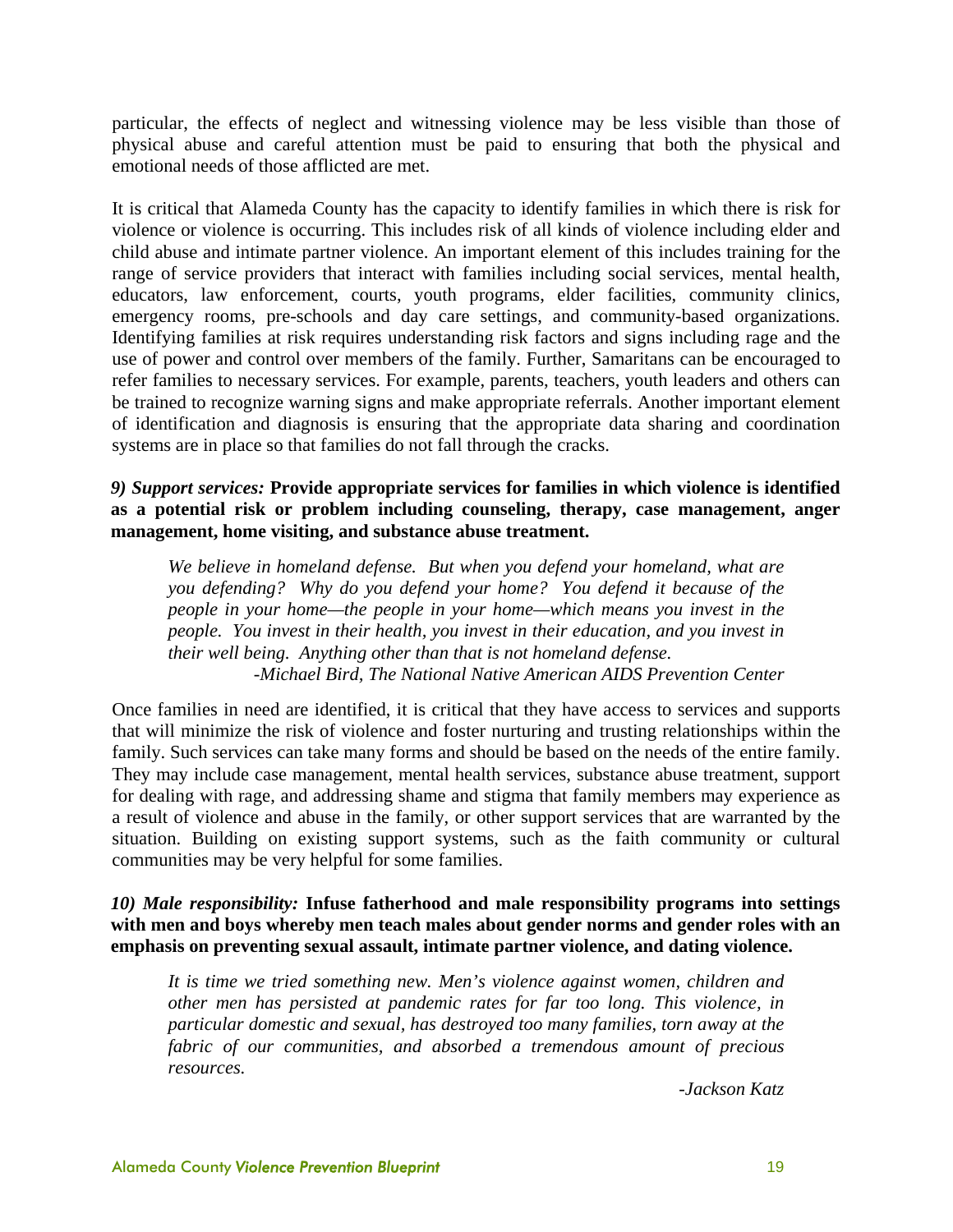particular, the effects of neglect and witnessing violence may be less visible than those of physical abuse and careful attention must be paid to ensuring that both the physical and emotional needs of those afflicted are met.

It is critical that Alameda County has the capacity to identify families in which there is risk for violence or violence is occurring. This includes risk of all kinds of violence including elder and child abuse and intimate partner violence. An important element of this includes training for the range of service providers that interact with families including social services, mental health, educators, law enforcement, courts, youth programs, elder facilities, community clinics, emergency rooms, pre-schools and day care settings, and community-based organizations. Identifying families at risk requires understanding risk factors and signs including rage and the use of power and control over members of the family. Further, Samaritans can be encouraged to refer families to necessary services. For example, parents, teachers, youth leaders and others can be trained to recognize warning signs and make appropriate referrals. Another important element of identification and diagnosis is ensuring that the appropriate data sharing and coordination systems are in place so that families do not fall through the cracks.

#### *9) Support services:* **Provide appropriate services for families in which violence is identified as a potential risk or problem including counseling, therapy, case management, anger management, home visiting, and substance abuse treatment.**

*We believe in homeland defense. But when you defend your homeland, what are you defending? Why do you defend your home? You defend it because of the people in your home—the people in your home—which means you invest in the people. You invest in their health, you invest in their education, and you invest in their well being. Anything other than that is not homeland defense. -Michael Bird, The National Native American AIDS Prevention Center*

Once families in need are identified, it is critical that they have access to services and supports that will minimize the risk of violence and foster nurturing and trusting relationships within the family. Such services can take many forms and should be based on the needs of the entire family. They may include case management, mental health services, substance abuse treatment, support for dealing with rage, and addressing shame and stigma that family members may experience as a result of violence and abuse in the family, or other support services that are warranted by the situation. Building on existing support systems, such as the faith community or cultural communities may be very helpful for some families.

#### *10) Male responsibility:* **Infuse fatherhood and male responsibility programs into settings with men and boys whereby men teach males about gender norms and gender roles with an emphasis on preventing sexual assault, intimate partner violence, and dating violence.**

*It is time we tried something new. Men's violence against women, children and other men has persisted at pandemic rates for far too long. This violence, in particular domestic and sexual, has destroyed too many families, torn away at the fabric of our communities, and absorbed a tremendous amount of precious resources.* 

*-Jackson Katz*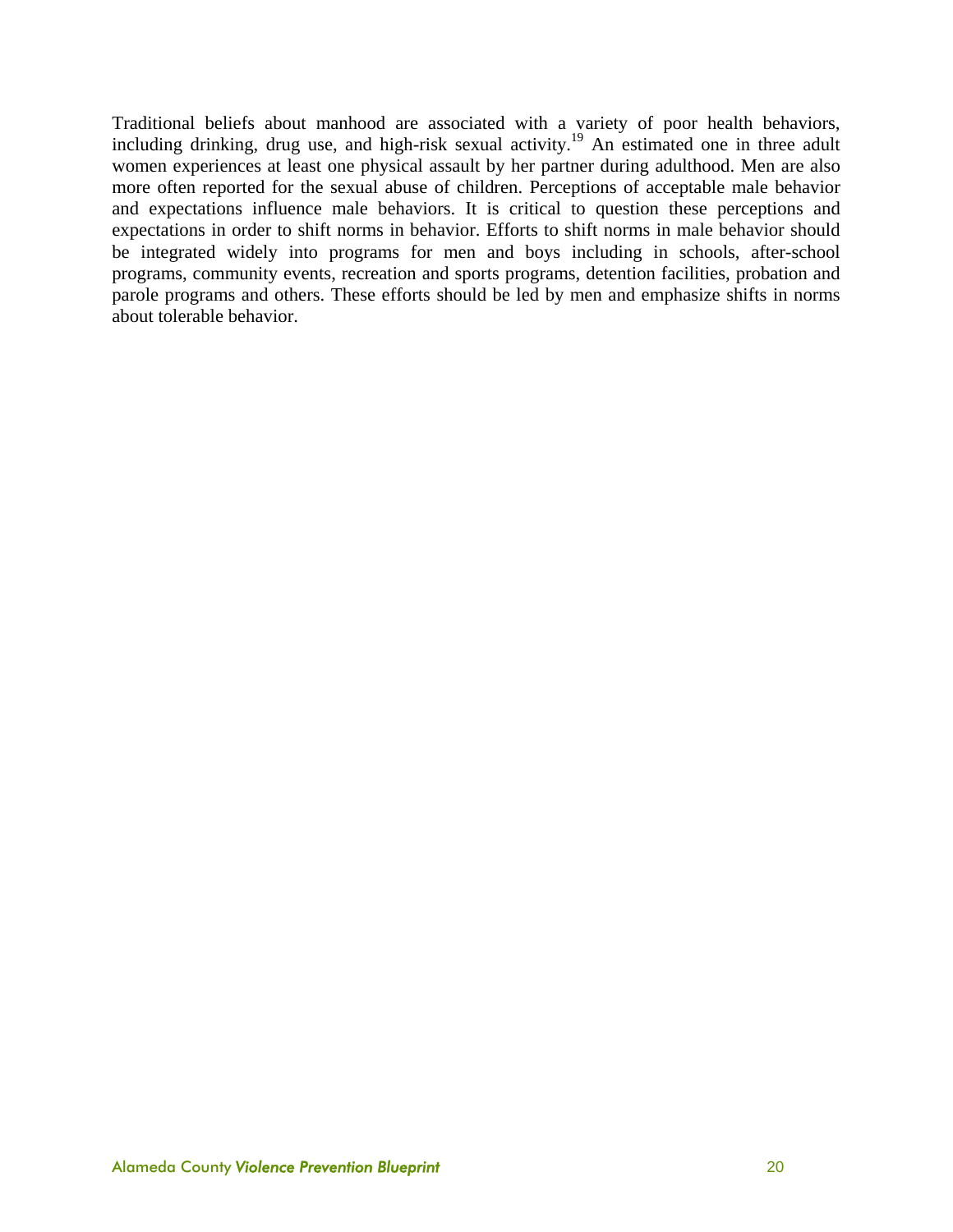Traditional beliefs about manhood are associated with a variety of poor health behaviors, including drinking, drug use, and high-risk sexual activity.<sup>19</sup> An estimated one in three adult women experiences at least one physical assault by her partner during adulthood. Men are also more often reported for the sexual abuse of children. Perceptions of acceptable male behavior and expectations influence male behaviors. It is critical to question these perceptions and expectations in order to shift norms in behavior. Efforts to shift norms in male behavior should be integrated widely into programs for men and boys including in schools, after-school programs, community events, recreation and sports programs, detention facilities, probation and parole programs and others. These efforts should be led by men and emphasize shifts in norms about tolerable behavior.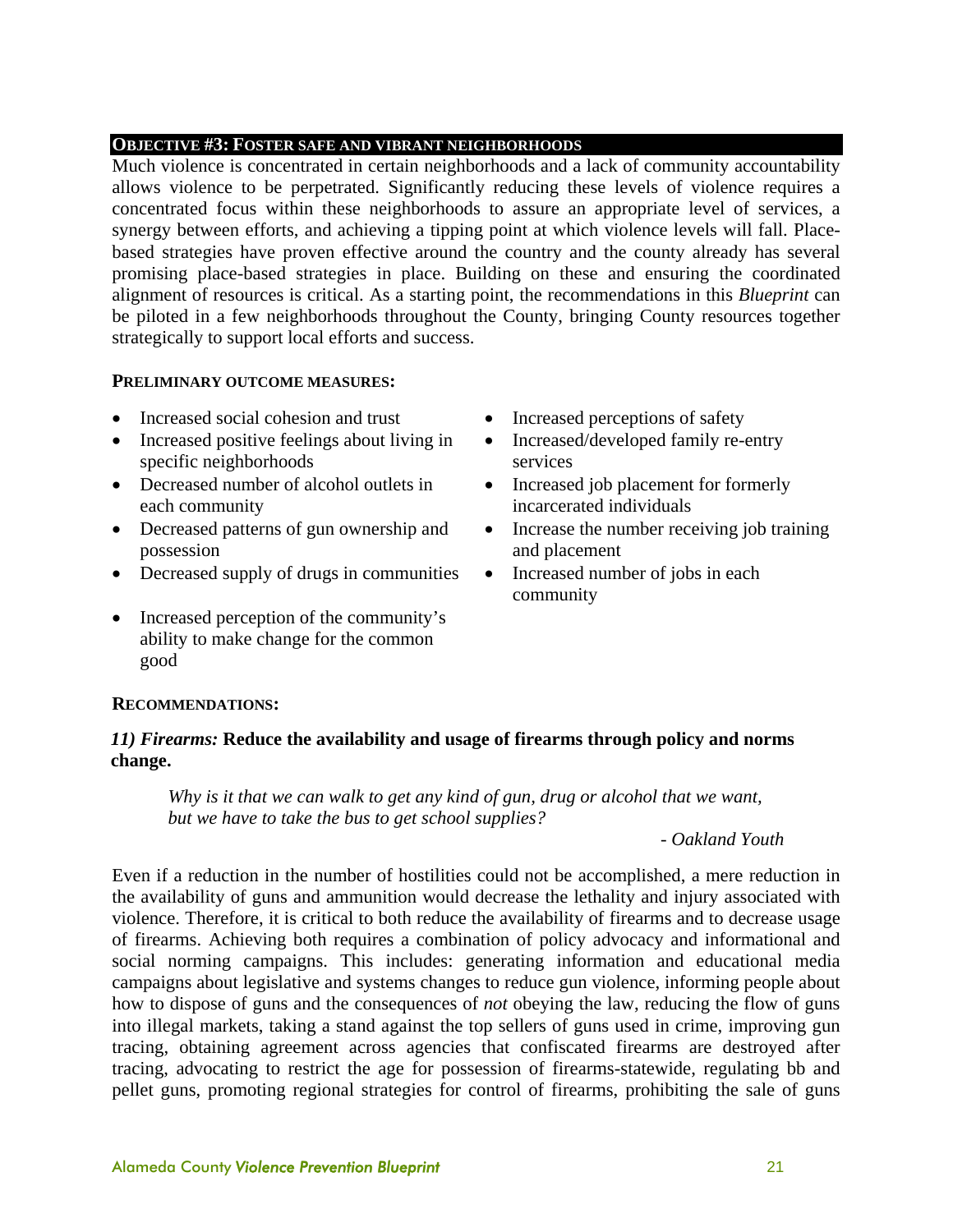#### **OBJECTIVE #3: FOSTER SAFE AND VIBRANT NEIGHBORHOODS**

Much violence is concentrated in certain neighborhoods and a lack of community accountability allows violence to be perpetrated. Significantly reducing these levels of violence requires a concentrated focus within these neighborhoods to assure an appropriate level of services, a synergy between efforts, and achieving a tipping point at which violence levels will fall. Placebased strategies have proven effective around the country and the county already has several promising place-based strategies in place. Building on these and ensuring the coordinated alignment of resources is critical. As a starting point, the recommendations in this *Blueprint* can be piloted in a few neighborhoods throughout the County, bringing County resources together strategically to support local efforts and success.

#### **PRELIMINARY OUTCOME MEASURES:**

- Increased social cohesion and trust Increased perceptions of safety
- Increased positive feelings about living in specific neighborhoods
- Decreased number of alcohol outlets in each community
- Decreased patterns of gun ownership and possession
- Decreased supply of drugs in communities Increased number of jobs in each
- Increased perception of the community's ability to make change for the common good
- 
- Increased/developed family re-entry services
- Increased job placement for formerly incarcerated individuals
- Increase the number receiving job training and placement
- community

#### **RECOMMENDATIONS:**

#### *11) Firearms:* **Reduce the availability and usage of firearms through policy and norms change.**

*Why is it that we can walk to get any kind of gun, drug or alcohol that we want, but we have to take the bus to get school supplies?* 

#### *- Oakland Youth*

Even if a reduction in the number of hostilities could not be accomplished, a mere reduction in the availability of guns and ammunition would decrease the lethality and injury associated with violence. Therefore, it is critical to both reduce the availability of firearms and to decrease usage of firearms. Achieving both requires a combination of policy advocacy and informational and social norming campaigns. This includes: generating information and educational media campaigns about legislative and systems changes to reduce gun violence, informing people about how to dispose of guns and the consequences of *not* obeying the law, reducing the flow of guns into illegal markets, taking a stand against the top sellers of guns used in crime, improving gun tracing, obtaining agreement across agencies that confiscated firearms are destroyed after tracing, advocating to restrict the age for possession of firearms-statewide, regulating bb and pellet guns, promoting regional strategies for control of firearms, prohibiting the sale of guns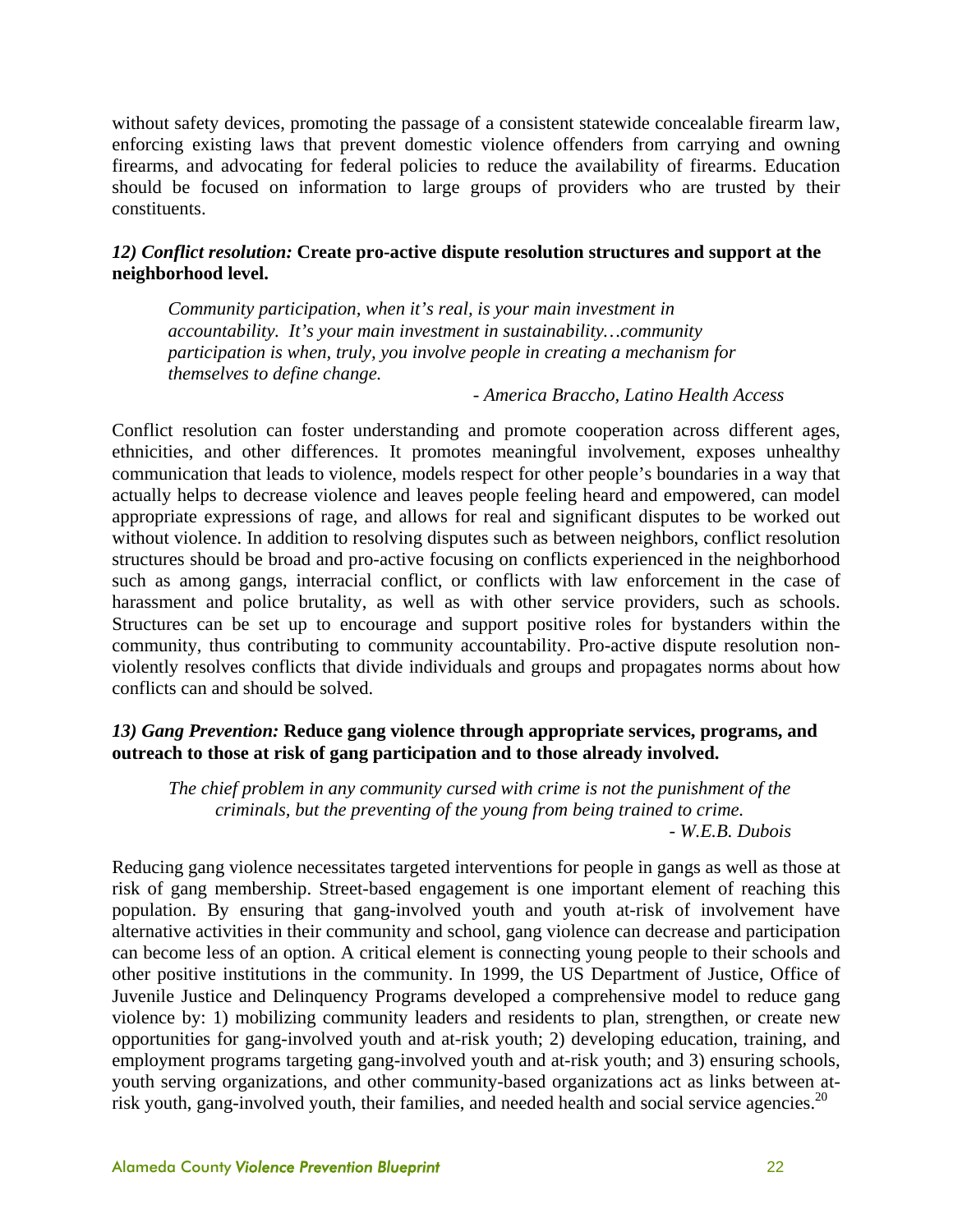without safety devices, promoting the passage of a consistent statewide concealable firearm law, enforcing existing laws that prevent domestic violence offenders from carrying and owning firearms, and advocating for federal policies to reduce the availability of firearms. Education should be focused on information to large groups of providers who are trusted by their constituents.

#### *12) Conflict resolution:* **Create pro-active dispute resolution structures and support at the neighborhood level.**

*Community participation, when it's real, is your main investment in accountability. It's your main investment in sustainability…community participation is when, truly, you involve people in creating a mechanism for themselves to define change.* 

*- America Braccho, Latino Health Access* 

Conflict resolution can foster understanding and promote cooperation across different ages, ethnicities, and other differences. It promotes meaningful involvement, exposes unhealthy communication that leads to violence, models respect for other people's boundaries in a way that actually helps to decrease violence and leaves people feeling heard and empowered, can model appropriate expressions of rage, and allows for real and significant disputes to be worked out without violence. In addition to resolving disputes such as between neighbors, conflict resolution structures should be broad and pro-active focusing on conflicts experienced in the neighborhood such as among gangs, interracial conflict, or conflicts with law enforcement in the case of harassment and police brutality, as well as with other service providers, such as schools. Structures can be set up to encourage and support positive roles for bystanders within the community, thus contributing to community accountability. Pro-active dispute resolution nonviolently resolves conflicts that divide individuals and groups and propagates norms about how conflicts can and should be solved.

#### *13) Gang Prevention:* **Reduce gang violence through appropriate services, programs, and outreach to those at risk of gang participation and to those already involved.**

*The chief problem in any community cursed with crime is not the punishment of the criminals, but the preventing of the young from being trained to crime. - W.E.B. Dubois* 

Reducing gang violence necessitates targeted interventions for people in gangs as well as those at risk of gang membership. Street-based engagement is one important element of reaching this population. By ensuring that gang-involved youth and youth at-risk of involvement have alternative activities in their community and school, gang violence can decrease and participation can become less of an option. A critical element is connecting young people to their schools and other positive institutions in the community. In 1999, the US Department of Justice, Office of Juvenile Justice and Delinquency Programs developed a comprehensive model to reduce gang violence by: 1) mobilizing community leaders and residents to plan, strengthen, or create new opportunities for gang-involved youth and at-risk youth; 2) developing education, training, and employment programs targeting gang-involved youth and at-risk youth; and 3) ensuring schools, youth serving organizations, and other community-based organizations act as links between atrisk youth, gang-involved youth, their families, and needed health and social service agencies.<sup>20</sup>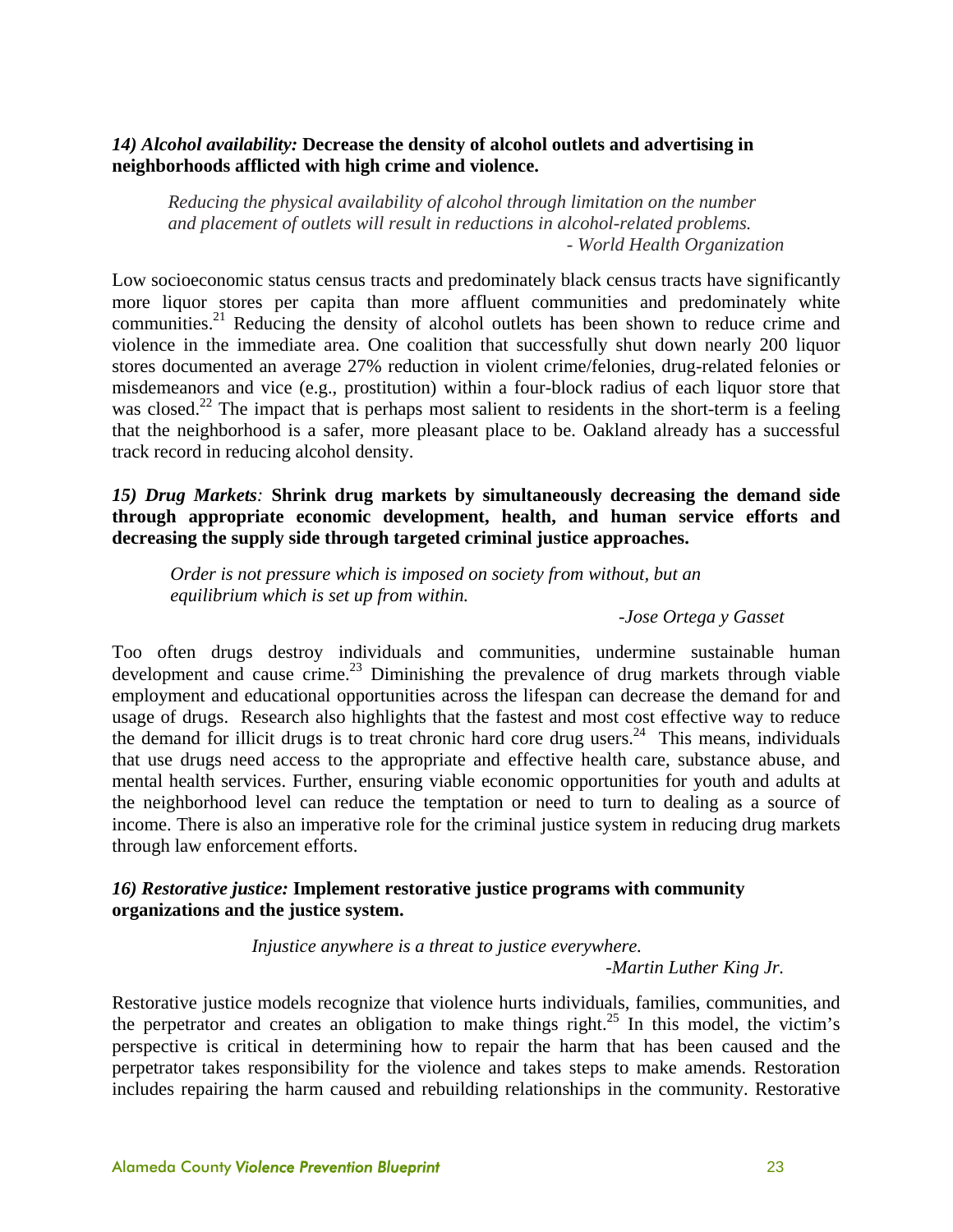#### *14) Alcohol availability:* **Decrease the density of alcohol outlets and advertising in neighborhoods afflicted with high crime and violence.**

*Reducing the physical availability of alcohol through limitation on the number and placement of outlets will result in reductions in alcohol-related problems. - World Health Organization*

Low socioeconomic status census tracts and predominately black census tracts have significantly more liquor stores per capita than more affluent communities and predominately white communities.<sup>21</sup> Reducing the density of alcohol outlets has been shown to reduce crime and violence in the immediate area. One coalition that successfully shut down nearly 200 liquor stores documented an average 27% reduction in violent crime/felonies, drug-related felonies or misdemeanors and vice (e.g., prostitution) within a four-block radius of each liquor store that was closed.<sup>22</sup> The impact that is perhaps most salient to residents in the short-term is a feeling that the neighborhood is a safer, more pleasant place to be. Oakland already has a successful track record in reducing alcohol density.

*15) Drug Markets:* **Shrink drug markets by simultaneously decreasing the demand side through appropriate economic development, health, and human service efforts and decreasing the supply side through targeted criminal justice approaches.**

*Order is not pressure which is imposed on society from without, but an equilibrium which is set up from within.* 

*-Jose Ortega y Gasset* 

Too often drugs destroy individuals and communities, undermine sustainable human development and cause crime.<sup>23</sup> Diminishing the prevalence of drug markets through viable employment and educational opportunities across the lifespan can decrease the demand for and usage of drugs. Research also highlights that the fastest and most cost effective way to reduce the demand for illicit drugs is to treat chronic hard core drug users.<sup>24</sup> This means, individuals that use drugs need access to the appropriate and effective health care, substance abuse, and mental health services. Further, ensuring viable economic opportunities for youth and adults at the neighborhood level can reduce the temptation or need to turn to dealing as a source of income. There is also an imperative role for the criminal justice system in reducing drug markets through law enforcement efforts.

#### *16) Restorative justice:* **Implement restorative justice programs with community organizations and the justice system.**

*Injustice anywhere is a threat to justice everywhere.* 

*-Martin Luther King Jr.* 

Restorative justice models recognize that violence hurts individuals, families, communities, and the perpetrator and creates an obligation to make things right.<sup>25</sup> In this model, the victim's perspective is critical in determining how to repair the harm that has been caused and the perpetrator takes responsibility for the violence and takes steps to make amends. Restoration includes repairing the harm caused and rebuilding relationships in the community. Restorative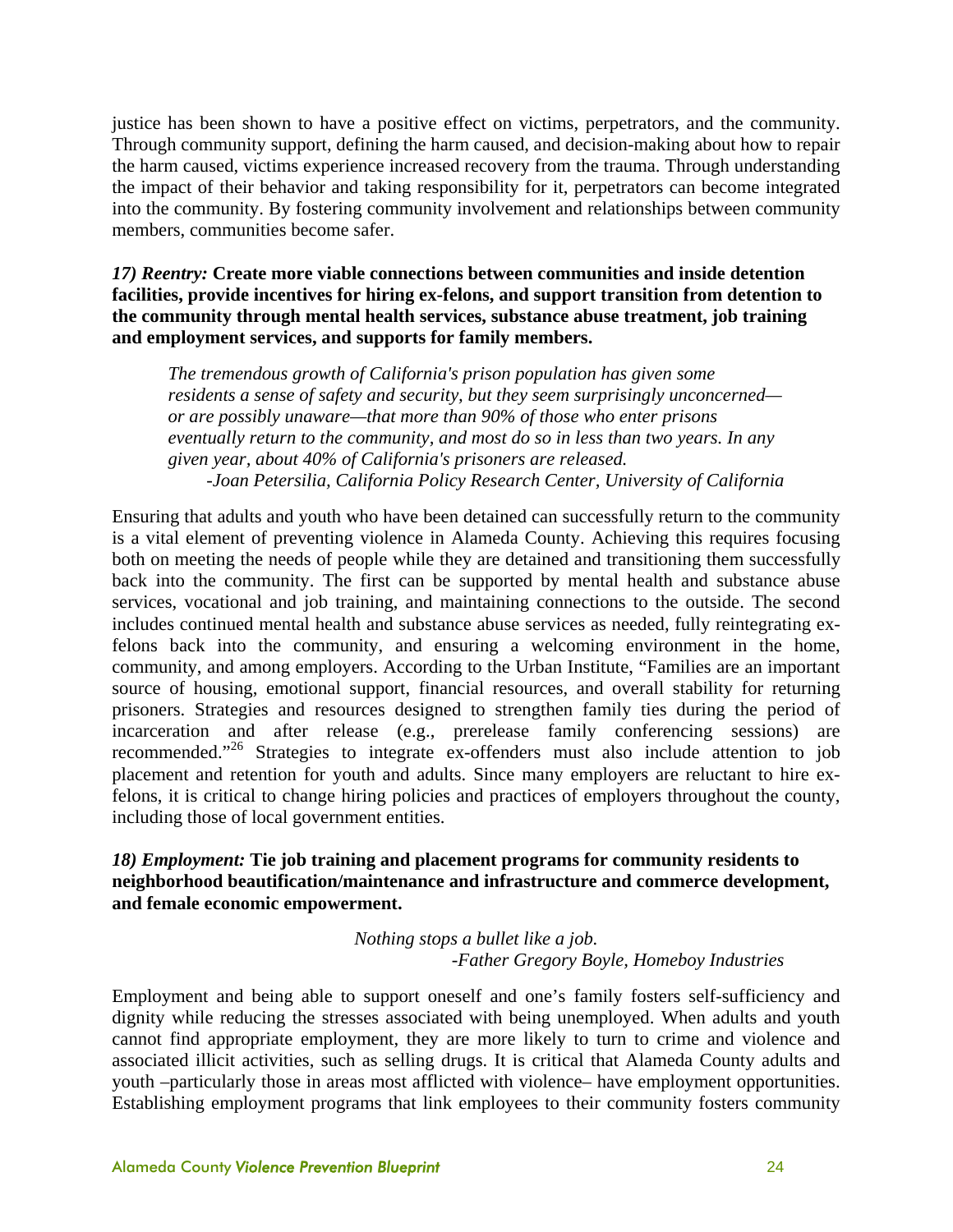justice has been shown to have a positive effect on victims, perpetrators, and the community. Through community support, defining the harm caused, and decision-making about how to repair the harm caused, victims experience increased recovery from the trauma. Through understanding the impact of their behavior and taking responsibility for it, perpetrators can become integrated into the community. By fostering community involvement and relationships between community members, communities become safer.

*17) Reentry:* **Create more viable connections between communities and inside detention facilities, provide incentives for hiring ex-felons, and support transition from detention to the community through mental health services, substance abuse treatment, job training and employment services, and supports for family members.** 

*The tremendous growth of California's prison population has given some residents a sense of safety and security, but they seem surprisingly unconcerned or are possibly unaware—that more than 90% of those who enter prisons eventually return to the community, and most do so in less than two years. In any given year, about 40% of California's prisoners are released. -Joan Petersilia, California Policy Research Center, University of California* 

Ensuring that adults and youth who have been detained can successfully return to the community is a vital element of preventing violence in Alameda County. Achieving this requires focusing both on meeting the needs of people while they are detained and transitioning them successfully back into the community. The first can be supported by mental health and substance abuse services, vocational and job training, and maintaining connections to the outside. The second includes continued mental health and substance abuse services as needed, fully reintegrating exfelons back into the community, and ensuring a welcoming environment in the home, community, and among employers. According to the Urban Institute, "Families are an important source of housing, emotional support, financial resources, and overall stability for returning prisoners. Strategies and resources designed to strengthen family ties during the period of incarceration and after release (e.g., prerelease family conferencing sessions) are recommended."26 Strategies to integrate ex-offenders must also include attention to job placement and retention for youth and adults. Since many employers are reluctant to hire exfelons, it is critical to change hiring policies and practices of employers throughout the county, including those of local government entities.

#### *18) Employment:* **Tie job training and placement programs for community residents to neighborhood beautification/maintenance and infrastructure and commerce development, and female economic empowerment.**

#### *Nothing stops a bullet like a job. -Father Gregory Boyle, Homeboy Industries*

Employment and being able to support oneself and one's family fosters self-sufficiency and dignity while reducing the stresses associated with being unemployed. When adults and youth cannot find appropriate employment, they are more likely to turn to crime and violence and associated illicit activities, such as selling drugs. It is critical that Alameda County adults and youth –particularly those in areas most afflicted with violence– have employment opportunities. Establishing employment programs that link employees to their community fosters community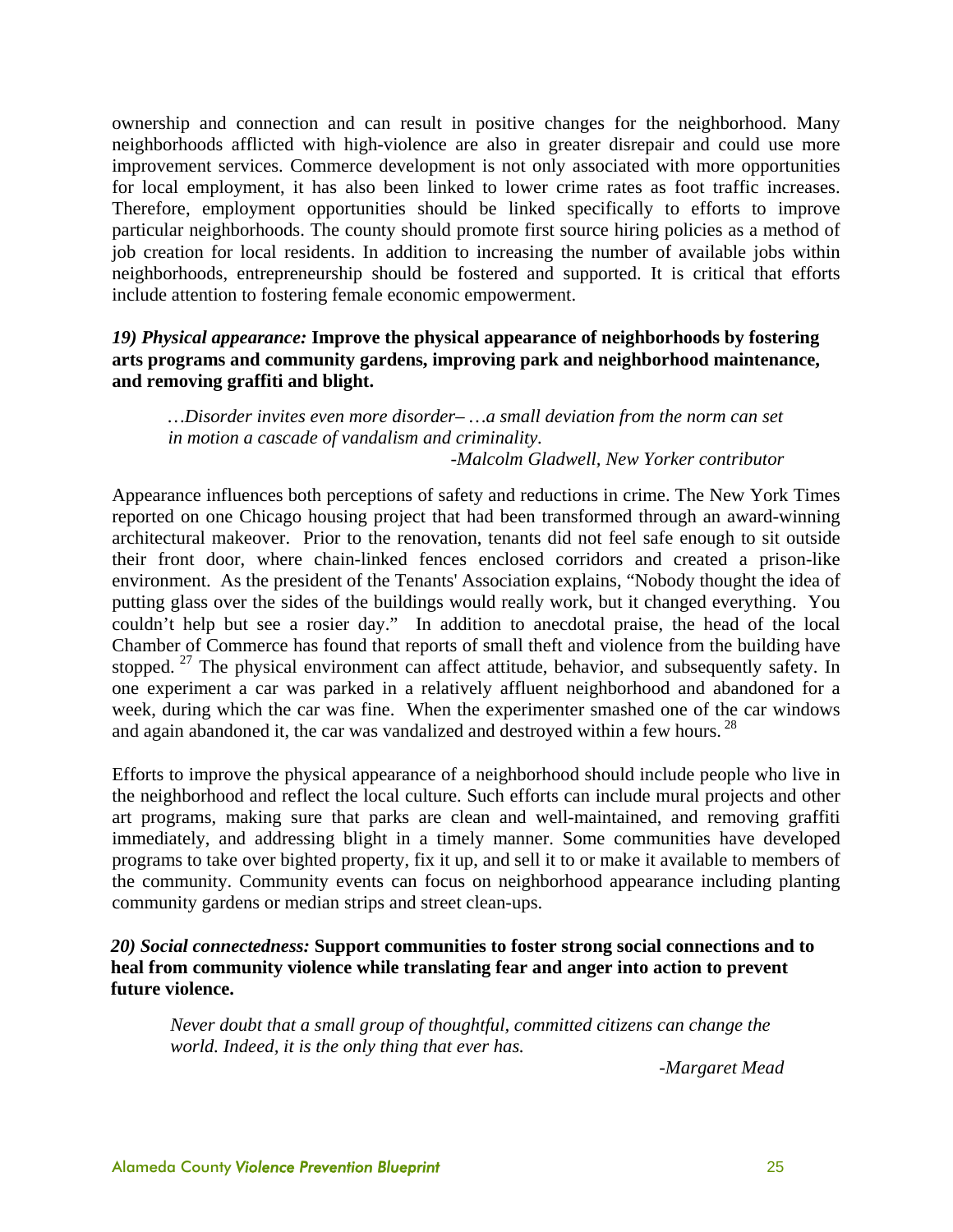ownership and connection and can result in positive changes for the neighborhood. Many neighborhoods afflicted with high-violence are also in greater disrepair and could use more improvement services. Commerce development is not only associated with more opportunities for local employment, it has also been linked to lower crime rates as foot traffic increases. Therefore, employment opportunities should be linked specifically to efforts to improve particular neighborhoods. The county should promote first source hiring policies as a method of job creation for local residents. In addition to increasing the number of available jobs within neighborhoods, entrepreneurship should be fostered and supported. It is critical that efforts include attention to fostering female economic empowerment.

#### *19) Physical appearance:* **Improve the physical appearance of neighborhoods by fostering arts programs and community gardens, improving park and neighborhood maintenance, and removing graffiti and blight.**

*…Disorder invites even more disorder– …a small deviation from the norm can set in motion a cascade of vandalism and criminality. -Malcolm Gladwell, New Yorker contributor* 

Appearance influences both perceptions of safety and reductions in crime. The New York Times reported on one Chicago housing project that had been transformed through an award-winning architectural makeover. Prior to the renovation, tenants did not feel safe enough to sit outside their front door, where chain-linked fences enclosed corridors and created a prison-like environment. As the president of the Tenants' Association explains, "Nobody thought the idea of putting glass over the sides of the buildings would really work, but it changed everything. You couldn't help but see a rosier day." In addition to anecdotal praise, the head of the local Chamber of Commerce has found that reports of small theft and violence from the building have stopped. <sup>27</sup> The physical environment can affect attitude, behavior, and subsequently safety. In one experiment a car was parked in a relatively affluent neighborhood and abandoned for a week, during which the car was fine. When the experimenter smashed one of the car windows and again abandoned it, the car was vandalized and destroyed within a few hours.<sup>28</sup>

Efforts to improve the physical appearance of a neighborhood should include people who live in the neighborhood and reflect the local culture. Such efforts can include mural projects and other art programs, making sure that parks are clean and well-maintained, and removing graffiti immediately, and addressing blight in a timely manner. Some communities have developed programs to take over bighted property, fix it up, and sell it to or make it available to members of the community. Community events can focus on neighborhood appearance including planting community gardens or median strips and street clean-ups.

#### *20) Social connectedness:* **Support communities to foster strong social connections and to heal from community violence while translating fear and anger into action to prevent future violence.**

*Never doubt that a small group of thoughtful, committed citizens can change the world. Indeed, it is the only thing that ever has.* 

*-Margaret Mead*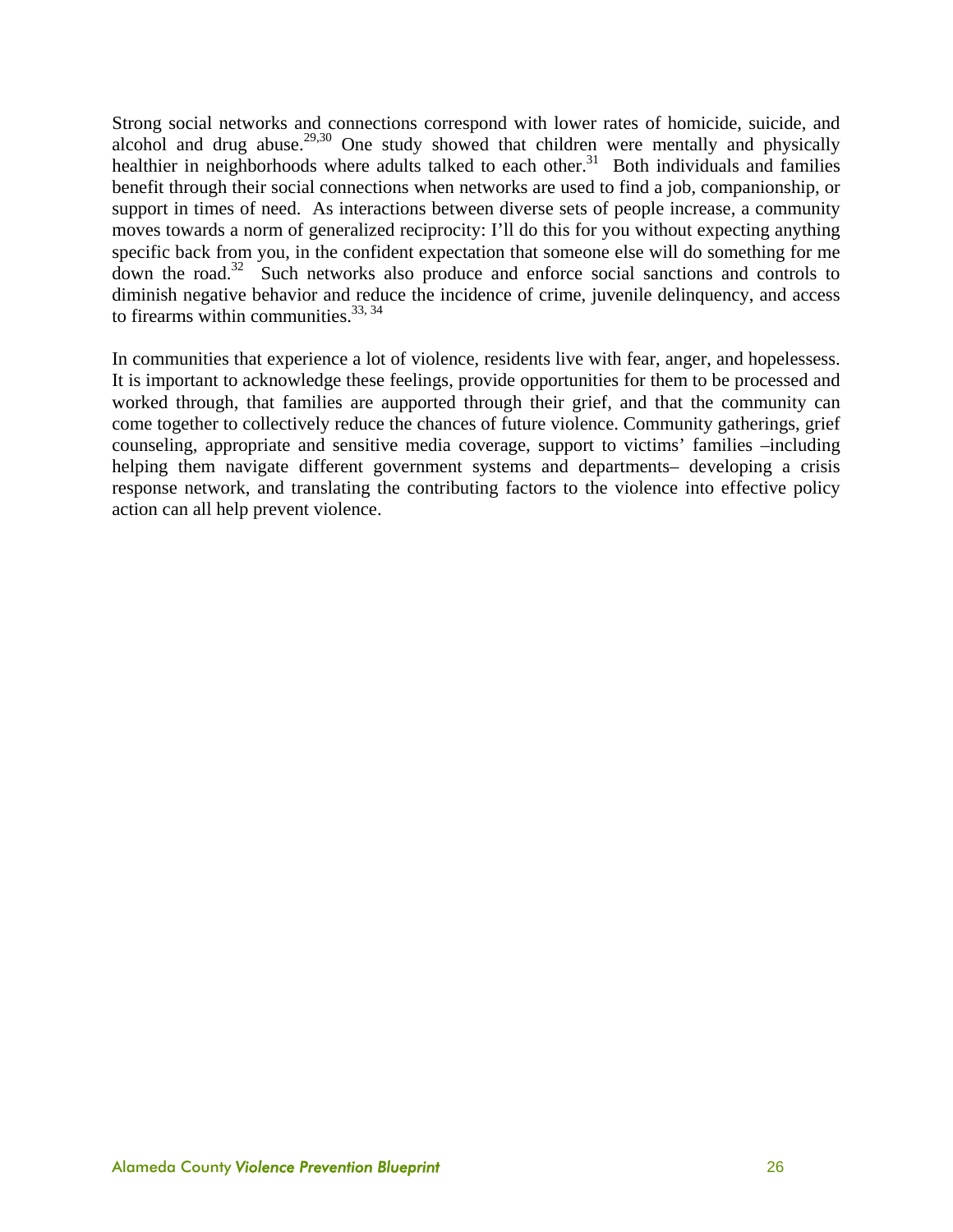Strong social networks and connections correspond with lower rates of homicide, suicide, and alcohol and drug abuse.<sup>29,30</sup> One study showed that children were mentally and physically healthier in neighborhoods where adults talked to each other.<sup>31</sup> Both individuals and families benefit through their social connections when networks are used to find a job, companionship, or support in times of need. As interactions between diverse sets of people increase, a community moves towards a norm of generalized reciprocity: I'll do this for you without expecting anything specific back from you, in the confident expectation that someone else will do something for me down the road.32 Such networks also produce and enforce social sanctions and controls to diminish negative behavior and reduce the incidence of crime, juvenile delinquency, and access to firearms within communities.  $33, 34$ 

In communities that experience a lot of violence, residents live with fear, anger, and hopelessess. It is important to acknowledge these feelings, provide opportunities for them to be processed and worked through, that families are aupported through their grief, and that the community can come together to collectively reduce the chances of future violence. Community gatherings, grief counseling, appropriate and sensitive media coverage, support to victims' families –including helping them navigate different government systems and departments– developing a crisis response network, and translating the contributing factors to the violence into effective policy action can all help prevent violence.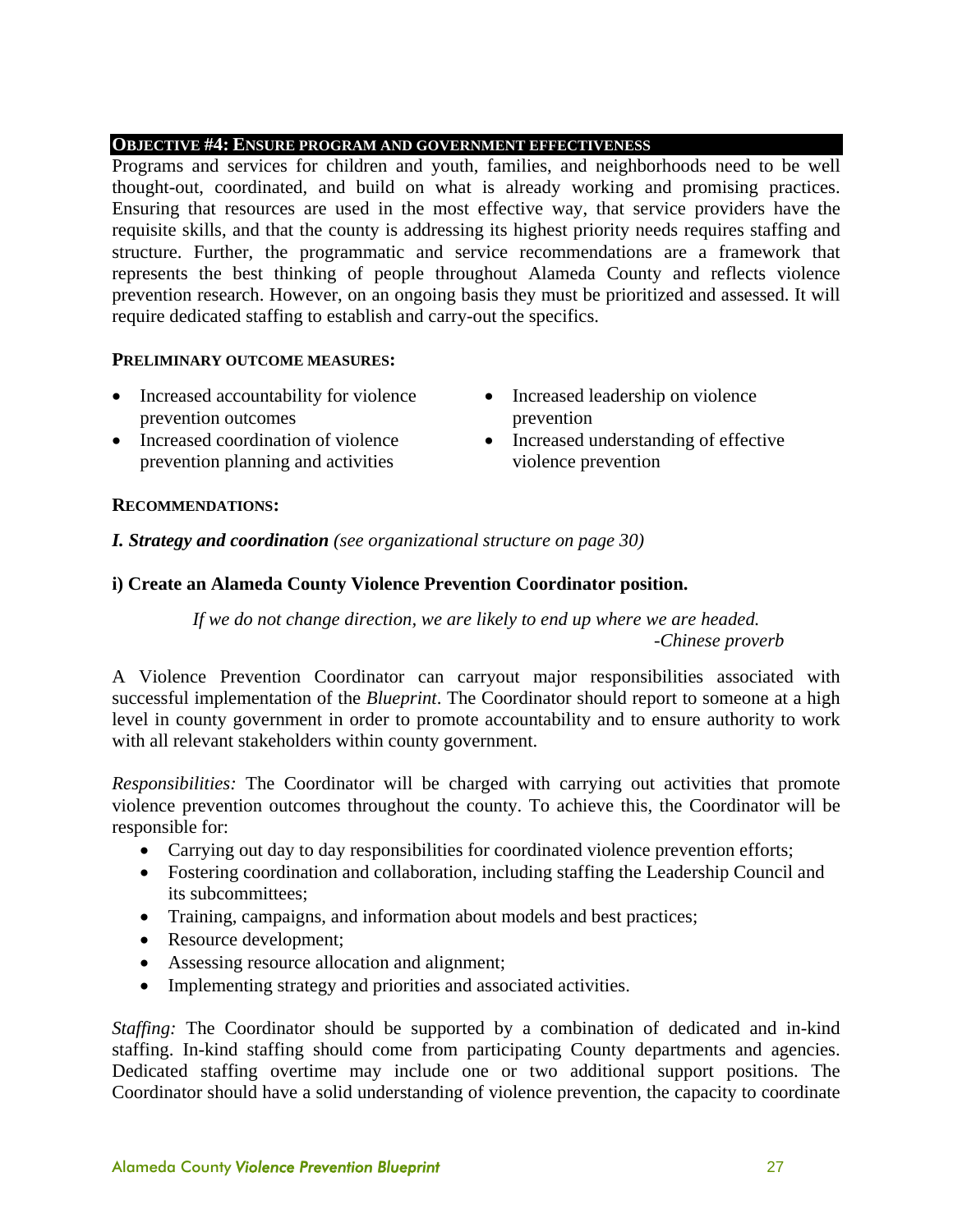#### **OBJECTIVE #4: ENSURE PROGRAM AND GOVERNMENT EFFECTIVENESS**

Programs and services for children and youth, families, and neighborhoods need to be well thought-out, coordinated, and build on what is already working and promising practices. Ensuring that resources are used in the most effective way, that service providers have the requisite skills, and that the county is addressing its highest priority needs requires staffing and structure. Further, the programmatic and service recommendations are a framework that represents the best thinking of people throughout Alameda County and reflects violence prevention research. However, on an ongoing basis they must be prioritized and assessed. It will require dedicated staffing to establish and carry-out the specifics.

#### **PRELIMINARY OUTCOME MEASURES:**

- Increased accountability for violence prevention outcomes
- Increased coordination of violence prevention planning and activities
- Increased leadership on violence prevention
- Increased understanding of effective violence prevention

#### **RECOMMENDATIONS:**

*I. Strategy and coordination (see organizational structure on page 30)* 

#### **i) Create an Alameda County Violence Prevention Coordinator position.**

*If we do not change direction, we are likely to end up where we are headed. -Chinese proverb* 

A Violence Prevention Coordinator can carryout major responsibilities associated with successful implementation of the *Blueprint*. The Coordinator should report to someone at a high level in county government in order to promote accountability and to ensure authority to work with all relevant stakeholders within county government.

*Responsibilities:* The Coordinator will be charged with carrying out activities that promote violence prevention outcomes throughout the county. To achieve this, the Coordinator will be responsible for:

- Carrying out day to day responsibilities for coordinated violence prevention efforts;
- Fostering coordination and collaboration, including staffing the Leadership Council and its subcommittees;
- Training, campaigns, and information about models and best practices;
- Resource development;
- Assessing resource allocation and alignment;
- Implementing strategy and priorities and associated activities.

*Staffing:* The Coordinator should be supported by a combination of dedicated and in-kind staffing. In-kind staffing should come from participating County departments and agencies. Dedicated staffing overtime may include one or two additional support positions. The Coordinator should have a solid understanding of violence prevention, the capacity to coordinate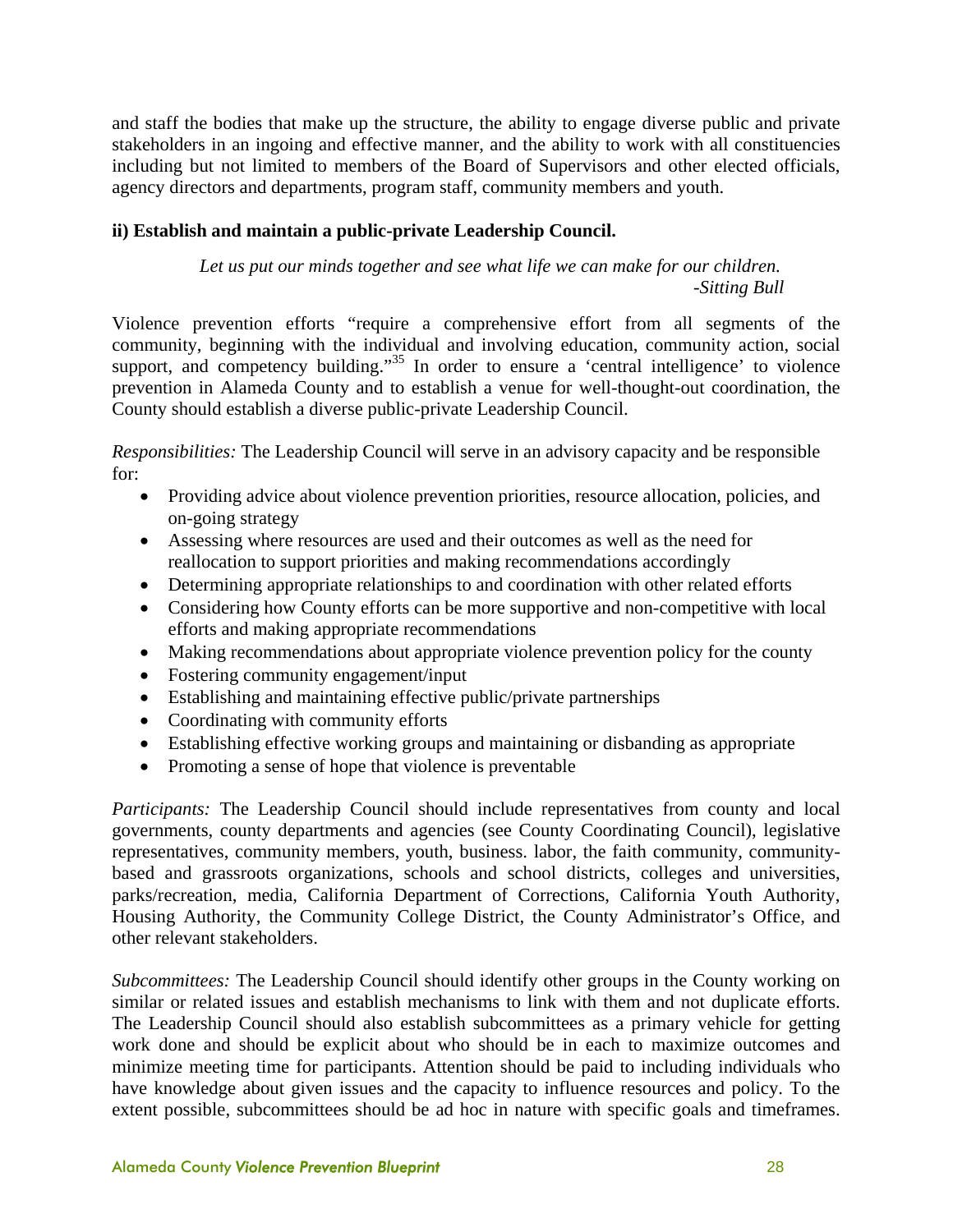and staff the bodies that make up the structure, the ability to engage diverse public and private stakeholders in an ingoing and effective manner, and the ability to work with all constituencies including but not limited to members of the Board of Supervisors and other elected officials, agency directors and departments, program staff, community members and youth.

#### **ii) Establish and maintain a public-private Leadership Council.**

*Let us put our minds together and see what life we can make for our children. -Sitting Bull* 

Violence prevention efforts "require a comprehensive effort from all segments of the community, beginning with the individual and involving education, community action, social support, and competency building."<sup>35</sup> In order to ensure a 'central intelligence' to violence prevention in Alameda County and to establish a venue for well-thought-out coordination, the County should establish a diverse public-private Leadership Council.

*Responsibilities:* The Leadership Council will serve in an advisory capacity and be responsible for:

- Providing advice about violence prevention priorities, resource allocation, policies, and on-going strategy
- Assessing where resources are used and their outcomes as well as the need for reallocation to support priorities and making recommendations accordingly
- Determining appropriate relationships to and coordination with other related efforts
- Considering how County efforts can be more supportive and non-competitive with local efforts and making appropriate recommendations
- Making recommendations about appropriate violence prevention policy for the county
- Fostering community engagement/input
- Establishing and maintaining effective public/private partnerships
- Coordinating with community efforts
- Establishing effective working groups and maintaining or disbanding as appropriate
- Promoting a sense of hope that violence is preventable

*Participants:* The Leadership Council should include representatives from county and local governments, county departments and agencies (see County Coordinating Council), legislative representatives, community members, youth, business. labor, the faith community, communitybased and grassroots organizations, schools and school districts, colleges and universities, parks/recreation, media, California Department of Corrections, California Youth Authority, Housing Authority, the Community College District, the County Administrator's Office, and other relevant stakeholders.

*Subcommittees:* The Leadership Council should identify other groups in the County working on similar or related issues and establish mechanisms to link with them and not duplicate efforts. The Leadership Council should also establish subcommittees as a primary vehicle for getting work done and should be explicit about who should be in each to maximize outcomes and minimize meeting time for participants. Attention should be paid to including individuals who have knowledge about given issues and the capacity to influence resources and policy. To the extent possible, subcommittees should be ad hoc in nature with specific goals and timeframes.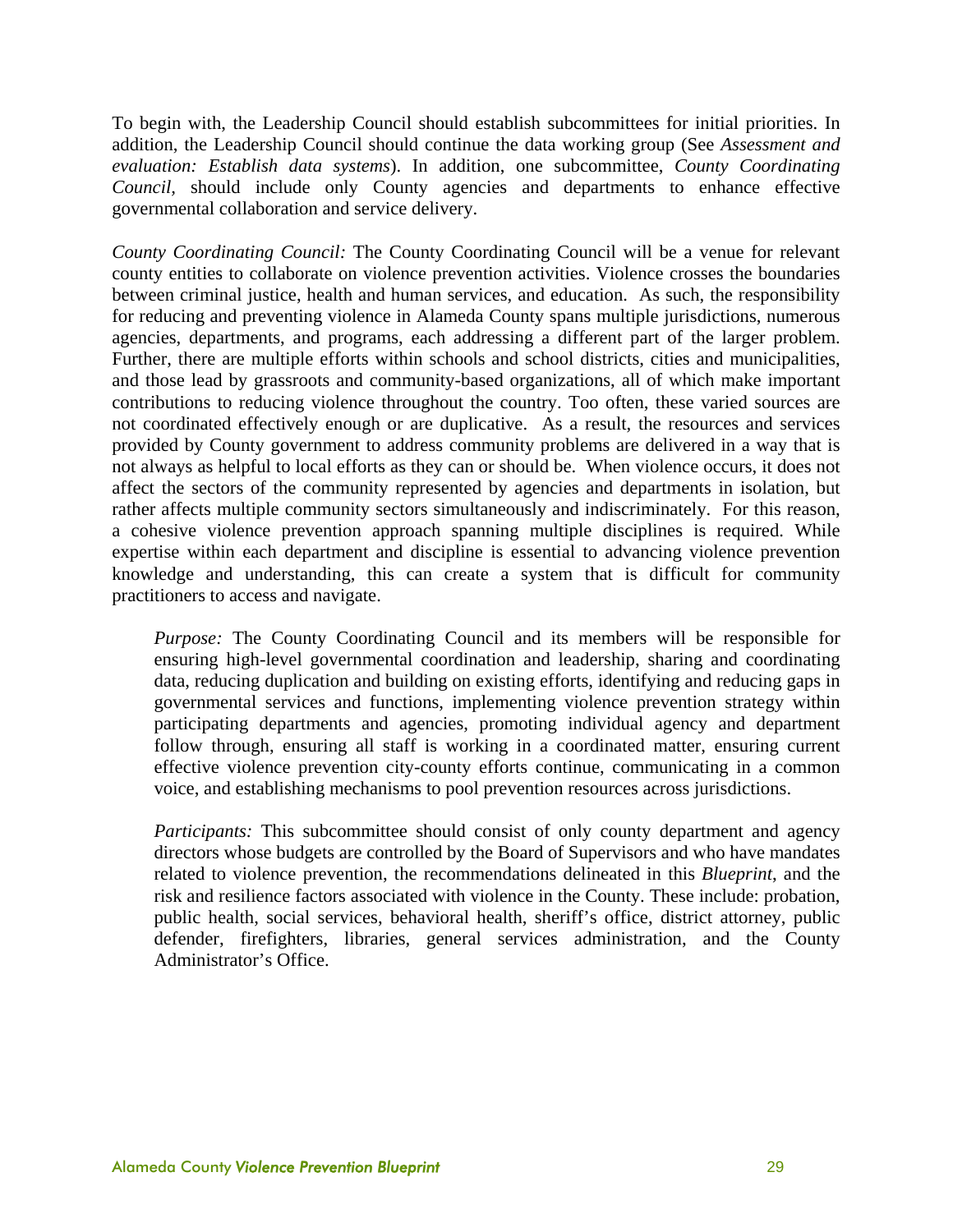To begin with, the Leadership Council should establish subcommittees for initial priorities. In addition, the Leadership Council should continue the data working group (See *Assessment and evaluation: Establish data systems*). In addition, one subcommittee, *County Coordinating Council,* should include only County agencies and departments to enhance effective governmental collaboration and service delivery.

*County Coordinating Council:* The County Coordinating Council will be a venue for relevant county entities to collaborate on violence prevention activities. Violence crosses the boundaries between criminal justice, health and human services, and education. As such, the responsibility for reducing and preventing violence in Alameda County spans multiple jurisdictions, numerous agencies, departments, and programs, each addressing a different part of the larger problem. Further, there are multiple efforts within schools and school districts, cities and municipalities, and those lead by grassroots and community-based organizations, all of which make important contributions to reducing violence throughout the country. Too often, these varied sources are not coordinated effectively enough or are duplicative. As a result, the resources and services provided by County government to address community problems are delivered in a way that is not always as helpful to local efforts as they can or should be. When violence occurs, it does not affect the sectors of the community represented by agencies and departments in isolation, but rather affects multiple community sectors simultaneously and indiscriminately. For this reason, a cohesive violence prevention approach spanning multiple disciplines is required. While expertise within each department and discipline is essential to advancing violence prevention knowledge and understanding, this can create a system that is difficult for community practitioners to access and navigate.

*Purpose:* The County Coordinating Council and its members will be responsible for ensuring high-level governmental coordination and leadership, sharing and coordinating data, reducing duplication and building on existing efforts, identifying and reducing gaps in governmental services and functions, implementing violence prevention strategy within participating departments and agencies, promoting individual agency and department follow through, ensuring all staff is working in a coordinated matter, ensuring current effective violence prevention city-county efforts continue, communicating in a common voice, and establishing mechanisms to pool prevention resources across jurisdictions.

*Participants:* This subcommittee should consist of only county department and agency directors whose budgets are controlled by the Board of Supervisors and who have mandates related to violence prevention, the recommendations delineated in this *Blueprint*, and the risk and resilience factors associated with violence in the County. These include: probation, public health, social services, behavioral health, sheriff's office, district attorney, public defender, firefighters, libraries, general services administration, and the County Administrator's Office.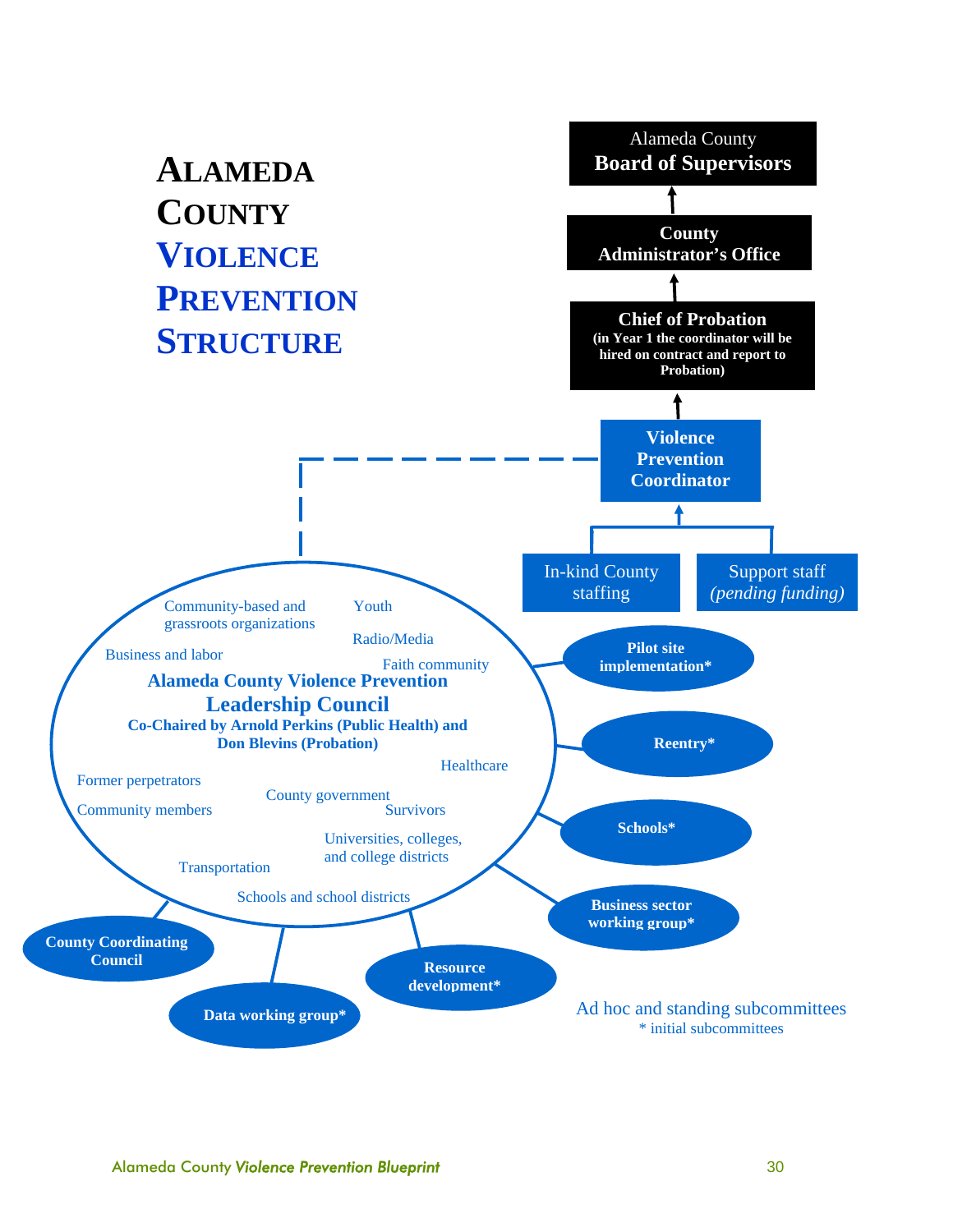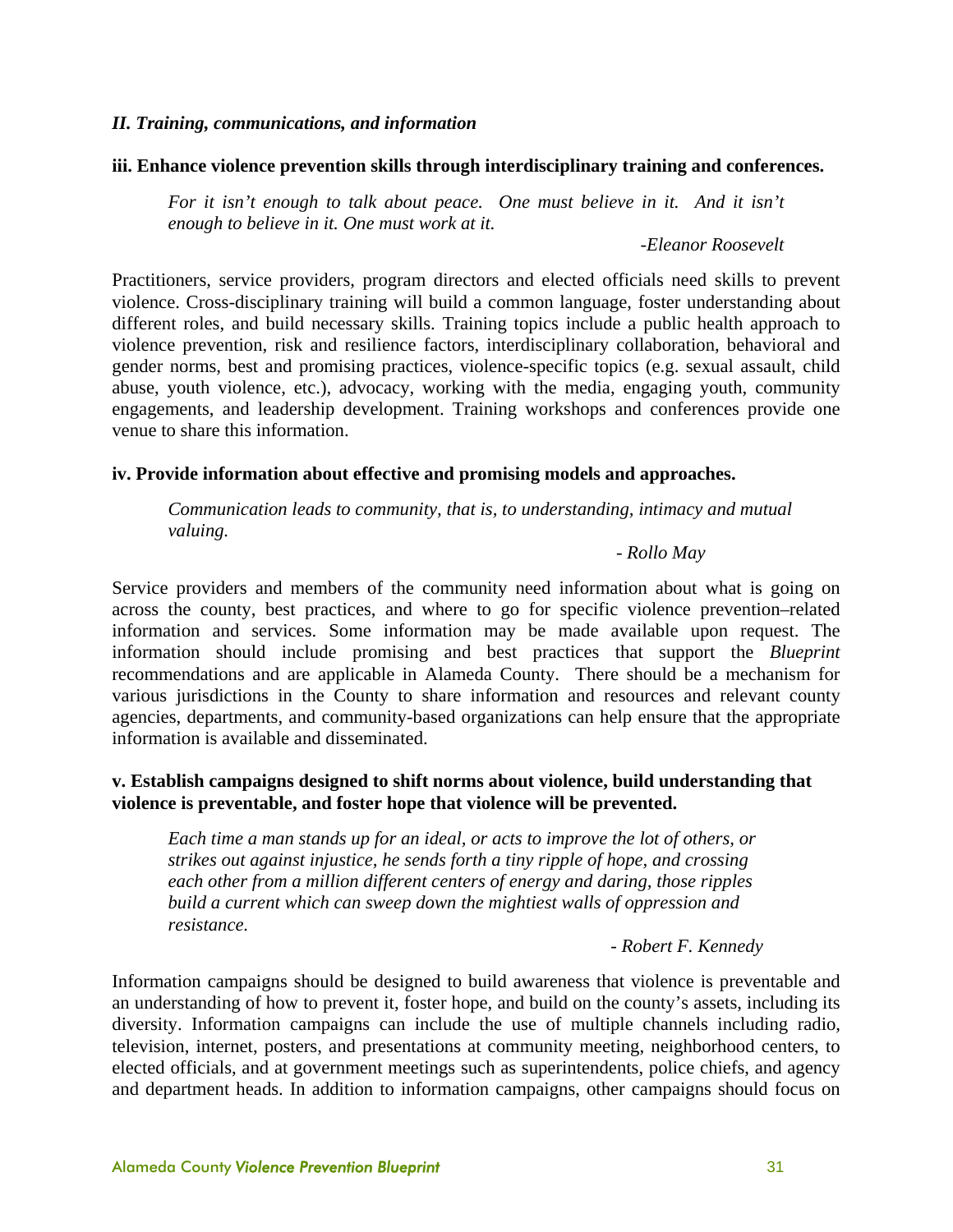#### *II. Training, communications, and information*

#### **iii. Enhance violence prevention skills through interdisciplinary training and conferences.**

*For it isn't enough to talk about peace. One must believe in it. And it isn't enough to believe in it. One must work at it.* 

*-Eleanor Roosevelt* 

Practitioners, service providers, program directors and elected officials need skills to prevent violence. Cross-disciplinary training will build a common language, foster understanding about different roles, and build necessary skills. Training topics include a public health approach to violence prevention, risk and resilience factors, interdisciplinary collaboration, behavioral and gender norms, best and promising practices, violence-specific topics (e.g. sexual assault, child abuse, youth violence, etc.), advocacy, working with the media, engaging youth, community engagements, and leadership development. Training workshops and conferences provide one venue to share this information.

#### **iv. Provide information about effective and promising models and approaches.**

*Communication leads to community, that is, to understanding, intimacy and mutual valuing.* 

#### *- Rollo May*

Service providers and members of the community need information about what is going on across the county, best practices, and where to go for specific violence prevention–related information and services. Some information may be made available upon request. The information should include promising and best practices that support the *Blueprint* recommendations and are applicable in Alameda County. There should be a mechanism for various jurisdictions in the County to share information and resources and relevant county agencies, departments, and community-based organizations can help ensure that the appropriate information is available and disseminated.

#### **v. Establish campaigns designed to shift norms about violence, build understanding that violence is preventable, and foster hope that violence will be prevented.**

*Each time a man stands up for an ideal, or acts to improve the lot of others, or strikes out against injustice, he sends forth a tiny ripple of hope, and crossing each other from a million different centers of energy and daring, those ripples build a current which can sweep down the mightiest walls of oppression and resistance.* 

- *Robert F. Kennedy*

Information campaigns should be designed to build awareness that violence is preventable and an understanding of how to prevent it, foster hope, and build on the county's assets, including its diversity. Information campaigns can include the use of multiple channels including radio, television, internet, posters, and presentations at community meeting, neighborhood centers, to elected officials, and at government meetings such as superintendents, police chiefs, and agency and department heads. In addition to information campaigns, other campaigns should focus on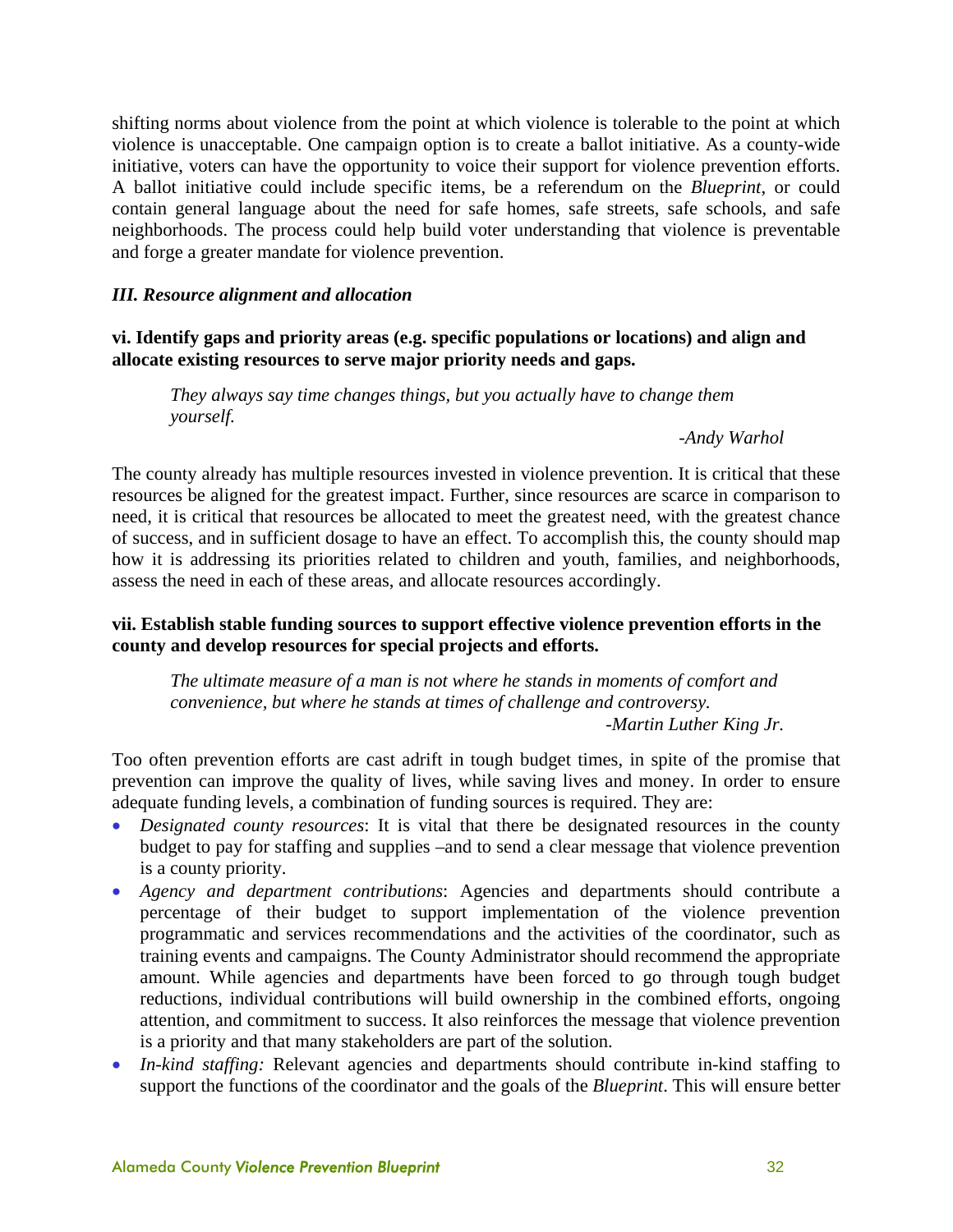shifting norms about violence from the point at which violence is tolerable to the point at which violence is unacceptable. One campaign option is to create a ballot initiative. As a county-wide initiative, voters can have the opportunity to voice their support for violence prevention efforts. A ballot initiative could include specific items, be a referendum on the *Blueprint*, or could contain general language about the need for safe homes, safe streets, safe schools, and safe neighborhoods. The process could help build voter understanding that violence is preventable and forge a greater mandate for violence prevention.

#### *III. Resource alignment and allocation*

**vi. Identify gaps and priority areas (e.g. specific populations or locations) and align and allocate existing resources to serve major priority needs and gaps.** 

*They always say time changes things, but you actually have to change them yourself.* 

*-Andy Warhol* 

The county already has multiple resources invested in violence prevention. It is critical that these resources be aligned for the greatest impact. Further, since resources are scarce in comparison to need, it is critical that resources be allocated to meet the greatest need, with the greatest chance of success, and in sufficient dosage to have an effect. To accomplish this, the county should map how it is addressing its priorities related to children and youth, families, and neighborhoods, assess the need in each of these areas, and allocate resources accordingly.

#### **vii. Establish stable funding sources to support effective violence prevention efforts in the county and develop resources for special projects and efforts.**

*The ultimate measure of a man is not where he stands in moments of comfort and convenience, but where he stands at times of challenge and controversy. -Martin Luther King Jr.* 

Too often prevention efforts are cast adrift in tough budget times, in spite of the promise that prevention can improve the quality of lives, while saving lives and money. In order to ensure adequate funding levels, a combination of funding sources is required. They are:

- *Designated county resources*: It is vital that there be designated resources in the county budget to pay for staffing and supplies –and to send a clear message that violence prevention is a county priority.
- *Agency and department contributions*: Agencies and departments should contribute a percentage of their budget to support implementation of the violence prevention programmatic and services recommendations and the activities of the coordinator, such as training events and campaigns. The County Administrator should recommend the appropriate amount. While agencies and departments have been forced to go through tough budget reductions, individual contributions will build ownership in the combined efforts, ongoing attention, and commitment to success. It also reinforces the message that violence prevention is a priority and that many stakeholders are part of the solution.
- *In-kind staffing:* Relevant agencies and departments should contribute in-kind staffing to support the functions of the coordinator and the goals of the *Blueprint*. This will ensure better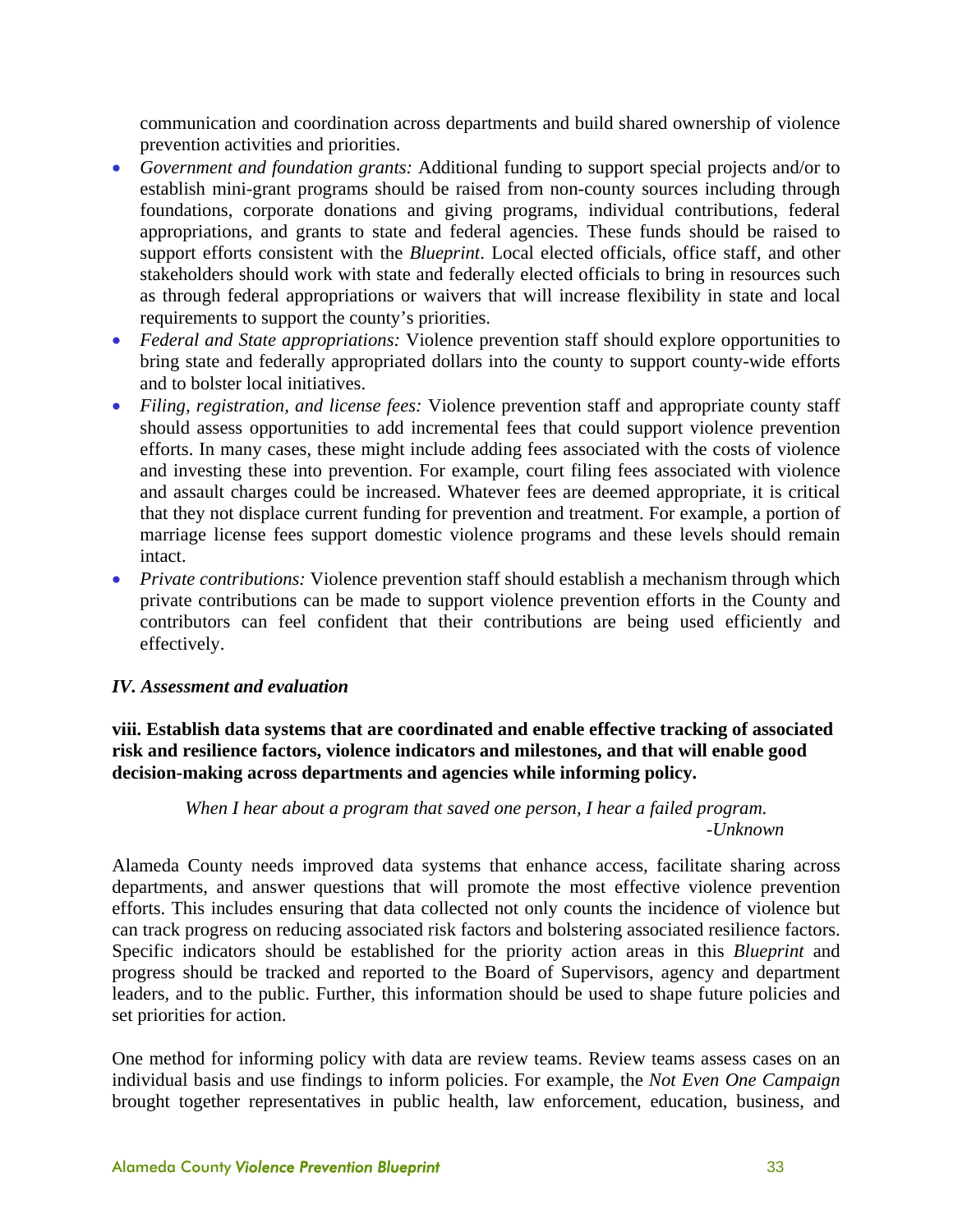communication and coordination across departments and build shared ownership of violence prevention activities and priorities.

- *Government and foundation grants:* Additional funding to support special projects and/or to establish mini-grant programs should be raised from non-county sources including through foundations, corporate donations and giving programs, individual contributions, federal appropriations, and grants to state and federal agencies. These funds should be raised to support efforts consistent with the *Blueprint*. Local elected officials, office staff, and other stakeholders should work with state and federally elected officials to bring in resources such as through federal appropriations or waivers that will increase flexibility in state and local requirements to support the county's priorities.
- *Federal and State appropriations:* Violence prevention staff should explore opportunities to bring state and federally appropriated dollars into the county to support county-wide efforts and to bolster local initiatives.
- *Filing, registration, and license fees:* Violence prevention staff and appropriate county staff should assess opportunities to add incremental fees that could support violence prevention efforts. In many cases, these might include adding fees associated with the costs of violence and investing these into prevention. For example, court filing fees associated with violence and assault charges could be increased. Whatever fees are deemed appropriate, it is critical that they not displace current funding for prevention and treatment. For example, a portion of marriage license fees support domestic violence programs and these levels should remain intact.
- *Private contributions:* Violence prevention staff should establish a mechanism through which private contributions can be made to support violence prevention efforts in the County and contributors can feel confident that their contributions are being used efficiently and effectively.

#### *IV. Assessment and evaluation*

#### **viii. Establish data systems that are coordinated and enable effective tracking of associated risk and resilience factors, violence indicators and milestones, and that will enable good decision-making across departments and agencies while informing policy.**

#### *When I hear about a program that saved one person, I hear a failed program. -Unknown*

Alameda County needs improved data systems that enhance access, facilitate sharing across departments, and answer questions that will promote the most effective violence prevention efforts. This includes ensuring that data collected not only counts the incidence of violence but can track progress on reducing associated risk factors and bolstering associated resilience factors. Specific indicators should be established for the priority action areas in this *Blueprint* and progress should be tracked and reported to the Board of Supervisors, agency and department leaders, and to the public. Further, this information should be used to shape future policies and set priorities for action.

One method for informing policy with data are review teams. Review teams assess cases on an individual basis and use findings to inform policies. For example, the *Not Even One Campaign* brought together representatives in public health, law enforcement, education, business, and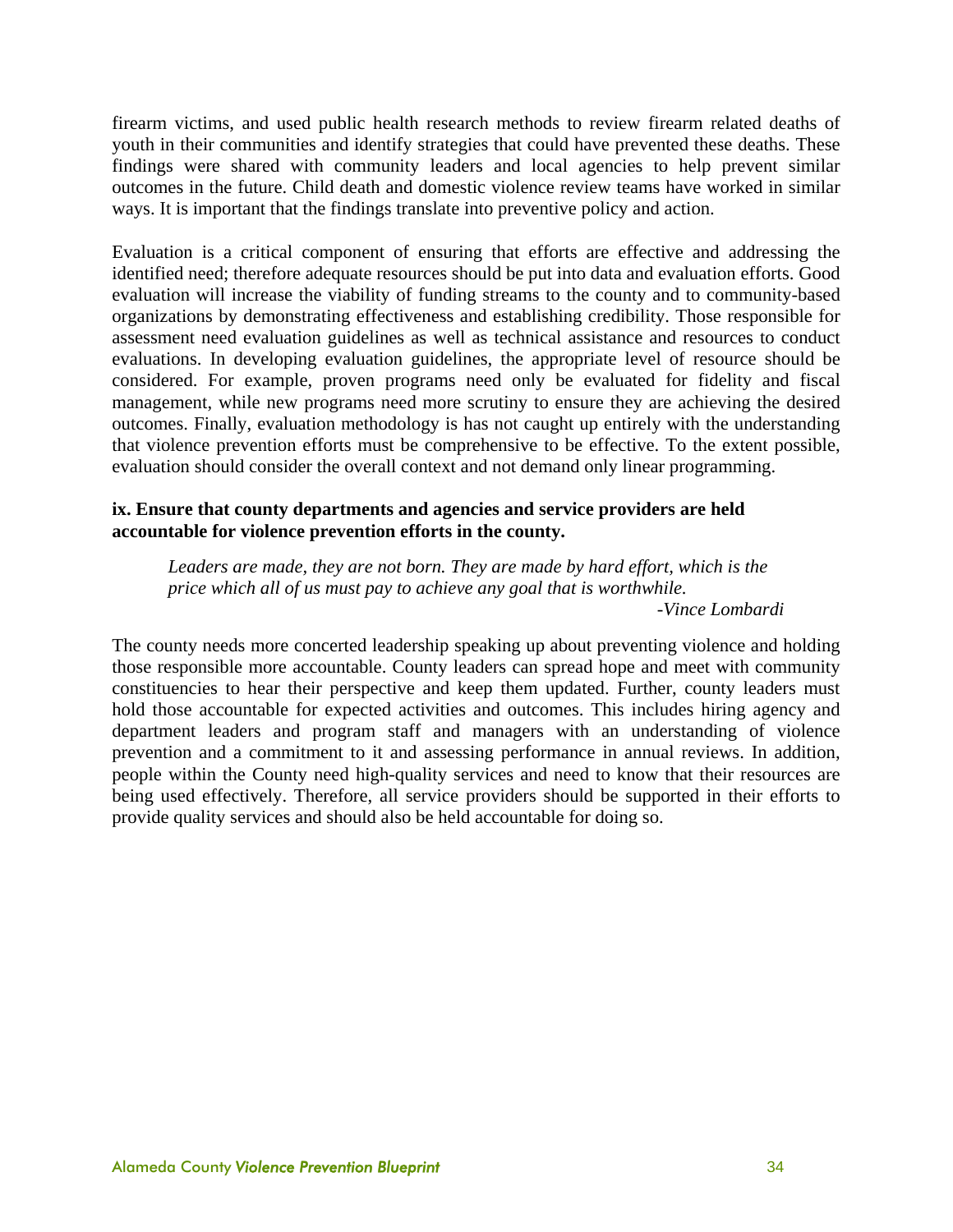firearm victims, and used public health research methods to review firearm related deaths of youth in their communities and identify strategies that could have prevented these deaths. These findings were shared with community leaders and local agencies to help prevent similar outcomes in the future. Child death and domestic violence review teams have worked in similar ways. It is important that the findings translate into preventive policy and action.

Evaluation is a critical component of ensuring that efforts are effective and addressing the identified need; therefore adequate resources should be put into data and evaluation efforts. Good evaluation will increase the viability of funding streams to the county and to community-based organizations by demonstrating effectiveness and establishing credibility. Those responsible for assessment need evaluation guidelines as well as technical assistance and resources to conduct evaluations. In developing evaluation guidelines, the appropriate level of resource should be considered. For example, proven programs need only be evaluated for fidelity and fiscal management, while new programs need more scrutiny to ensure they are achieving the desired outcomes. Finally, evaluation methodology is has not caught up entirely with the understanding that violence prevention efforts must be comprehensive to be effective. To the extent possible, evaluation should consider the overall context and not demand only linear programming.

#### **ix. Ensure that county departments and agencies and service providers are held accountable for violence prevention efforts in the county.**

*Leaders are made, they are not born. They are made by hard effort, which is the price which all of us must pay to achieve any goal that is worthwhile.* 

*-Vince Lombardi* 

The county needs more concerted leadership speaking up about preventing violence and holding those responsible more accountable. County leaders can spread hope and meet with community constituencies to hear their perspective and keep them updated. Further, county leaders must hold those accountable for expected activities and outcomes. This includes hiring agency and department leaders and program staff and managers with an understanding of violence prevention and a commitment to it and assessing performance in annual reviews. In addition, people within the County need high-quality services and need to know that their resources are being used effectively. Therefore, all service providers should be supported in their efforts to provide quality services and should also be held accountable for doing so.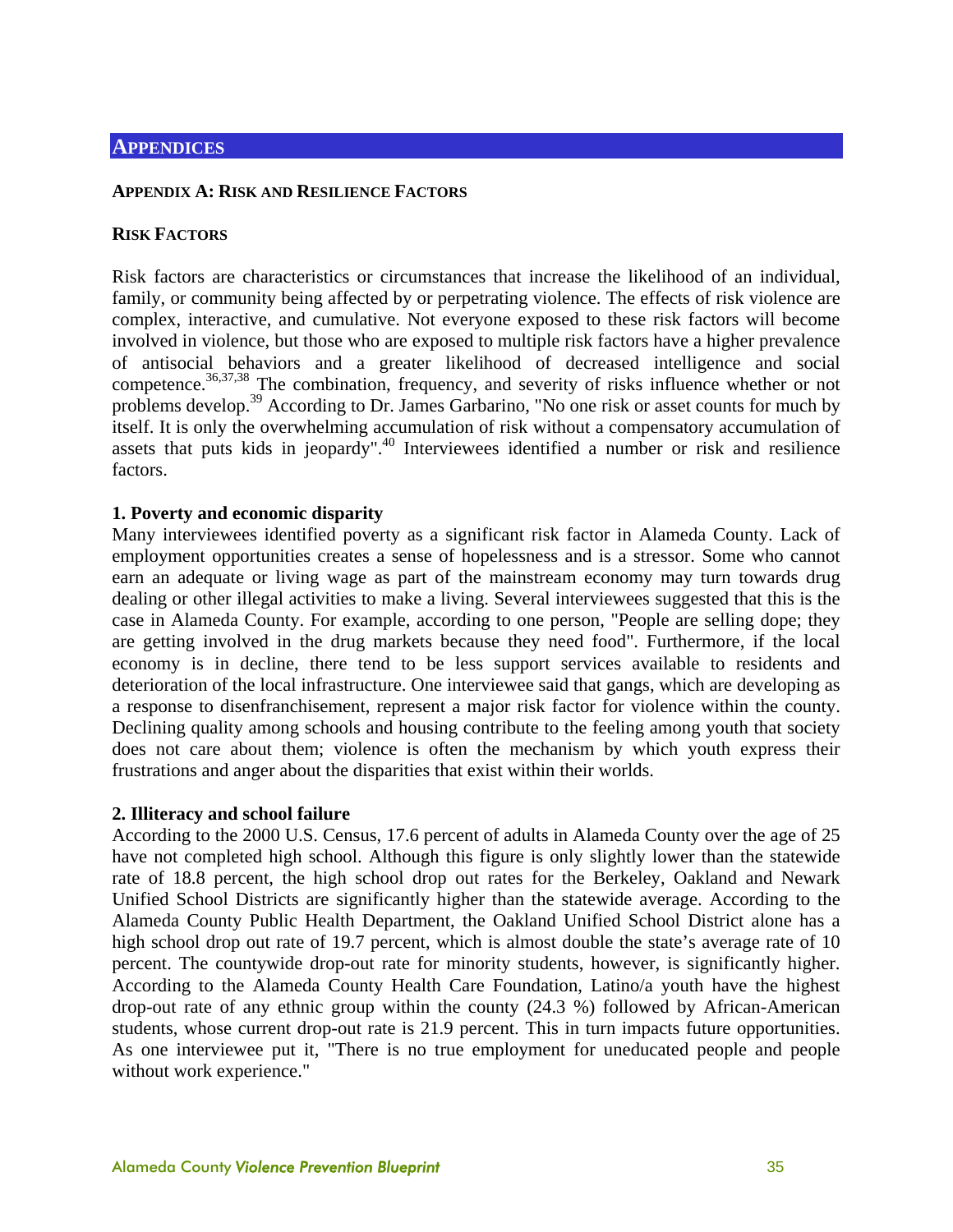#### **APPENDIX A: RISK AND RESILIENCE FACTORS**

#### **RISK FACTORS**

Risk factors are characteristics or circumstances that increase the likelihood of an individual, family, or community being affected by or perpetrating violence. The effects of risk violence are complex, interactive, and cumulative. Not everyone exposed to these risk factors will become involved in violence, but those who are exposed to multiple risk factors have a higher prevalence of antisocial behaviors and a greater likelihood of decreased intelligence and social competence.<sup>36,37,38</sup> The combination, frequency, and severity of risks influence whether or not problems develop.<sup>39</sup> According to Dr. James Garbarino, "No one risk or asset counts for much by itself. It is only the overwhelming accumulation of risk without a compensatory accumulation of assets that puts kids in jeopardy".<sup>40</sup> Interviewees identified a number or risk and resilience factors.

#### **1. Poverty and economic disparity**

Many interviewees identified poverty as a significant risk factor in Alameda County. Lack of employment opportunities creates a sense of hopelessness and is a stressor. Some who cannot earn an adequate or living wage as part of the mainstream economy may turn towards drug dealing or other illegal activities to make a living. Several interviewees suggested that this is the case in Alameda County. For example, according to one person, "People are selling dope; they are getting involved in the drug markets because they need food". Furthermore, if the local economy is in decline, there tend to be less support services available to residents and deterioration of the local infrastructure. One interviewee said that gangs, which are developing as a response to disenfranchisement, represent a major risk factor for violence within the county. Declining quality among schools and housing contribute to the feeling among youth that society does not care about them; violence is often the mechanism by which youth express their frustrations and anger about the disparities that exist within their worlds.

#### **2. Illiteracy and school failure**

According to the 2000 U.S. Census, 17.6 percent of adults in Alameda County over the age of 25 have not completed high school. Although this figure is only slightly lower than the statewide rate of 18.8 percent, the high school drop out rates for the Berkeley, Oakland and Newark Unified School Districts are significantly higher than the statewide average. According to the Alameda County Public Health Department, the Oakland Unified School District alone has a high school drop out rate of 19.7 percent, which is almost double the state's average rate of 10 percent. The countywide drop-out rate for minority students, however, is significantly higher. According to the Alameda County Health Care Foundation, Latino/a youth have the highest drop-out rate of any ethnic group within the county (24.3 %) followed by African-American students, whose current drop-out rate is 21.9 percent. This in turn impacts future opportunities. As one interviewee put it, "There is no true employment for uneducated people and people without work experience."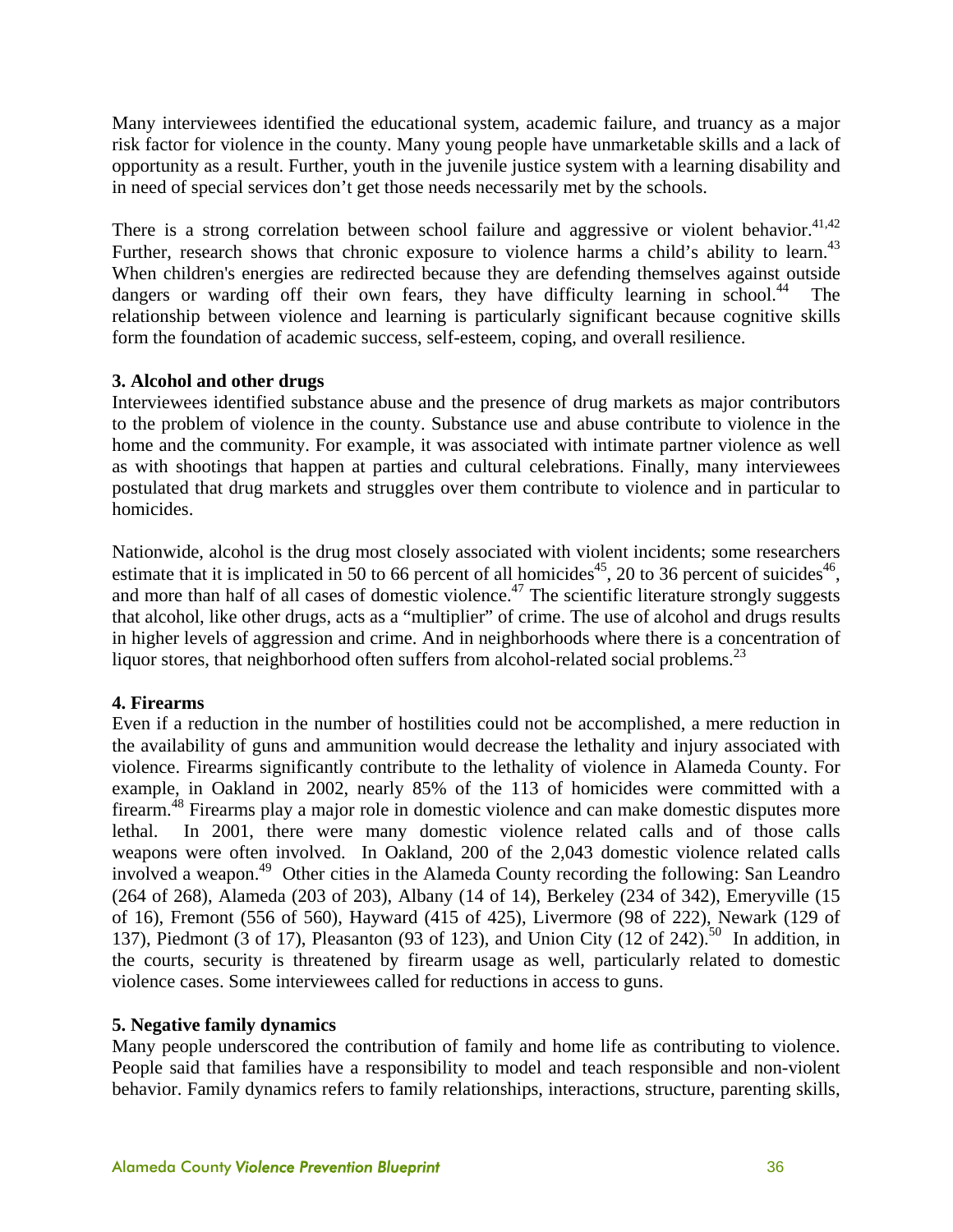Many interviewees identified the educational system, academic failure, and truancy as a major risk factor for violence in the county. Many young people have unmarketable skills and a lack of opportunity as a result. Further, youth in the juvenile justice system with a learning disability and in need of special services don't get those needs necessarily met by the schools.

There is a strong correlation between school failure and aggressive or violent behavior.<sup>41,42</sup> Further, research shows that chronic exposure to violence harms a child's ability to learn.<sup>43</sup> When children's energies are redirected because they are defending themselves against outside dangers or warding off their own fears, they have difficulty learning in school.<sup>44</sup> The relationship between violence and learning is particularly significant because cognitive skills form the foundation of academic success, self-esteem, coping, and overall resilience.

#### **3. Alcohol and other drugs**

Interviewees identified substance abuse and the presence of drug markets as major contributors to the problem of violence in the county. Substance use and abuse contribute to violence in the home and the community. For example, it was associated with intimate partner violence as well as with shootings that happen at parties and cultural celebrations. Finally, many interviewees postulated that drug markets and struggles over them contribute to violence and in particular to homicides.

Nationwide, alcohol is the drug most closely associated with violent incidents; some researchers estimate that it is implicated in 50 to 66 percent of all homicides<sup>45</sup>, 20 to 36 percent of suicides<sup>46</sup>, and more than half of all cases of domestic violence.<sup>47</sup> The scientific literature strongly suggests that alcohol, like other drugs, acts as a "multiplier" of crime. The use of alcohol and drugs results in higher levels of aggression and crime. And in neighborhoods where there is a concentration of liquor stores, that neighborhood often suffers from alcohol-related social problems. $^{23}$ 

#### **4. Firearms**

Even if a reduction in the number of hostilities could not be accomplished, a mere reduction in the availability of guns and ammunition would decrease the lethality and injury associated with violence. Firearms significantly contribute to the lethality of violence in Alameda County. For example, in Oakland in 2002, nearly 85% of the 113 of homicides were committed with a firearm.48 Firearms play a major role in domestic violence and can make domestic disputes more lethal. In 2001, there were many domestic violence related calls and of those calls weapons were often involved. In Oakland, 200 of the 2,043 domestic violence related calls involved a weapon.49 Other cities in the Alameda County recording the following: San Leandro (264 of 268), Alameda (203 of 203), Albany (14 of 14), Berkeley (234 of 342), Emeryville (15 of 16), Fremont (556 of 560), Hayward (415 of 425), Livermore (98 of 222), Newark (129 of 137), Piedmont (3 of 17), Pleasanton (93 of 123), and Union City (12 of 242).<sup>50</sup> In addition, in the courts, security is threatened by firearm usage as well, particularly related to domestic violence cases. Some interviewees called for reductions in access to guns.

#### **5. Negative family dynamics**

Many people underscored the contribution of family and home life as contributing to violence. People said that families have a responsibility to model and teach responsible and non-violent behavior. Family dynamics refers to family relationships, interactions, structure, parenting skills,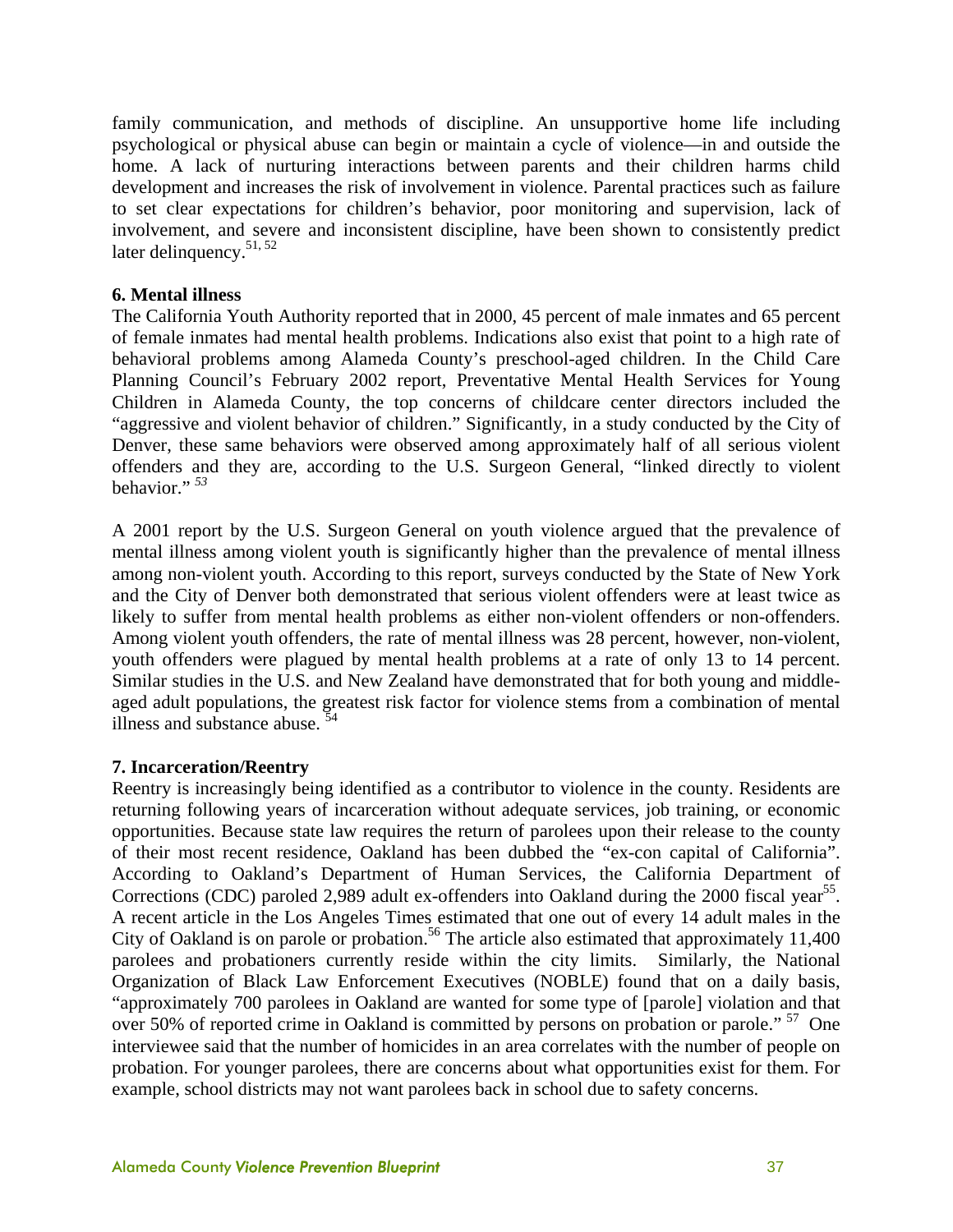family communication, and methods of discipline. An unsupportive home life including psychological or physical abuse can begin or maintain a cycle of violence—in and outside the home. A lack of nurturing interactions between parents and their children harms child development and increases the risk of involvement in violence. Parental practices such as failure to set clear expectations for children's behavior, poor monitoring and supervision, lack of involvement, and severe and inconsistent discipline, have been shown to consistently predict later delinquency.<sup>51, 52</sup>

#### **6. Mental illness**

The California Youth Authority reported that in 2000, 45 percent of male inmates and 65 percent of female inmates had mental health problems. Indications also exist that point to a high rate of behavioral problems among Alameda County's preschool-aged children. In the Child Care Planning Council's February 2002 report, Preventative Mental Health Services for Young Children in Alameda County, the top concerns of childcare center directors included the "aggressive and violent behavior of children." Significantly, in a study conducted by the City of Denver, these same behaviors were observed among approximately half of all serious violent offenders and they are, according to the U.S. Surgeon General, "linked directly to violent behavior." *<sup>53</sup>*

A 2001 report by the U.S. Surgeon General on youth violence argued that the prevalence of mental illness among violent youth is significantly higher than the prevalence of mental illness among non-violent youth. According to this report, surveys conducted by the State of New York and the City of Denver both demonstrated that serious violent offenders were at least twice as likely to suffer from mental health problems as either non-violent offenders or non-offenders. Among violent youth offenders, the rate of mental illness was 28 percent, however, non-violent, youth offenders were plagued by mental health problems at a rate of only 13 to 14 percent. Similar studies in the U.S. and New Zealand have demonstrated that for both young and middleaged adult populations, the greatest risk factor for violence stems from a combination of mental illness and substance abuse.  $\frac{5}{4}$ 

#### **7. Incarceration/Reentry**

Reentry is increasingly being identified as a contributor to violence in the county. Residents are returning following years of incarceration without adequate services, job training, or economic opportunities. Because state law requires the return of parolees upon their release to the county of their most recent residence, Oakland has been dubbed the "ex-con capital of California". According to Oakland's Department of Human Services, the California Department of Corrections (CDC) paroled 2,989 adult ex-offenders into Oakland during the 2000 fiscal year<sup>55</sup>. A recent article in the Los Angeles Times estimated that one out of every 14 adult males in the City of Oakland is on parole or probation.<sup>56</sup> The article also estimated that approximately 11,400 parolees and probationers currently reside within the city limits. Similarly, the National Organization of Black Law Enforcement Executives (NOBLE) found that on a daily basis, "approximately 700 parolees in Oakland are wanted for some type of [parole] violation and that over 50% of reported crime in Oakland is committed by persons on probation or parole." <sup>57</sup> One interviewee said that the number of homicides in an area correlates with the number of people on probation. For younger parolees, there are concerns about what opportunities exist for them. For example, school districts may not want parolees back in school due to safety concerns.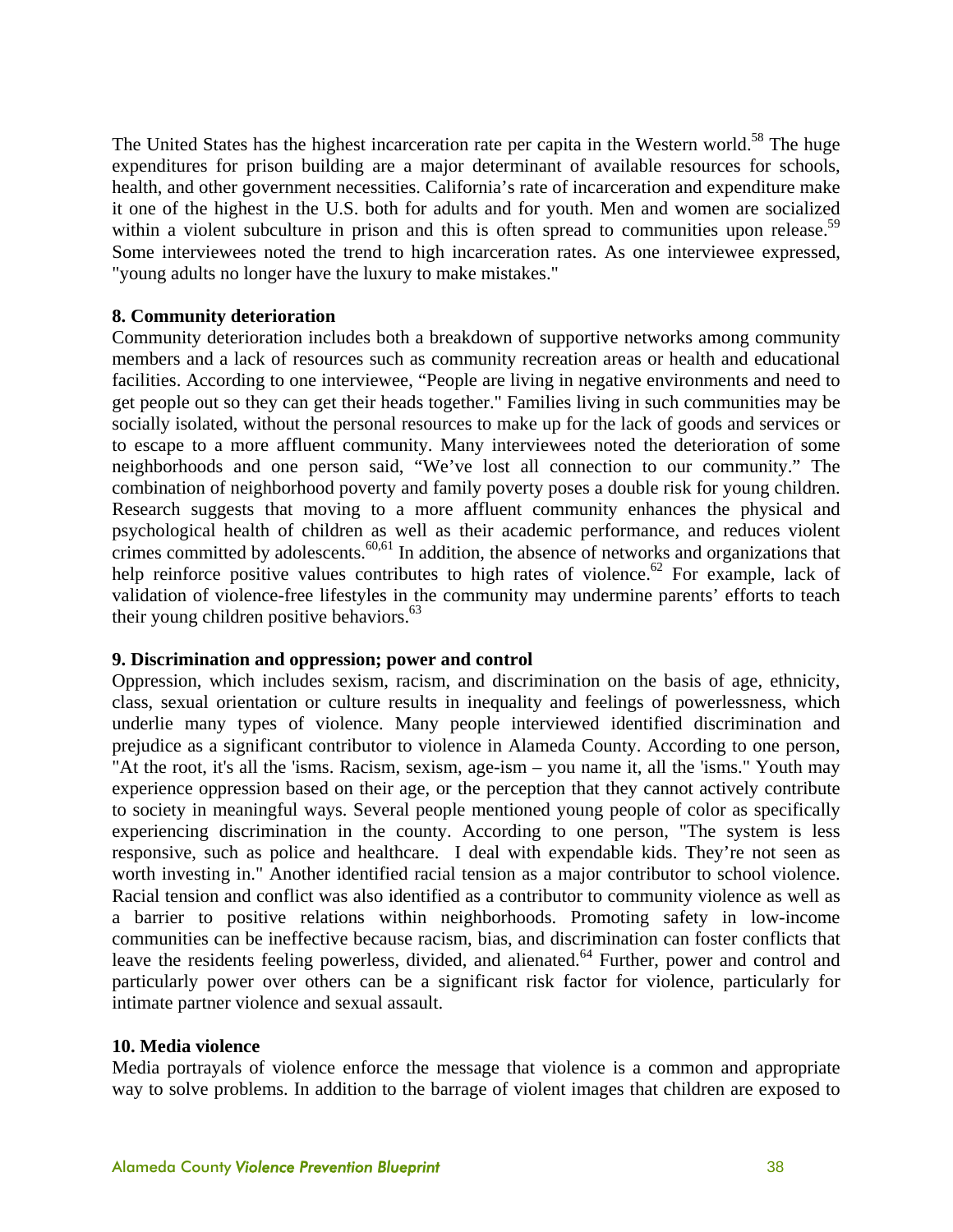The United States has the highest incarceration rate per capita in the Western world.<sup>58</sup> The huge expenditures for prison building are a major determinant of available resources for schools, health, and other government necessities. California's rate of incarceration and expenditure make it one of the highest in the U.S. both for adults and for youth. Men and women are socialized within a violent subculture in prison and this is often spread to communities upon release.<sup>59</sup> Some interviewees noted the trend to high incarceration rates. As one interviewee expressed, "young adults no longer have the luxury to make mistakes."

#### **8. Community deterioration**

Community deterioration includes both a breakdown of supportive networks among community members and a lack of resources such as community recreation areas or health and educational facilities. According to one interviewee, "People are living in negative environments and need to get people out so they can get their heads together." Families living in such communities may be socially isolated, without the personal resources to make up for the lack of goods and services or to escape to a more affluent community. Many interviewees noted the deterioration of some neighborhoods and one person said, "We've lost all connection to our community." The combination of neighborhood poverty and family poverty poses a double risk for young children. Research suggests that moving to a more affluent community enhances the physical and psychological health of children as well as their academic performance, and reduces violent crimes committed by adolescents.<sup>60,61</sup> In addition, the absence of networks and organizations that help reinforce positive values contributes to high rates of violence.<sup>62</sup> For example, lack of validation of violence-free lifestyles in the community may undermine parents' efforts to teach their young children positive behaviors.<sup>63</sup>

#### **9. Discrimination and oppression; power and control**

Oppression, which includes sexism, racism, and discrimination on the basis of age, ethnicity, class, sexual orientation or culture results in inequality and feelings of powerlessness, which underlie many types of violence. Many people interviewed identified discrimination and prejudice as a significant contributor to violence in Alameda County. According to one person, "At the root, it's all the 'isms. Racism, sexism, age-ism – you name it, all the 'isms." Youth may experience oppression based on their age, or the perception that they cannot actively contribute to society in meaningful ways. Several people mentioned young people of color as specifically experiencing discrimination in the county. According to one person, "The system is less responsive, such as police and healthcare. I deal with expendable kids. They're not seen as worth investing in." Another identified racial tension as a major contributor to school violence. Racial tension and conflict was also identified as a contributor to community violence as well as a barrier to positive relations within neighborhoods. Promoting safety in low-income communities can be ineffective because racism, bias, and discrimination can foster conflicts that leave the residents feeling powerless, divided, and alienated.<sup>64</sup> Further, power and control and particularly power over others can be a significant risk factor for violence, particularly for intimate partner violence and sexual assault.

#### **10. Media violence**

Media portrayals of violence enforce the message that violence is a common and appropriate way to solve problems. In addition to the barrage of violent images that children are exposed to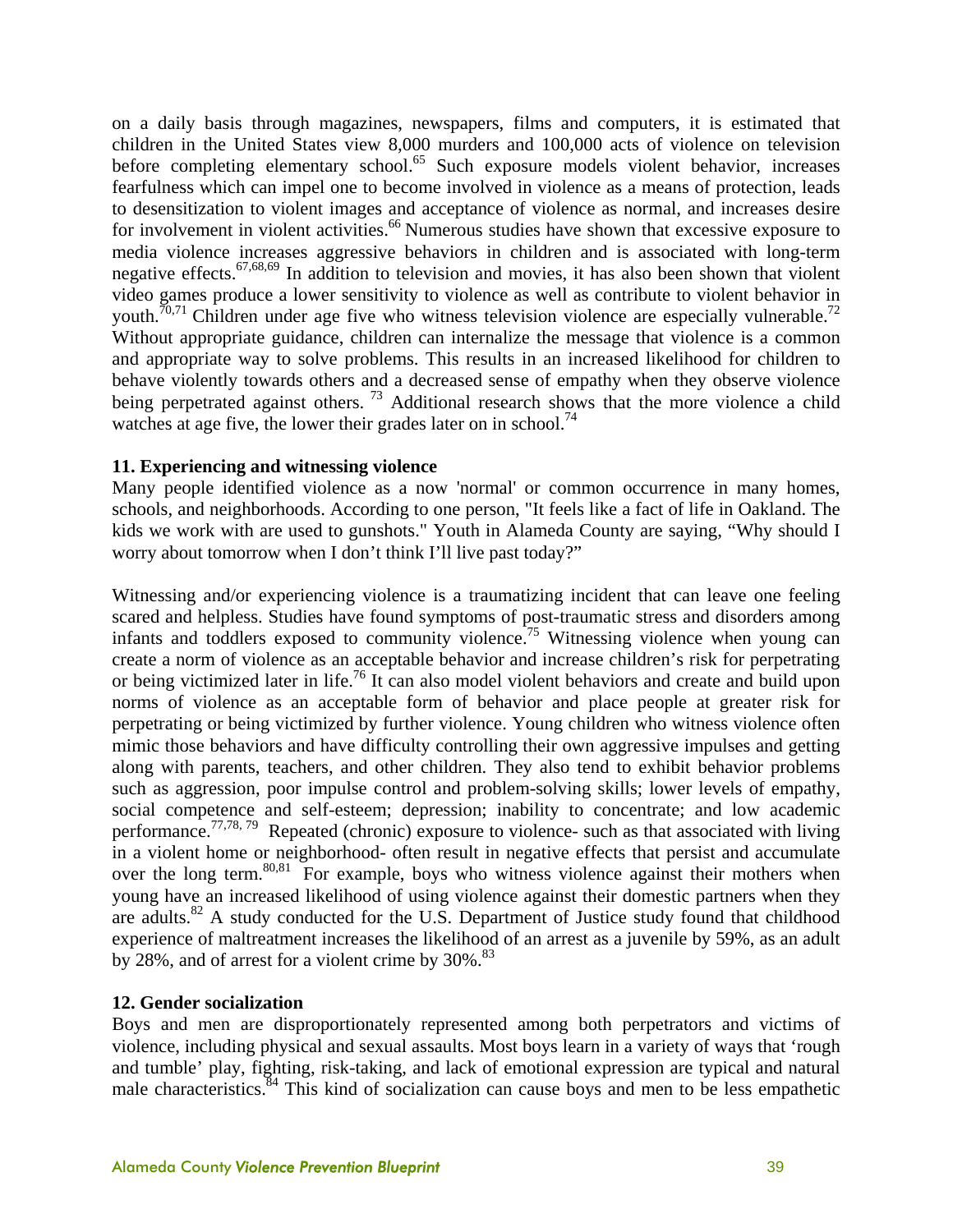on a daily basis through magazines, newspapers, films and computers, it is estimated that children in the United States view 8,000 murders and 100,000 acts of violence on television before completing elementary school.<sup>65</sup> Such exposure models violent behavior, increases fearfulness which can impel one to become involved in violence as a means of protection, leads to desensitization to violent images and acceptance of violence as normal, and increases desire for involvement in violent activities.<sup>66</sup> Numerous studies have shown that excessive exposure to media violence increases aggressive behaviors in children and is associated with long-term negative effects.<sup>67,68,69</sup> In addition to television and movies, it has also been shown that violent video games produce a lower sensitivity to violence as well as contribute to violent behavior in youth.<sup>70,71</sup> Children under age five who witness television violence are especially vulnerable.<sup>72</sup> Without appropriate guidance, children can internalize the message that violence is a common and appropriate way to solve problems. This results in an increased likelihood for children to behave violently towards others and a decreased sense of empathy when they observe violence being perpetrated against others.<sup>73</sup> Additional research shows that the more violence a child watches at age five, the lower their grades later on in school.<sup>74</sup>

#### **11. Experiencing and witnessing violence**

Many people identified violence as a now 'normal' or common occurrence in many homes, schools, and neighborhoods. According to one person, "It feels like a fact of life in Oakland. The kids we work with are used to gunshots." Youth in Alameda County are saying, "Why should I worry about tomorrow when I don't think I'll live past today?"

Witnessing and/or experiencing violence is a traumatizing incident that can leave one feeling scared and helpless. Studies have found symptoms of post-traumatic stress and disorders among infants and toddlers exposed to community violence.75 Witnessing violence when young can create a norm of violence as an acceptable behavior and increase children's risk for perpetrating or being victimized later in life.76 It can also model violent behaviors and create and build upon norms of violence as an acceptable form of behavior and place people at greater risk for perpetrating or being victimized by further violence. Young children who witness violence often mimic those behaviors and have difficulty controlling their own aggressive impulses and getting along with parents, teachers, and other children. They also tend to exhibit behavior problems such as aggression, poor impulse control and problem-solving skills; lower levels of empathy, social competence and self-esteem; depression; inability to concentrate; and low academic performance.<sup>77,78, 79</sup> Repeated (chronic) exposure to violence- such as that associated with living in a violent home or neighborhood- often result in negative effects that persist and accumulate over the long term. $80,81$  For example, boys who witness violence against their mothers when young have an increased likelihood of using violence against their domestic partners when they are adults. $82$  A study conducted for the U.S. Department of Justice study found that childhood experience of maltreatment increases the likelihood of an arrest as a juvenile by 59%, as an adult by  $28\%$ , and of arrest for a violent crime by  $30\%$ .<sup>83</sup>

#### **12. Gender socialization**

Boys and men are disproportionately represented among both perpetrators and victims of violence, including physical and sexual assaults. Most boys learn in a variety of ways that 'rough and tumble' play, fighting, risk-taking, and lack of emotional expression are typical and natural male characteristics. $84$  This kind of socialization can cause boys and men to be less empathetic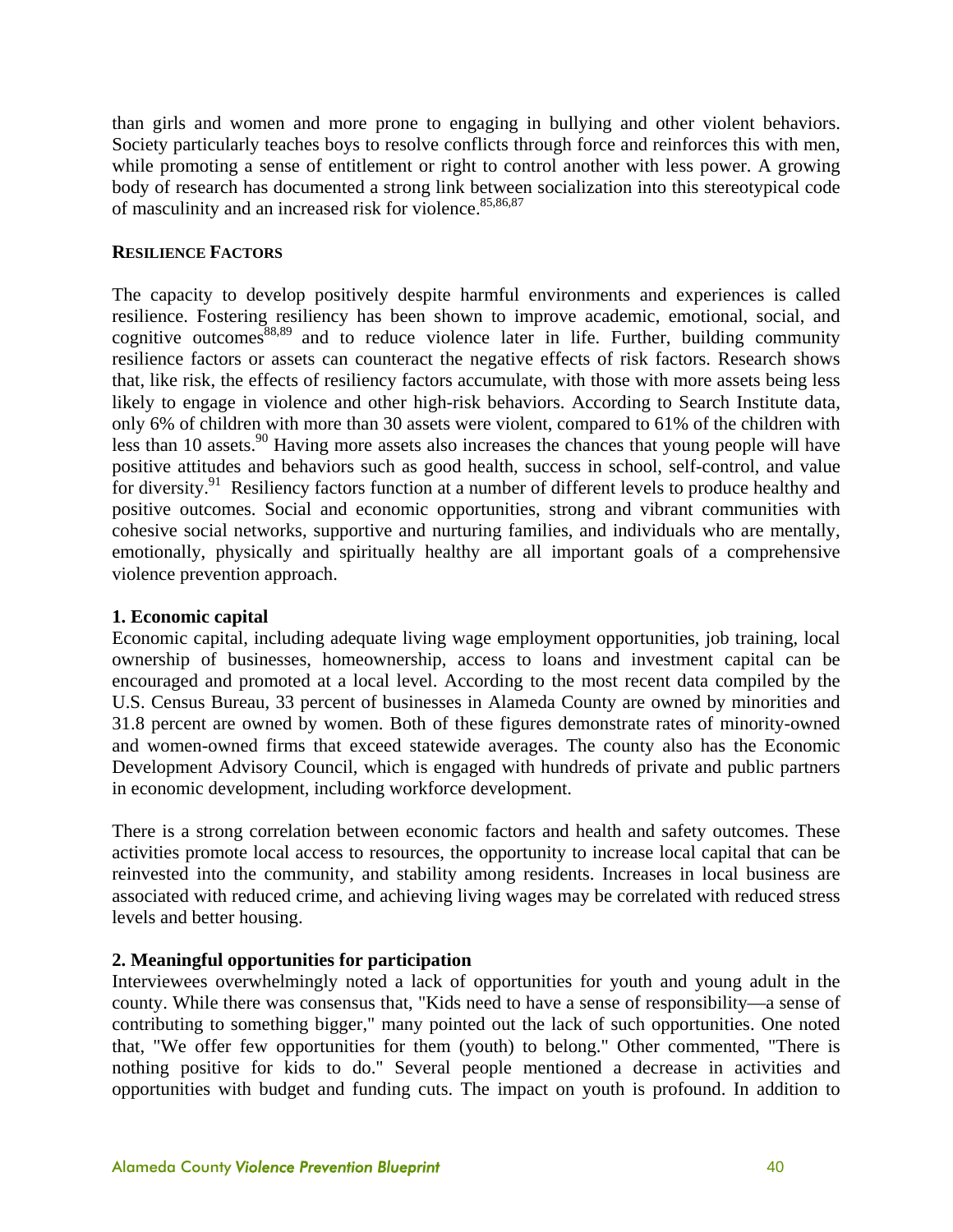than girls and women and more prone to engaging in bullying and other violent behaviors. Society particularly teaches boys to resolve conflicts through force and reinforces this with men, while promoting a sense of entitlement or right to control another with less power. A growing body of research has documented a strong link between socialization into this stereotypical code of masculinity and an increased risk for violence.<sup>85,86,87</sup>

#### **RESILIENCE FACTORS**

The capacity to develop positively despite harmful environments and experiences is called resilience. Fostering resiliency has been shown to improve academic, emotional, social, and cognitive outcomes  $88,89$  and to reduce violence later in life. Further, building community resilience factors or assets can counteract the negative effects of risk factors. Research shows that, like risk, the effects of resiliency factors accumulate, with those with more assets being less likely to engage in violence and other high-risk behaviors. According to Search Institute data, only 6% of children with more than 30 assets were violent, compared to 61% of the children with less than 10 assets.<sup>90</sup> Having more assets also increases the chances that young people will have positive attitudes and behaviors such as good health, success in school, self-control, and value for diversity.<sup>91</sup> Resiliency factors function at a number of different levels to produce healthy and positive outcomes. Social and economic opportunities, strong and vibrant communities with cohesive social networks, supportive and nurturing families, and individuals who are mentally, emotionally, physically and spiritually healthy are all important goals of a comprehensive violence prevention approach.

#### **1. Economic capital**

Economic capital, including adequate living wage employment opportunities, job training, local ownership of businesses, homeownership, access to loans and investment capital can be encouraged and promoted at a local level. According to the most recent data compiled by the U.S. Census Bureau, 33 percent of businesses in Alameda County are owned by minorities and 31.8 percent are owned by women. Both of these figures demonstrate rates of minority-owned and women-owned firms that exceed statewide averages. The county also has the Economic Development Advisory Council, which is engaged with hundreds of private and public partners in economic development, including workforce development.

There is a strong correlation between economic factors and health and safety outcomes. These activities promote local access to resources, the opportunity to increase local capital that can be reinvested into the community, and stability among residents. Increases in local business are associated with reduced crime, and achieving living wages may be correlated with reduced stress levels and better housing.

#### **2. Meaningful opportunities for participation**

Interviewees overwhelmingly noted a lack of opportunities for youth and young adult in the county. While there was consensus that, "Kids need to have a sense of responsibility—a sense of contributing to something bigger," many pointed out the lack of such opportunities. One noted that, "We offer few opportunities for them (youth) to belong." Other commented, "There is nothing positive for kids to do." Several people mentioned a decrease in activities and opportunities with budget and funding cuts. The impact on youth is profound. In addition to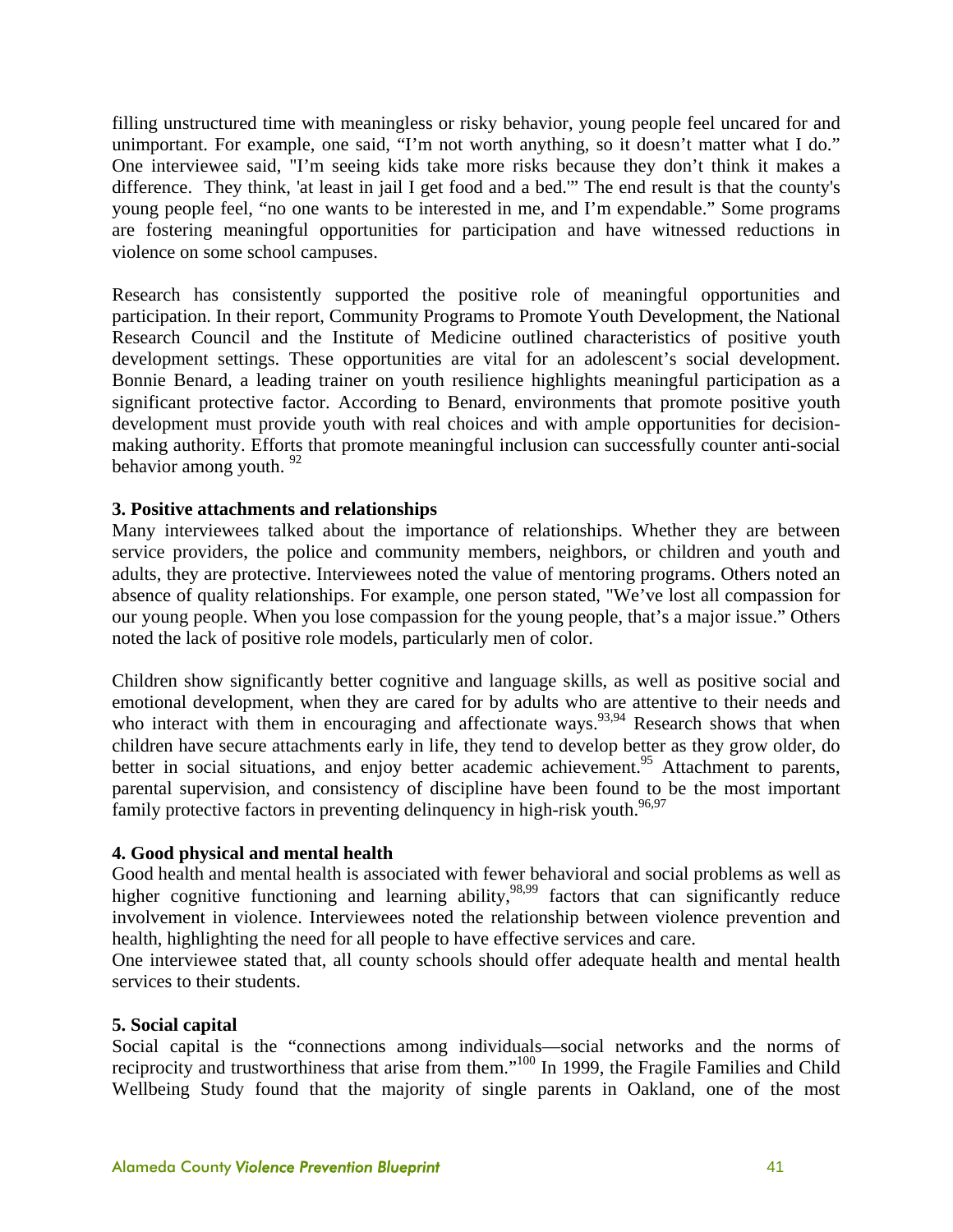filling unstructured time with meaningless or risky behavior, young people feel uncared for and unimportant. For example, one said, "I'm not worth anything, so it doesn't matter what I do." One interviewee said, "I'm seeing kids take more risks because they don't think it makes a difference. They think, 'at least in jail I get food and a bed.'" The end result is that the county's young people feel, "no one wants to be interested in me, and I'm expendable." Some programs are fostering meaningful opportunities for participation and have witnessed reductions in violence on some school campuses.

Research has consistently supported the positive role of meaningful opportunities and participation. In their report, Community Programs to Promote Youth Development, the National Research Council and the Institute of Medicine outlined characteristics of positive youth development settings. These opportunities are vital for an adolescent's social development. Bonnie Benard, a leading trainer on youth resilience highlights meaningful participation as a significant protective factor. According to Benard, environments that promote positive youth development must provide youth with real choices and with ample opportunities for decisionmaking authority. Efforts that promote meaningful inclusion can successfully counter anti-social behavior among youth.  $92$ 

#### **3. Positive attachments and relationships**

Many interviewees talked about the importance of relationships. Whether they are between service providers, the police and community members, neighbors, or children and youth and adults, they are protective. Interviewees noted the value of mentoring programs. Others noted an absence of quality relationships. For example, one person stated, "We've lost all compassion for our young people. When you lose compassion for the young people, that's a major issue." Others noted the lack of positive role models, particularly men of color.

Children show significantly better cognitive and language skills, as well as positive social and emotional development, when they are cared for by adults who are attentive to their needs and who interact with them in encouraging and affectionate ways.<sup>93,94</sup> Research shows that when children have secure attachments early in life, they tend to develop better as they grow older, do better in social situations, and enjoy better academic achievement.<sup>95</sup> Attachment to parents, parental supervision, and consistency of discipline have been found to be the most important family protective factors in preventing delinquency in high-risk youth.<sup>96,97</sup>

#### **4. Good physical and mental health**

Good health and mental health is associated with fewer behavioral and social problems as well as higher cognitive functioning and learning ability,<sup>98,99</sup> factors that can significantly reduce involvement in violence. Interviewees noted the relationship between violence prevention and health, highlighting the need for all people to have effective services and care.

One interviewee stated that, all county schools should offer adequate health and mental health services to their students.

#### **5. Social capital**

Social capital is the "connections among individuals—social networks and the norms of reciprocity and trustworthiness that arise from them."<sup>100</sup> In 1999, the Fragile Families and Child Wellbeing Study found that the majority of single parents in Oakland, one of the most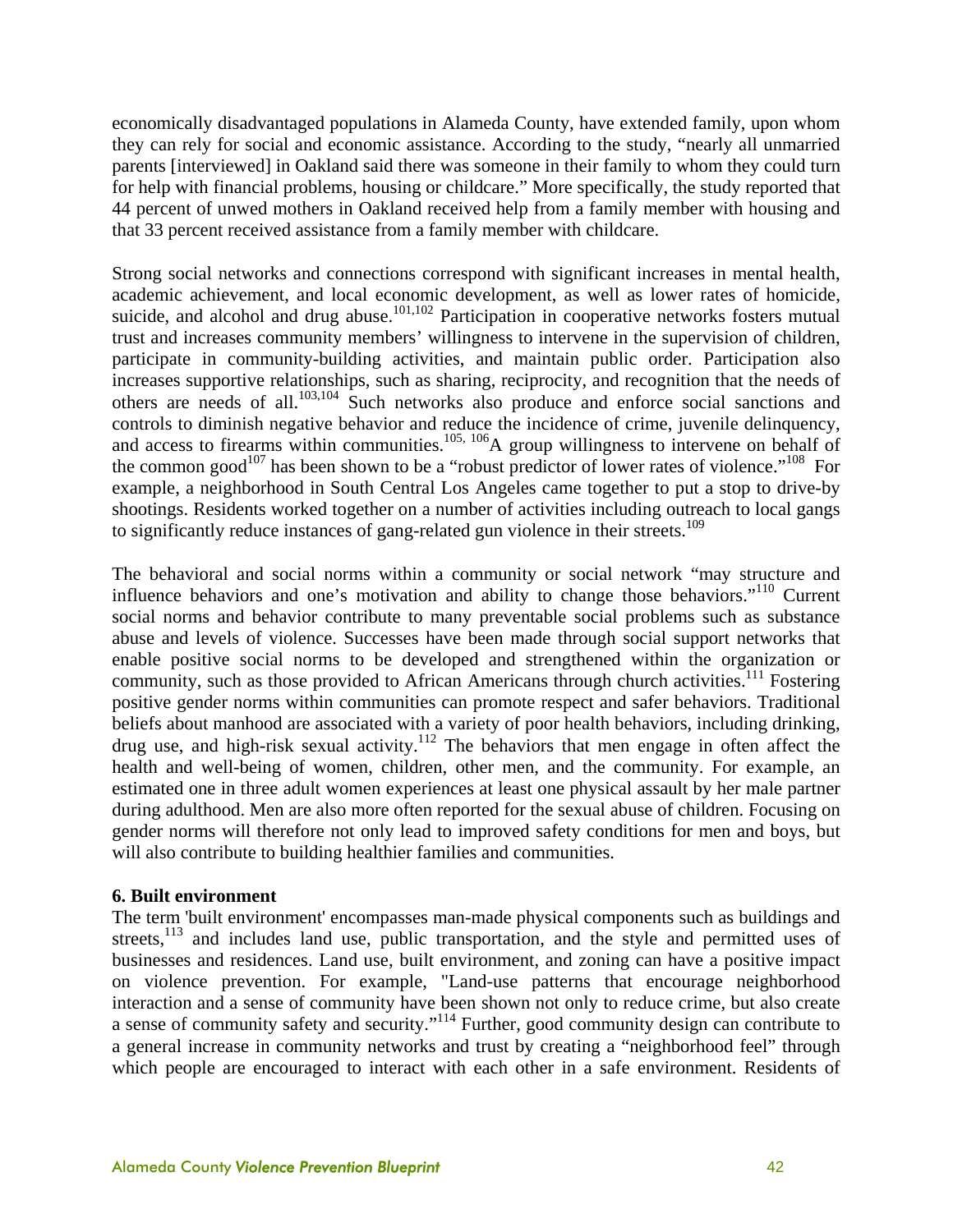economically disadvantaged populations in Alameda County, have extended family, upon whom they can rely for social and economic assistance. According to the study, "nearly all unmarried parents [interviewed] in Oakland said there was someone in their family to whom they could turn for help with financial problems, housing or childcare." More specifically, the study reported that 44 percent of unwed mothers in Oakland received help from a family member with housing and that 33 percent received assistance from a family member with childcare.

Strong social networks and connections correspond with significant increases in mental health, academic achievement, and local economic development, as well as lower rates of homicide, suicide, and alcohol and drug abuse.<sup>101,102</sup> Participation in cooperative networks fosters mutual trust and increases community members' willingness to intervene in the supervision of children, participate in community-building activities, and maintain public order. Participation also increases supportive relationships, such as sharing, reciprocity, and recognition that the needs of others are needs of all.103,104 Such networks also produce and enforce social sanctions and controls to diminish negative behavior and reduce the incidence of crime, juvenile delinquency, and access to firearms within communities.<sup>105, 106</sup>A group willingness to intervene on behalf of the common good<sup>107</sup> has been shown to be a "robust predictor of lower rates of violence."<sup>108</sup> For example, a neighborhood in South Central Los Angeles came together to put a stop to drive-by shootings. Residents worked together on a number of activities including outreach to local gangs to significantly reduce instances of gang-related gun violence in their streets.<sup>109</sup>

The behavioral and social norms within a community or social network "may structure and influence behaviors and one's motivation and ability to change those behaviors."110 Current social norms and behavior contribute to many preventable social problems such as substance abuse and levels of violence. Successes have been made through social support networks that enable positive social norms to be developed and strengthened within the organization or community, such as those provided to African Americans through church activities.<sup>111</sup> Fostering positive gender norms within communities can promote respect and safer behaviors. Traditional beliefs about manhood are associated with a variety of poor health behaviors, including drinking, drug use, and high-risk sexual activity.<sup>112</sup> The behaviors that men engage in often affect the health and well-being of women, children, other men, and the community. For example, an estimated one in three adult women experiences at least one physical assault by her male partner during adulthood. Men are also more often reported for the sexual abuse of children. Focusing on gender norms will therefore not only lead to improved safety conditions for men and boys, but will also contribute to building healthier families and communities.

#### **6. Built environment**

The term 'built environment' encompasses man-made physical components such as buildings and streets, $^{113}$  and includes land use, public transportation, and the style and permitted uses of businesses and residences. Land use, built environment, and zoning can have a positive impact on violence prevention. For example, "Land-use patterns that encourage neighborhood interaction and a sense of community have been shown not only to reduce crime, but also create a sense of community safety and security."114 Further, good community design can contribute to a general increase in community networks and trust by creating a "neighborhood feel" through which people are encouraged to interact with each other in a safe environment. Residents of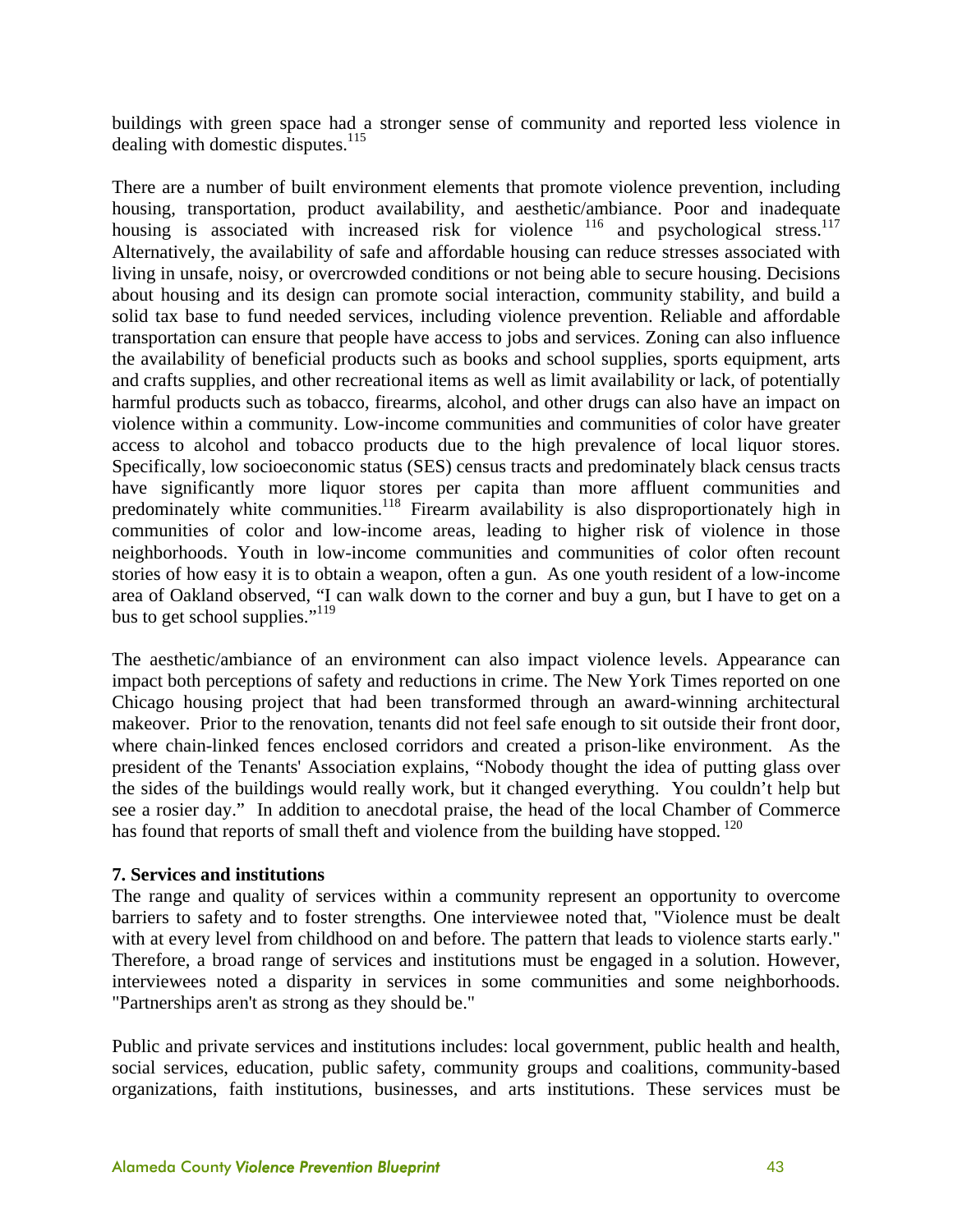buildings with green space had a stronger sense of community and reported less violence in dealing with domestic disputes. $^{115}$ 

There are a number of built environment elements that promote violence prevention, including housing, transportation, product availability, and aesthetic/ambiance. Poor and inadequate housing is associated with increased risk for violence  $116$  and psychological stress.<sup>117</sup> Alternatively, the availability of safe and affordable housing can reduce stresses associated with living in unsafe, noisy, or overcrowded conditions or not being able to secure housing. Decisions about housing and its design can promote social interaction, community stability, and build a solid tax base to fund needed services, including violence prevention. Reliable and affordable transportation can ensure that people have access to jobs and services. Zoning can also influence the availability of beneficial products such as books and school supplies, sports equipment, arts and crafts supplies, and other recreational items as well as limit availability or lack, of potentially harmful products such as tobacco, firearms, alcohol, and other drugs can also have an impact on violence within a community. Low-income communities and communities of color have greater access to alcohol and tobacco products due to the high prevalence of local liquor stores. Specifically, low socioeconomic status (SES) census tracts and predominately black census tracts have significantly more liquor stores per capita than more affluent communities and predominately white communities.<sup>118</sup> Firearm availability is also disproportionately high in communities of color and low-income areas, leading to higher risk of violence in those neighborhoods. Youth in low-income communities and communities of color often recount stories of how easy it is to obtain a weapon, often a gun. As one youth resident of a low-income area of Oakland observed, "I can walk down to the corner and buy a gun, but I have to get on a bus to get school supplies."<sup>119</sup>

The aesthetic/ambiance of an environment can also impact violence levels. Appearance can impact both perceptions of safety and reductions in crime. The New York Times reported on one Chicago housing project that had been transformed through an award-winning architectural makeover. Prior to the renovation, tenants did not feel safe enough to sit outside their front door, where chain-linked fences enclosed corridors and created a prison-like environment. As the president of the Tenants' Association explains, "Nobody thought the idea of putting glass over the sides of the buildings would really work, but it changed everything. You couldn't help but see a rosier day." In addition to anecdotal praise, the head of the local Chamber of Commerce has found that reports of small theft and violence from the building have stopped.<sup>120</sup>

#### **7. Services and institutions**

The range and quality of services within a community represent an opportunity to overcome barriers to safety and to foster strengths. One interviewee noted that, "Violence must be dealt with at every level from childhood on and before. The pattern that leads to violence starts early." Therefore, a broad range of services and institutions must be engaged in a solution. However, interviewees noted a disparity in services in some communities and some neighborhoods. "Partnerships aren't as strong as they should be."

Public and private services and institutions includes: local government, public health and health, social services, education, public safety, community groups and coalitions, community-based organizations, faith institutions, businesses, and arts institutions. These services must be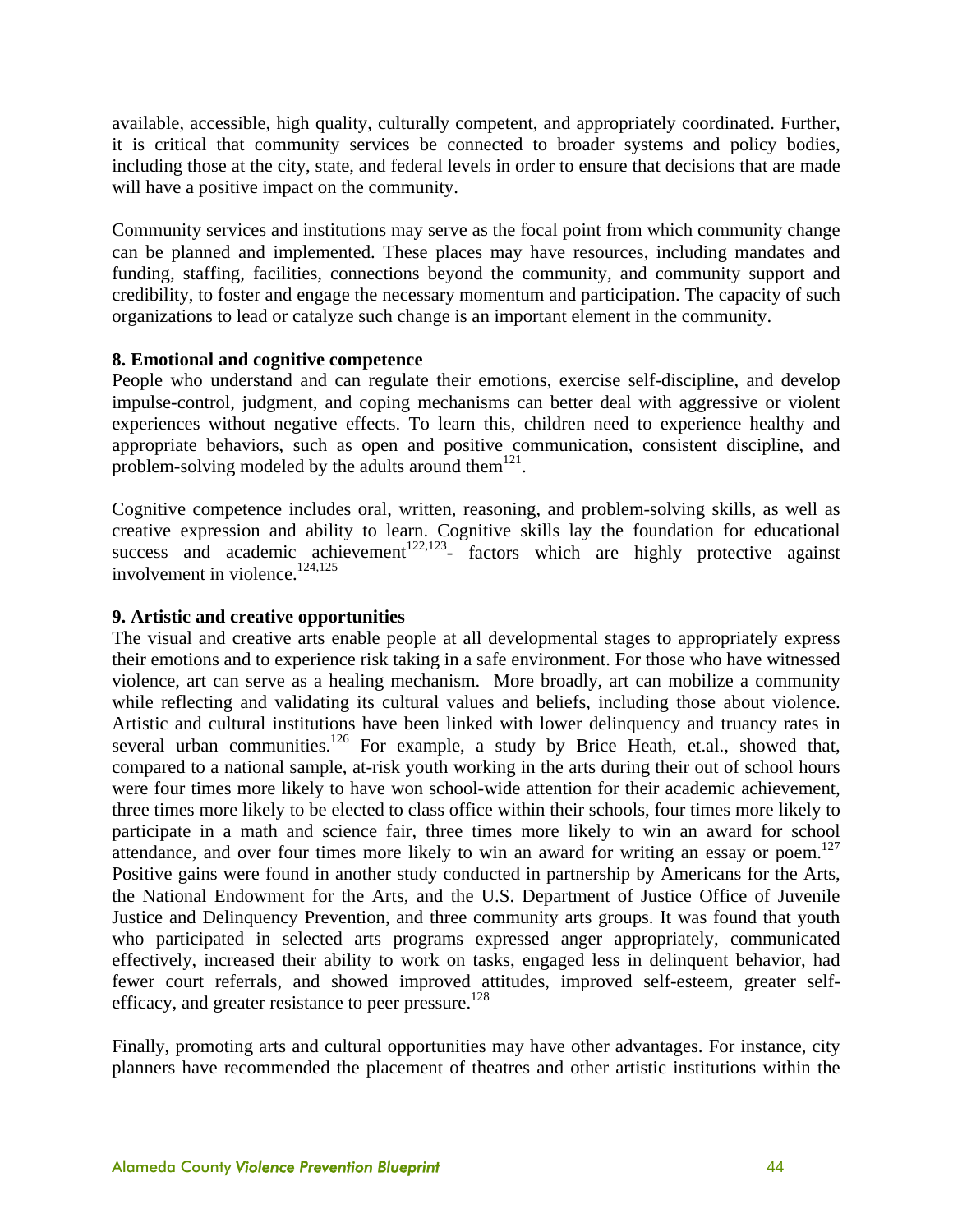available, accessible, high quality, culturally competent, and appropriately coordinated. Further, it is critical that community services be connected to broader systems and policy bodies, including those at the city, state, and federal levels in order to ensure that decisions that are made will have a positive impact on the community.

Community services and institutions may serve as the focal point from which community change can be planned and implemented. These places may have resources, including mandates and funding, staffing, facilities, connections beyond the community, and community support and credibility, to foster and engage the necessary momentum and participation. The capacity of such organizations to lead or catalyze such change is an important element in the community.

#### **8. Emotional and cognitive competence**

People who understand and can regulate their emotions, exercise self-discipline, and develop impulse-control, judgment, and coping mechanisms can better deal with aggressive or violent experiences without negative effects. To learn this, children need to experience healthy and appropriate behaviors, such as open and positive communication, consistent discipline, and problem-solving modeled by the adults around them $^{121}$ .

Cognitive competence includes oral, written, reasoning, and problem-solving skills, as well as creative expression and ability to learn. Cognitive skills lay the foundation for educational success and academic achievement<sup>122,123</sup>- factors which are highly protective against involvement in violence.<sup>124,125</sup>

#### **9. Artistic and creative opportunities**

The visual and creative arts enable people at all developmental stages to appropriately express their emotions and to experience risk taking in a safe environment. For those who have witnessed violence, art can serve as a healing mechanism. More broadly, art can mobilize a community while reflecting and validating its cultural values and beliefs, including those about violence. Artistic and cultural institutions have been linked with lower delinquency and truancy rates in several urban communities.<sup>126</sup> For example, a study by Brice Heath, et.al., showed that, compared to a national sample, at-risk youth working in the arts during their out of school hours were four times more likely to have won school-wide attention for their academic achievement, three times more likely to be elected to class office within their schools, four times more likely to participate in a math and science fair, three times more likely to win an award for school attendance, and over four times more likely to win an award for writing an essay or poem.<sup>127</sup> Positive gains were found in another study conducted in partnership by Americans for the Arts, the National Endowment for the Arts, and the U.S. Department of Justice Office of Juvenile Justice and Delinquency Prevention, and three community arts groups. It was found that youth who participated in selected arts programs expressed anger appropriately, communicated effectively, increased their ability to work on tasks, engaged less in delinquent behavior, had fewer court referrals, and showed improved attitudes, improved self-esteem, greater selfefficacy, and greater resistance to peer pressure.<sup>128</sup>

Finally, promoting arts and cultural opportunities may have other advantages. For instance, city planners have recommended the placement of theatres and other artistic institutions within the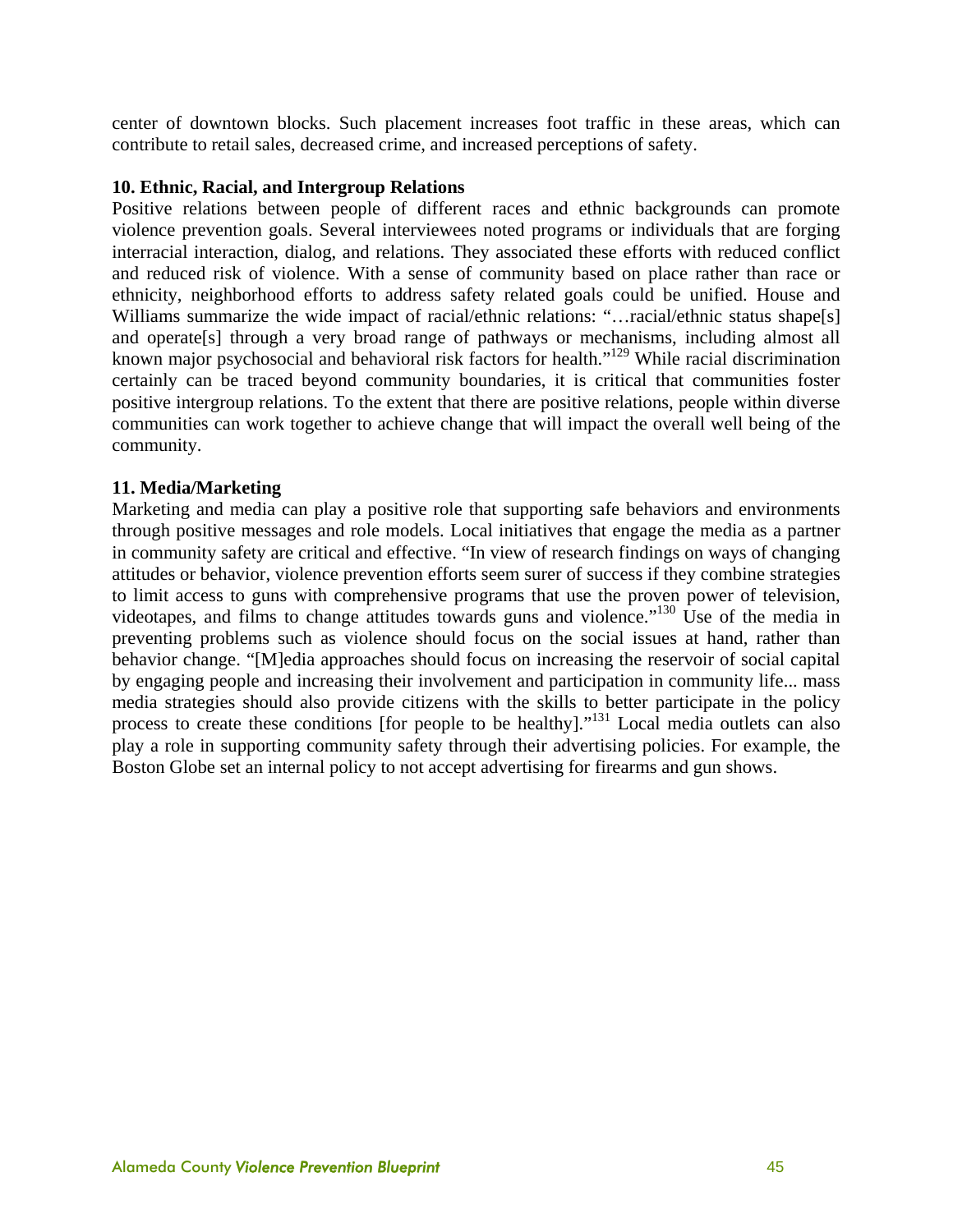center of downtown blocks. Such placement increases foot traffic in these areas, which can contribute to retail sales, decreased crime, and increased perceptions of safety.

#### **10. Ethnic, Racial, and Intergroup Relations**

Positive relations between people of different races and ethnic backgrounds can promote violence prevention goals. Several interviewees noted programs or individuals that are forging interracial interaction, dialog, and relations. They associated these efforts with reduced conflict and reduced risk of violence. With a sense of community based on place rather than race or ethnicity, neighborhood efforts to address safety related goals could be unified. House and Williams summarize the wide impact of racial/ethnic relations: "...racial/ethnic status shape[s] and operate[s] through a very broad range of pathways or mechanisms, including almost all known major psychosocial and behavioral risk factors for health."129 While racial discrimination certainly can be traced beyond community boundaries, it is critical that communities foster positive intergroup relations. To the extent that there are positive relations, people within diverse communities can work together to achieve change that will impact the overall well being of the community.

#### **11. Media/Marketing**

Marketing and media can play a positive role that supporting safe behaviors and environments through positive messages and role models. Local initiatives that engage the media as a partner in community safety are critical and effective. "In view of research findings on ways of changing attitudes or behavior, violence prevention efforts seem surer of success if they combine strategies to limit access to guns with comprehensive programs that use the proven power of television, videotapes, and films to change attitudes towards guns and violence."130 Use of the media in preventing problems such as violence should focus on the social issues at hand, rather than behavior change. "[M]edia approaches should focus on increasing the reservoir of social capital by engaging people and increasing their involvement and participation in community life... mass media strategies should also provide citizens with the skills to better participate in the policy process to create these conditions [for people to be healthy]."<sup>131</sup> Local media outlets can also play a role in supporting community safety through their advertising policies. For example, the Boston Globe set an internal policy to not accept advertising for firearms and gun shows.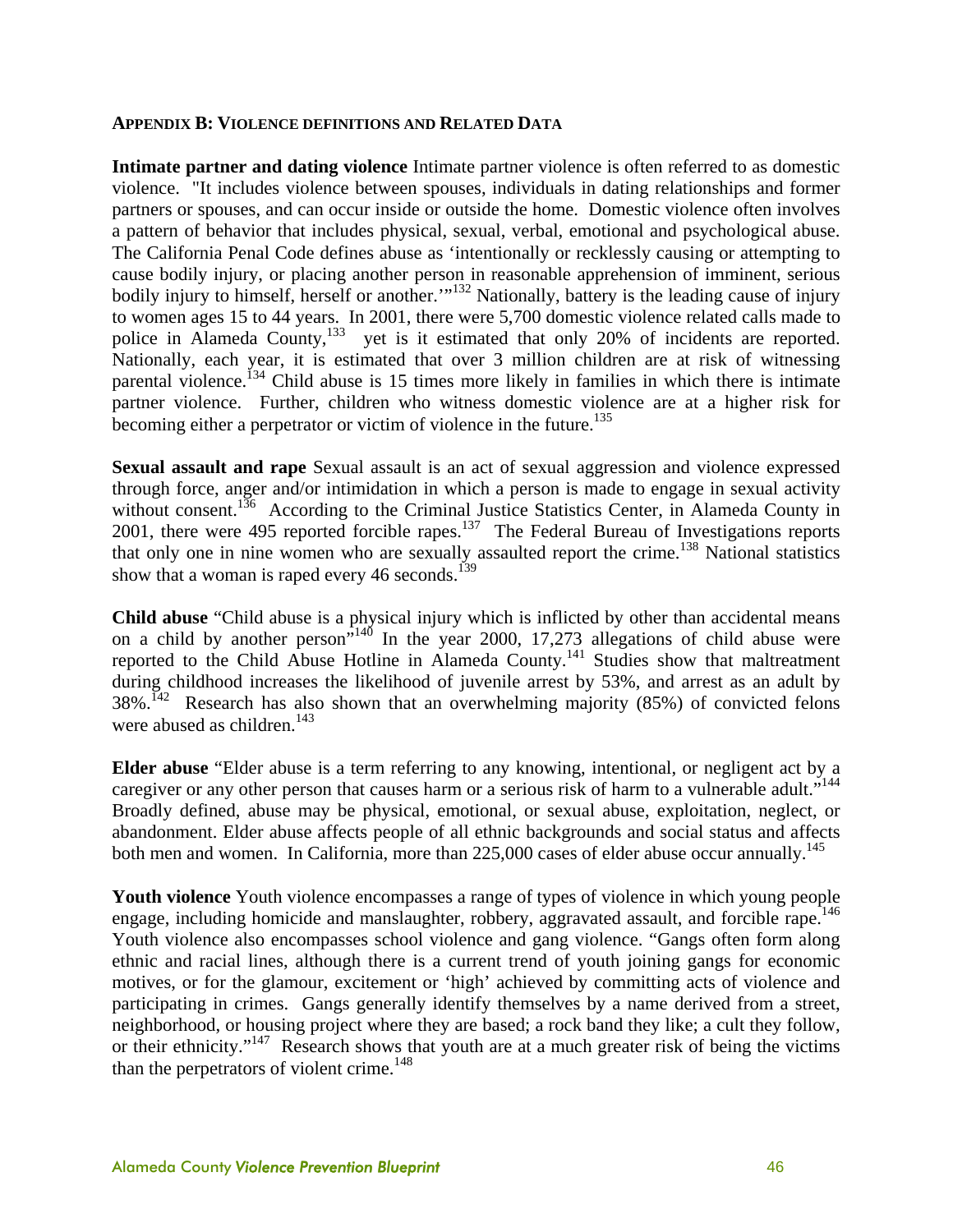#### **APPENDIX B: VIOLENCE DEFINITIONS AND RELATED DATA**

**Intimate partner and dating violence** Intimate partner violence is often referred to as domestic violence. "It includes violence between spouses, individuals in dating relationships and former partners or spouses, and can occur inside or outside the home. Domestic violence often involves a pattern of behavior that includes physical, sexual, verbal, emotional and psychological abuse. The California Penal Code defines abuse as 'intentionally or recklessly causing or attempting to cause bodily injury, or placing another person in reasonable apprehension of imminent, serious bodily injury to himself, herself or another."<sup>132</sup> Nationally, battery is the leading cause of injury to women ages 15 to 44 years. In 2001, there were 5,700 domestic violence related calls made to police in Alameda County,<sup>133</sup> yet is it estimated that only 20% of incidents are reported. Nationally, each year, it is estimated that over 3 million children are at risk of witnessing parental violence.<sup>134</sup> Child abuse is 15 times more likely in families in which there is intimate partner violence. Further, children who witness domestic violence are at a higher risk for becoming either a perpetrator or victim of violence in the future.<sup>135</sup>

**Sexual assault and rape** Sexual assault is an act of sexual aggression and violence expressed through force, anger and/or intimidation in which a person is made to engage in sexual activity without consent.<sup>136</sup> According to the Criminal Justice Statistics Center, in Alameda County in 2001, there were 495 reported forcible rapes.<sup>137</sup> The Federal Bureau of Investigations reports that only one in nine women who are sexually assaulted report the crime.<sup>138</sup> National statistics show that a woman is raped every  $46$  seconds.<sup>139</sup>

**Child abuse** "Child abuse is a physical injury which is inflicted by other than accidental means on a child by another person"140 In the year 2000, 17,273 allegations of child abuse were reported to the Child Abuse Hotline in Alameda County.<sup>141</sup> Studies show that maltreatment during childhood increases the likelihood of juvenile arrest by 53%, and arrest as an adult by  $38\%$ .<sup>142</sup> Research has also shown that an overwhelming majority (85%) of convicted felons were abused as children.<sup>143</sup>

**Elder abuse** "Elder abuse is a term referring to any knowing, intentional, or negligent act by a caregiver or any other person that causes harm or a serious risk of harm to a vulnerable adult."<sup>144</sup> Broadly defined, abuse may be physical, emotional, or sexual abuse, exploitation, neglect, or abandonment. Elder abuse affects people of all ethnic backgrounds and social status and affects both men and women. In California, more than  $225,000$  cases of elder abuse occur annually.<sup>145</sup>

**Youth violence** Youth violence encompasses a range of types of violence in which young people engage, including homicide and manslaughter, robbery, aggravated assault, and forcible rape.<sup>146</sup> Youth violence also encompasses school violence and gang violence. "Gangs often form along ethnic and racial lines, although there is a current trend of youth joining gangs for economic motives, or for the glamour, excitement or 'high' achieved by committing acts of violence and participating in crimes. Gangs generally identify themselves by a name derived from a street, neighborhood, or housing project where they are based; a rock band they like; a cult they follow, or their ethnicity."<sup>147</sup> Research shows that youth are at a much greater risk of being the victims than the perpetrators of violent crime. $148$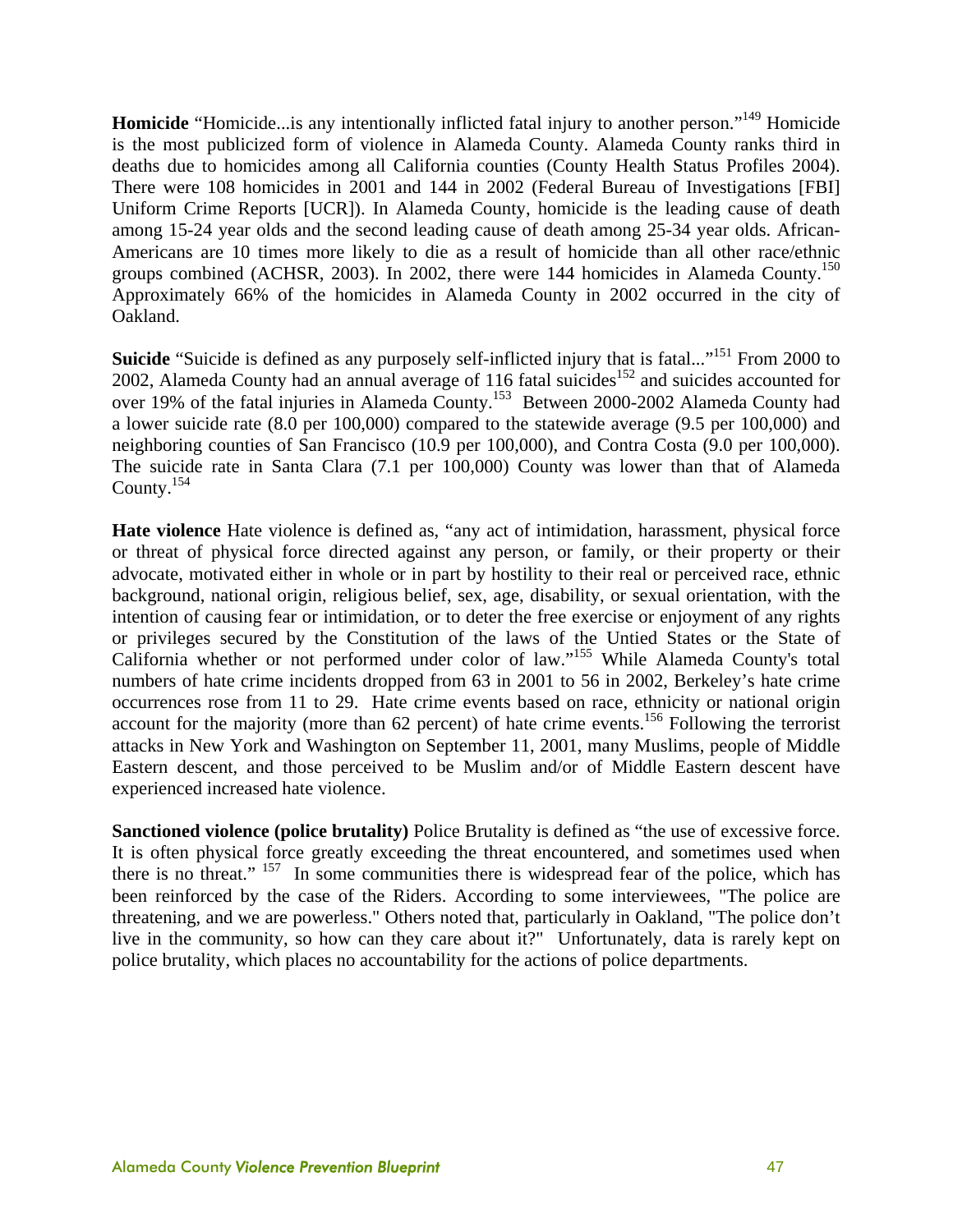**Homicide** "Homicide...is any intentionally inflicted fatal injury to another person."149 Homicide is the most publicized form of violence in Alameda County. Alameda County ranks third in deaths due to homicides among all California counties (County Health Status Profiles 2004). There were 108 homicides in 2001 and 144 in 2002 (Federal Bureau of Investigations [FBI] Uniform Crime Reports [UCR]). In Alameda County, homicide is the leading cause of death among 15-24 year olds and the second leading cause of death among 25-34 year olds. African-Americans are 10 times more likely to die as a result of homicide than all other race/ethnic groups combined (ACHSR, 2003). In 2002, there were 144 homicides in Alameda County.<sup>150</sup> Approximately 66% of the homicides in Alameda County in 2002 occurred in the city of Oakland.

**Suicide** "Suicide is defined as any purposely self-inflicted injury that is fatal..."<sup>151</sup> From 2000 to 2002, Alameda County had an annual average of 116 fatal suicides<sup>152</sup> and suicides accounted for over 19% of the fatal injuries in Alameda County.153 Between 2000-2002 Alameda County had a lower suicide rate (8.0 per 100,000) compared to the statewide average (9.5 per 100,000) and neighboring counties of San Francisco (10.9 per 100,000), and Contra Costa (9.0 per 100,000). The suicide rate in Santa Clara (7.1 per 100,000) County was lower than that of Alameda County.154

**Hate violence** Hate violence is defined as, "any act of intimidation, harassment, physical force or threat of physical force directed against any person, or family, or their property or their advocate, motivated either in whole or in part by hostility to their real or perceived race, ethnic background, national origin, religious belief, sex, age, disability, or sexual orientation, with the intention of causing fear or intimidation, or to deter the free exercise or enjoyment of any rights or privileges secured by the Constitution of the laws of the Untied States or the State of California whether or not performed under color of law."155 While Alameda County's total numbers of hate crime incidents dropped from 63 in 2001 to 56 in 2002, Berkeley's hate crime occurrences rose from 11 to 29. Hate crime events based on race, ethnicity or national origin account for the majority (more than 62 percent) of hate crime events.<sup>156</sup> Following the terrorist attacks in New York and Washington on September 11, 2001, many Muslims, people of Middle Eastern descent, and those perceived to be Muslim and/or of Middle Eastern descent have experienced increased hate violence.

**Sanctioned violence (police brutality)** Police Brutality is defined as "the use of excessive force. It is often physical force greatly exceeding the threat encountered, and sometimes used when there is no threat." 157 In some communities there is widespread fear of the police, which has been reinforced by the case of the Riders. According to some interviewees, "The police are threatening, and we are powerless." Others noted that, particularly in Oakland, "The police don't live in the community, so how can they care about it?" Unfortunately, data is rarely kept on police brutality, which places no accountability for the actions of police departments.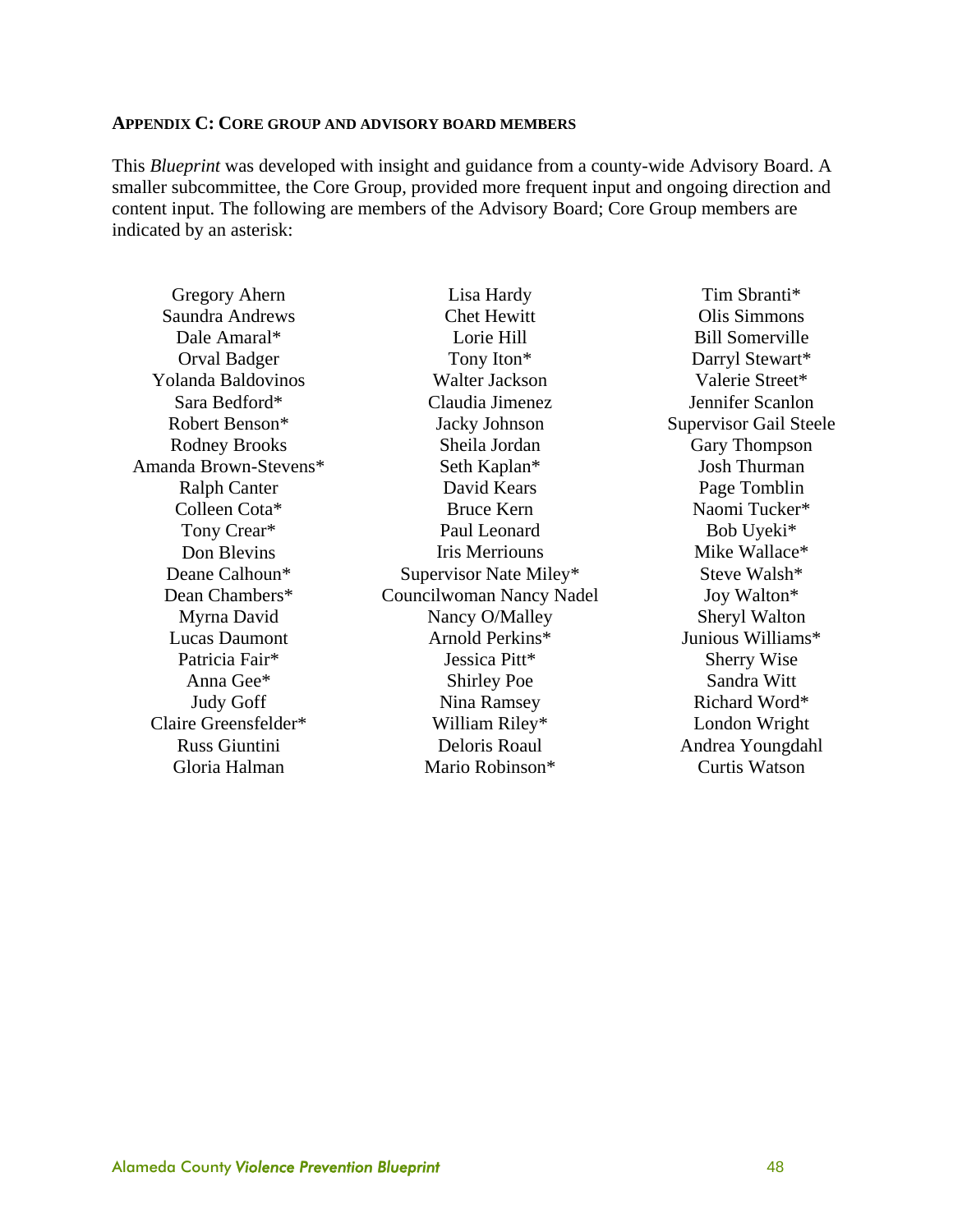#### **APPENDIX C: CORE GROUP AND ADVISORY BOARD MEMBERS**

This *Blueprint* was developed with insight and guidance from a county-wide Advisory Board. A smaller subcommittee, the Core Group, provided more frequent input and ongoing direction and content input. The following are members of the Advisory Board; Core Group members are indicated by an asterisk:

Gregory Ahern Saundra Andrews Dale Amaral\* Orval Badger Yolanda Baldovinos Sara Bedford\* Robert Benson\* Rodney Brooks Amanda Brown-Stevens\* Ralph Canter Colleen Cota\* Tony Crear\* Don Blevins Deane Calhoun\* Dean Chambers\* Myrna David Lucas Daumont Patricia Fair\* Anna Gee\* Judy Goff Claire Greensfelder\* Russ Giuntini Gloria Halman

Lisa Hardy Chet Hewitt Lorie Hill Tony Iton\* Walter Jackson Claudia Jimenez Jacky Johnson Sheila Jordan Seth Kaplan\* David Kears Bruce Kern Paul Leonard Iris Merriouns Supervisor Nate Miley\* Councilwoman Nancy Nadel Nancy O/Malley Arnold Perkins\* Jessica Pitt\* Shirley Poe Nina Ramsey William Riley\* Deloris Roaul Mario Robinson\*

Tim Sbranti\* Olis Simmons Bill Somerville Darryl Stewart\* Valerie Street\* Jennifer Scanlon Supervisor Gail Steele Gary Thompson Josh Thurman Page Tomblin Naomi Tucker\* Bob Uyeki\* Mike Wallace\* Steve Walsh\* Joy Walton\* Sheryl Walton Junious Williams\* Sherry Wise Sandra Witt Richard Word\* London Wright Andrea Youngdahl Curtis Watson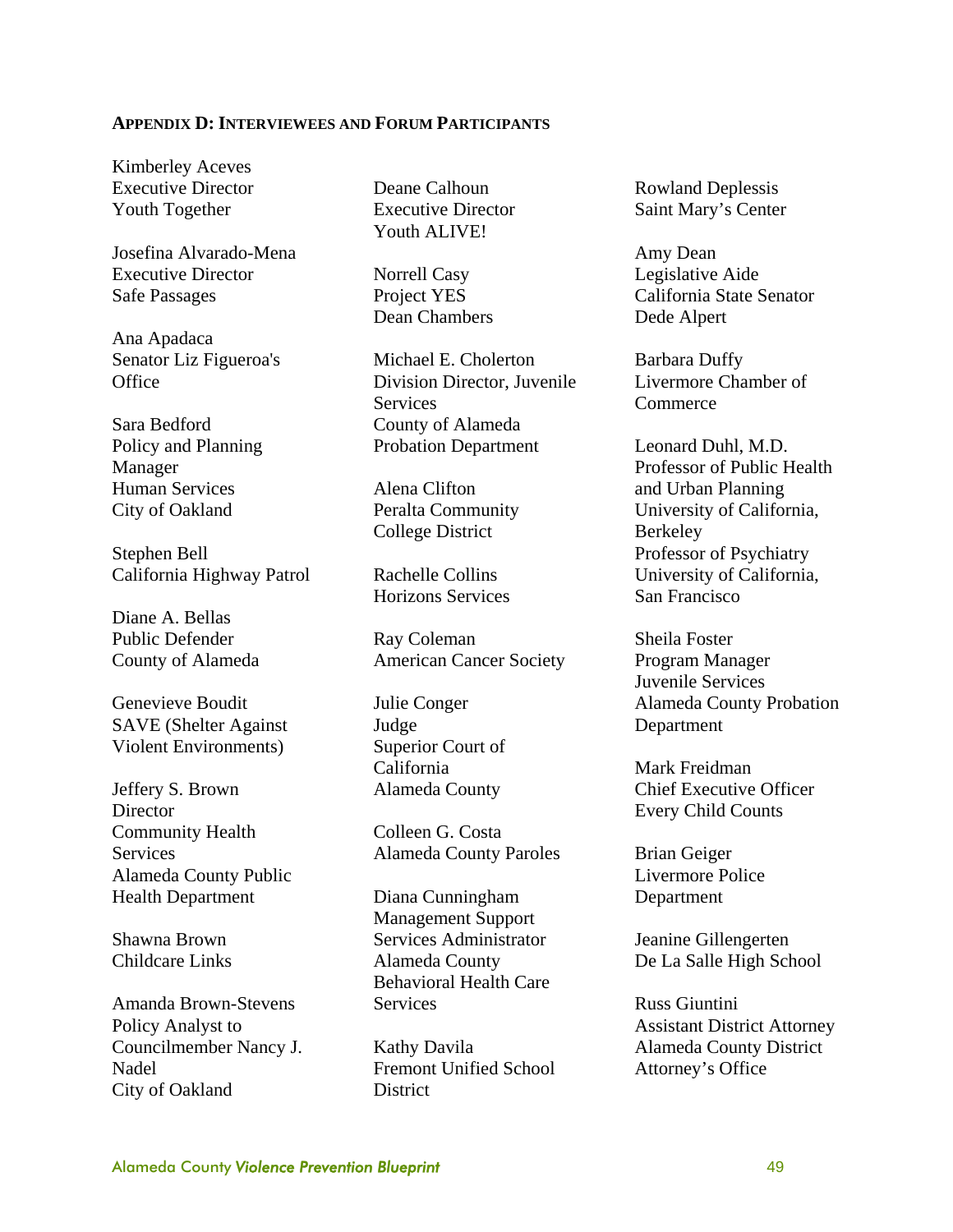#### **APPENDIX D: INTERVIEWEES AND FORUM PARTICIPANTS**

Kimberley Aceves Executive Director Youth Together

Josefina Alvarado-Mena Executive Director Safe Passages

Ana Apadaca Senator Liz Figueroa's **Office** 

Sara Bedford Policy and Planning Manager Human Services City of Oakland

Stephen Bell California Highway Patrol

Diane A. Bellas Public Defender County of Alameda

Genevieve Boudit SAVE (Shelter Against Violent Environments)

Jeffery S. Brown **Director** Community Health **Services** Alameda County Public Health Department

Shawna Brown Childcare Links

Amanda Brown-Stevens Policy Analyst to Councilmember Nancy J. Nadel City of Oakland

Deane Calhoun Executive Director Youth ALIVE!

Norrell Casy Project YES Dean Chambers

Michael E. Cholerton Division Director, Juvenile **Services** County of Alameda Probation Department

Alena Clifton Peralta Community College District

Rachelle Collins Horizons Services

Ray Coleman American Cancer Society

Julie Conger Judge Superior Court of California Alameda County

Colleen G. Costa Alameda County Paroles

Diana Cunningham Management Support Services Administrator Alameda County Behavioral Health Care **Services** 

Kathy Davila Fremont Unified School **District** 

Rowland Deplessis Saint Mary's Center

Amy Dean Legislative Aide California State Senator Dede Alpert

Barbara Duffy Livermore Chamber of **Commerce** 

Leonard Duhl, M.D. Professor of Public Health and Urban Planning University of California, Berkeley Professor of Psychiatry University of California, San Francisco

Sheila Foster Program Manager Juvenile Services Alameda County Probation Department

Mark Freidman Chief Executive Officer Every Child Counts

Brian Geiger Livermore Police Department

Jeanine Gillengerten De La Salle High School

Russ Giuntini Assistant District Attorney Alameda County District Attorney's Office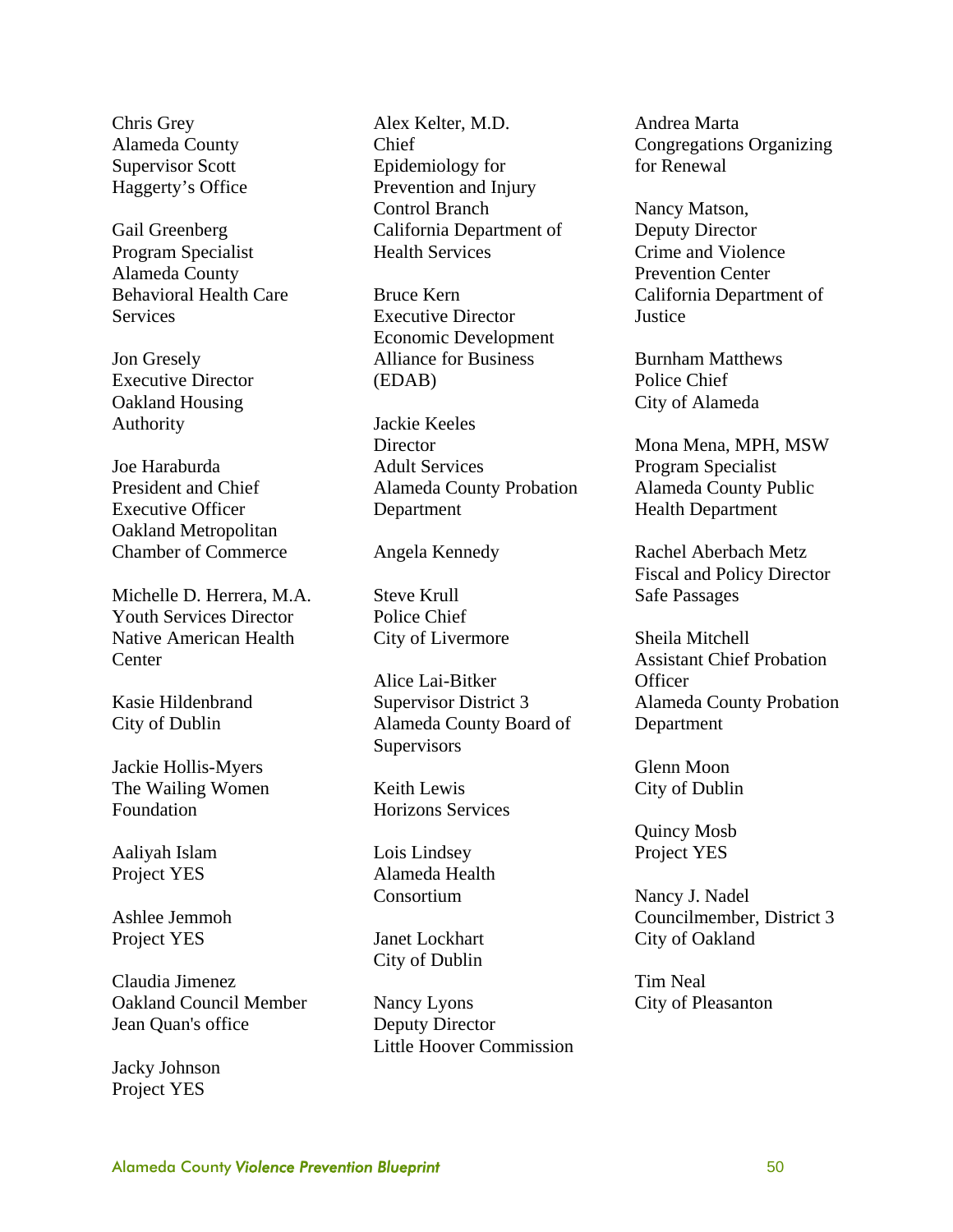Chris Grey Alameda County Supervisor Scott Haggerty's Office

Gail Greenberg Program Specialist Alameda County Behavioral Health Care **Services** 

Jon Gresely Executive Director Oakland Housing Authority

Joe Haraburda President and Chief Executive Officer Oakland Metropolitan Chamber of Commerce

Michelle D. Herrera, M.A. Youth Services Director Native American Health **Center** 

Kasie Hildenbrand City of Dublin

Jackie Hollis-Myers The Wailing Women Foundation

Aaliyah Islam Project YES

Ashlee Jemmoh Project YES

Claudia Jimenez Oakland Council Member Jean Quan's office

Jacky Johnson Project YES

Alex Kelter, M.D. Chief Epidemiology for Prevention and Injury Control Branch California Department of Health Services

Bruce Kern Executive Director Economic Development Alliance for Business (EDAB)

Jackie Keeles **Director** Adult Services Alameda County Probation Department

Angela Kennedy

Steve Krull Police Chief City of Livermore

Alice Lai-Bitker Supervisor District 3 Alameda County Board of **Supervisors** 

Keith Lewis Horizons Services

Lois Lindsey Alameda Health Consortium

Janet Lockhart City of Dublin

Nancy Lyons Deputy Director Little Hoover Commission Andrea Marta Congregations Organizing for Renewal

Nancy Matson, Deputy Director Crime and Violence Prevention Center California Department of **Justice** 

Burnham Matthews Police Chief City of Alameda

Mona Mena, MPH, MSW Program Specialist Alameda County Public Health Department

Rachel Aberbach Metz Fiscal and Policy Director Safe Passages

Sheila Mitchell Assistant Chief Probation **Officer** Alameda County Probation Department

Glenn Moon City of Dublin

Quincy Mosb Project YES

Nancy J. Nadel Councilmember, District 3 City of Oakland

Tim Neal City of Pleasanton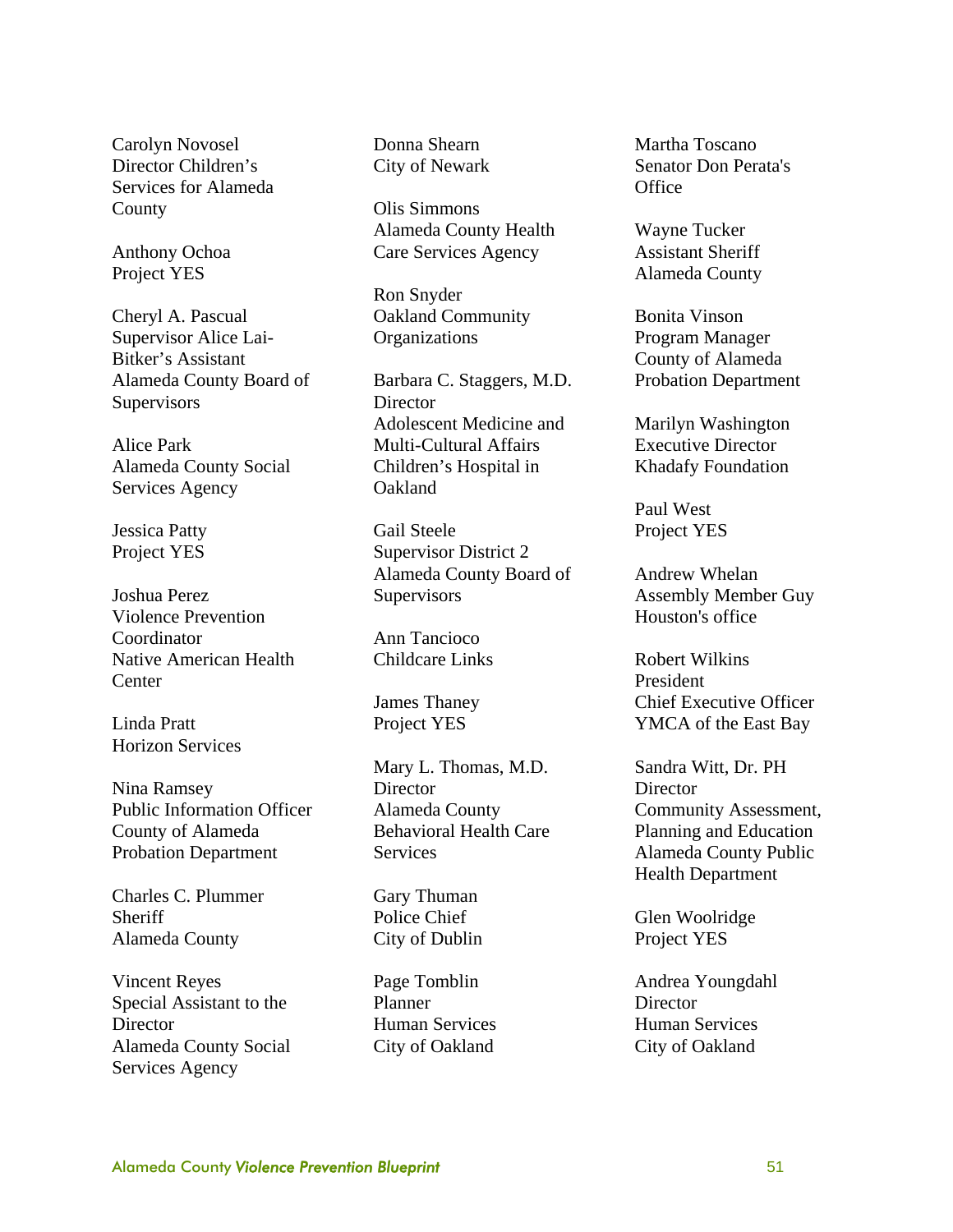Carolyn Novosel Director Children's Services for Alameda **County** 

Anthony Ochoa Project YES

Cheryl A. Pascual Supervisor Alice Lai-Bitker's Assistant Alameda County Board of **Supervisors** 

Alice Park Alameda County Social Services Agency

Jessica Patty Project YES

Joshua Perez Violence Prevention Coordinator Native American Health **Center** 

Linda Pratt Horizon Services

Nina Ramsey Public Information Officer County of Alameda Probation Department

Charles C. Plummer Sheriff Alameda County

Vincent Reyes Special Assistant to the **Director** Alameda County Social Services Agency

Donna Shearn City of Newark

Olis Simmons Alameda County Health Care Services Agency

Ron Snyder Oakland Community **Organizations** 

Barbara C. Staggers, M.D. **Director** Adolescent Medicine and Multi-Cultural Affairs Children's Hospital in Oakland

Gail Steele Supervisor District 2 Alameda County Board of **Supervisors** 

Ann Tancioco Childcare Links

James Thaney Project YES

Mary L. Thomas, M.D. Director Alameda County Behavioral Health Care Services

Gary Thuman Police Chief City of Dublin

Page Tomblin Planner Human Services City of Oakland

Martha Toscano Senator Don Perata's **Office** 

Wayne Tucker Assistant Sheriff Alameda County

Bonita Vinson Program Manager County of Alameda Probation Department

Marilyn Washington Executive Director Khadafy Foundation

Paul West Project YES

Andrew Whelan Assembly Member Guy Houston's office

Robert Wilkins President Chief Executive Officer YMCA of the East Bay

Sandra Witt, Dr. PH **Director** Community Assessment, Planning and Education Alameda County Public Health Department

Glen Woolridge Project YES

Andrea Youngdahl **Director** Human Services City of Oakland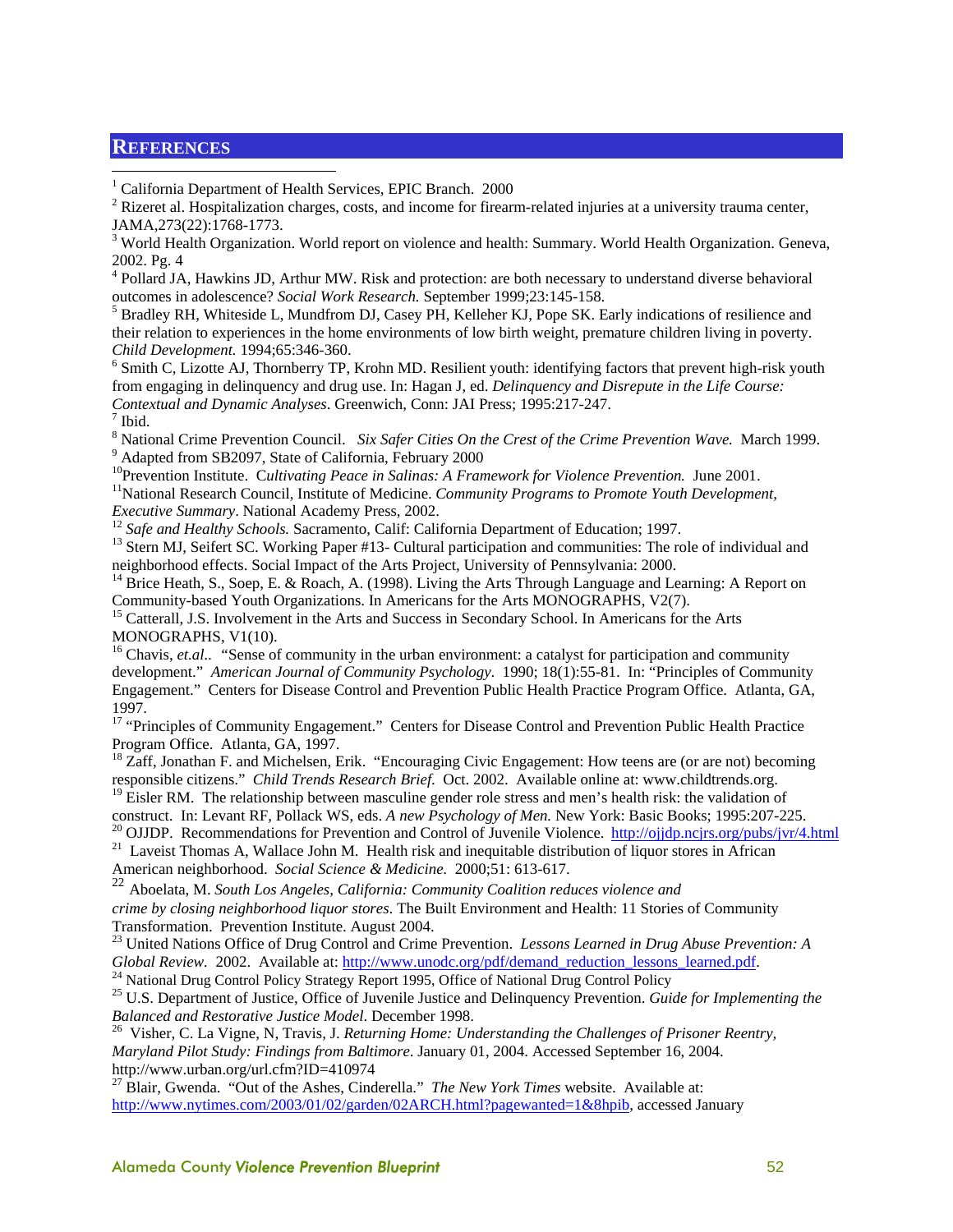#### **REFERENCES**

 $\overline{a}$ 

<sup>1</sup> California Department of Health Services, EPIC Branch. 2000

 $2^2$  Rizeret al. Hospitalization charges, costs, and income for firearm-related injuries at a university trauma center, JAMA,273(22):1768-1773.

<sup>3</sup> World Health Organization. World report on violence and health: Summary. World Health Organization. Geneva, 2002. Pg. 4

<sup>4</sup> Pollard JA, Hawkins JD, Arthur MW. Risk and protection: are both necessary to understand diverse behavioral outcomes in adolescence? *Social Work Research.* September 1999;23:145-158. 5

 $<sup>5</sup>$  Bradley RH, Whiteside L, Mundfrom DJ, Casey PH, Kelleher KJ, Pope SK. Early indications of resilience and</sup> their relation to experiences in the home environments of low birth weight, premature children living in poverty. *Child Development.* 1994;65:346-360. 6

<sup>6</sup> Smith C, Lizotte AJ, Thornberry TP, Krohn MD. Resilient youth: identifying factors that prevent high-risk youth from engaging in delinquency and drug use. In: Hagan J, ed. *Delinquency and Disrepute in the Life Course: Contextual and Dynamic Analyses*. Greenwich, Conn: JAI Press; 1995:217-247. 7

 $<sup>7</sup>$  Ibid.</sup>

<sup>8</sup> National Crime Prevention Council. *Six Safer Cities On the Crest of the Crime Prevention Wave.* March 1999. <sup>9</sup> Adapted from SB2097, State of California, February 2000

<sup>10</sup>Prevention Institute. Cultivating Peace in Salinas: A Framework for Violence Prevention. June 2001.<br><sup>11</sup>National Research Council, Institute of Medicine. *Community Programs to Promote Youth Development, Executive Summ* 

<sup>12</sup> Safe and Healthy Schools. Sacramento, Calif: California Department of Education; 1997.<br><sup>13</sup> Stern MJ, Seifert SC. Working Paper #13- Cultural participation and communities: The role of individual and neighborhood effects. Social Impact of the Arts Project, University of Pennsylvania: 2000.

<sup>14</sup> Brice Heath, S., Soep, E. & Roach, A. (1998). Living the Arts Through Language and Learning: A Report on Community-based Youth Organizations. In Americans for the Arts MONOGRAPHS, V2(7).

<sup>15</sup> Catterall, J.S. Involvement in the Arts and Success in Secondary School. In Americans for the Arts MONOGRAPHS, V1(10).

<sup>16</sup> Chavis, *et.al..* "Sense of community in the urban environment: a catalyst for participation and community development." *American Journal of Community Psychology*. 1990; 18(1):55-81. In: "Principles of Community Engagement." Centers for Disease Control and Prevention Public Health Practice Program Office. Atlanta, GA, 1997.

<sup>17</sup> "Principles of Community Engagement." Centers for Disease Control and Prevention Public Health Practice Program Office. Atlanta, GA, 1997.

<sup>18</sup> Zaff, Jonathan F. and Michelsen, Erik. "Encouraging Civic Engagement: How teens are (or are not) becoming responsible citizens." *Child Trends Research Brief*. Oct. 2002. Available online at: www.childtrends.org.

<sup>19</sup> Eisler RM. The relationship between masculine gender role stress and men's health risk: the validation of

construct. In: Levant RF, Pollack WS, eds. A new Psychology of Men. New York: Basic Books; 1995:207-225.<br><sup>20</sup> OJJDP. Recommendations for Prevention and Control of Juvenile Violence. http://ojjdp.ncjrs.org/pubs/jvr/4.html<br><sup></sup>

American neighborhood. *Social Science & Medicine.* 2000;51: 613-617.

<sup>22</sup> Aboelata, M. *South Los Angeles, California: Community Coalition reduces violence and crime by closing neighborhood liquor stores*. The Built Environment and Health: 11 Stories of Community Transformation. Prevention Institute. August 2004.

23 United Nations Office of Drug Control and Crime Prevention. *Lessons Learned in Drug Abuse Prevention: A* 

Global Review. 2002. Available at: http://www.unodc.org/pdf/demand\_reduction\_lessons\_learned.pdf.<br><sup>24</sup> National Drug Control Policy Strategy Report 1995, Office of National Drug Control Policy<br><sup>25</sup> U.S. Department of Justi

<sup>26</sup> Visher, C. La Vigne, N, Travis, J. *Returning Home: Understanding the Challenges of Prisoner Reentry, Maryland Pilot Study: Findings from Baltimore*. January 01, 2004. Accessed September 16, 2004. http://www.urban.org/url.cfm?ID=410974

27 Blair, Gwenda. "Out of the Ashes, Cinderella." *The New York Times* website. Available at: http://www.nytimes.com/2003/01/02/garden/02ARCH.html?pagewanted=1&8hpib, accessed January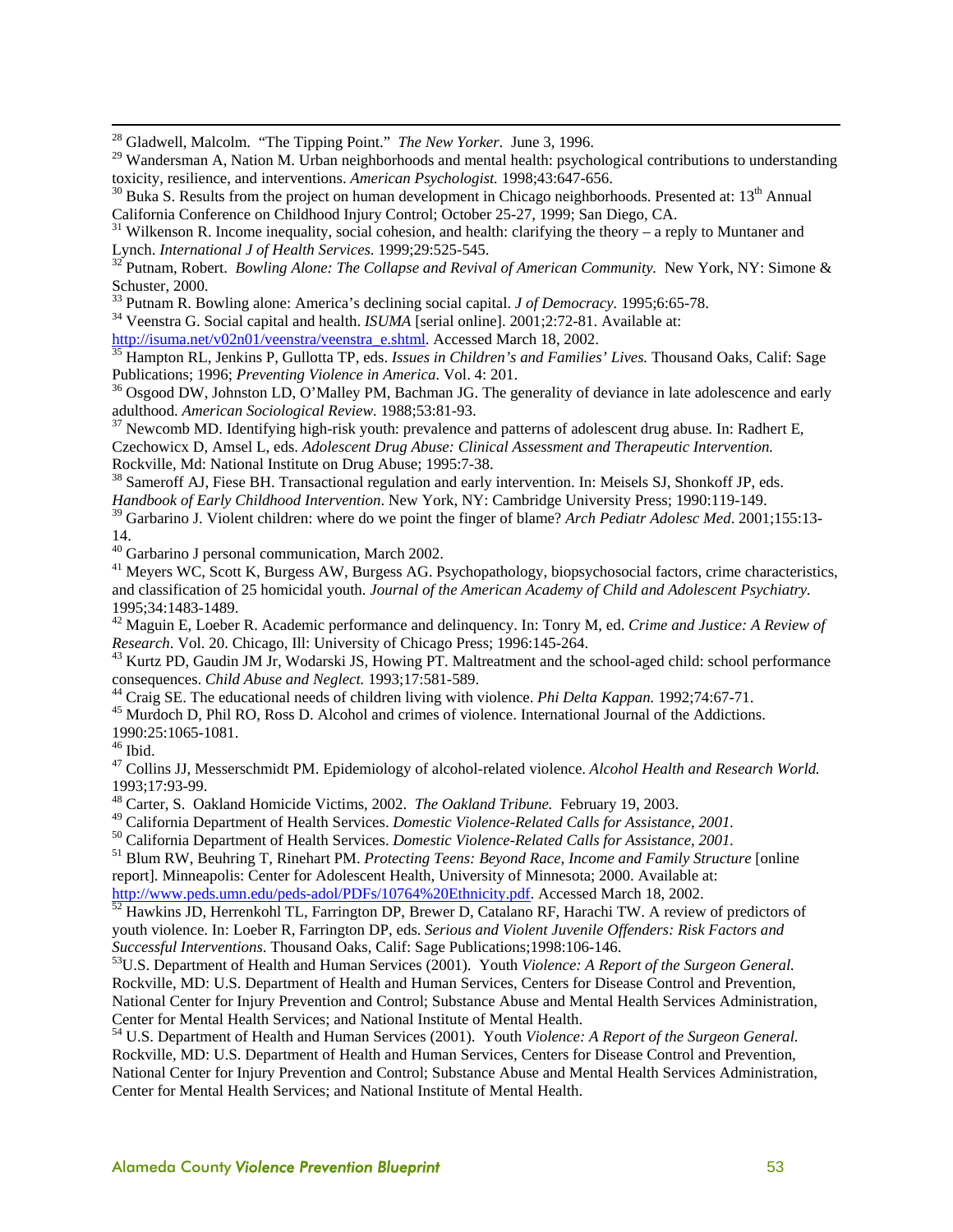28 Gladwell, Malcolm. "The Tipping Point." *The New Yorker*. June 3, 1996.

<sup>29</sup> Wandersman A, Nation M. Urban neighborhoods and mental health: psychological contributions to understanding toxicity, resilience, and interventions. *American Psychologist*. 1998;43:647-656.<br><sup>30</sup> Buka S. Results from the project on human development in Chicago neighborhoods. Presented at: 13<sup>th</sup> Annual

California Conference on Childhood Injury Control; October 25-27, 1999; San Diego, CA.

31 Wilkenson R. Income inequality, social cohesion, and health: clarifying the theory – a reply to Muntaner and Lynch. *International J of Health Services*. 1999;29:525-545.

<sup>32</sup> Putnam, Robert. *Bowling Alone: The Collapse and Revival of American Community.* New York, NY: Simone & Schuster, 2000.<br><sup>33</sup> Putnam R. Bowling alone: America's declining social capital. *J of Democracy*. 1995;6:65-78.

<sup>34</sup> Veenstra G. Social capital and health. *ISUMA* [serial online]. 2001;2:72-81. Available at:<br>http://isuma.net/v02n01/veenstra/veenstra\_e.shtml. Accessed March 18, 2002.

 $\frac{35}{35}$  Hampton RL, Jenkins P, Gullotta TP, eds. *Issues in Children's and Families' Lives*. Thousand Oaks, Calif: Sage Publications; 1996; *Preventing Violence in America*. Vol. 4: 201.<br><sup>36</sup> Osgood DW, Johnston LD, O'Malley PM, Bachman JG. The generality of deviance in late adolescence and early

adulthood. *American Sociological Review.* 1988;53:81-93.<br><sup>37</sup> Newcomb MD. Identifying high-risk youth: prevalence and patterns of adolescent drug abuse. In: Radhert E,

Czechowicx D, Amsel L, eds. *Adolescent Drug Abuse: Clinical Assessment and Therapeutic Intervention.* Rockville, Md: National Institute on Drug Abuse; 1995:7-38.

38 Sameroff AJ, Fiese BH. Transactional regulation and early intervention. In: Meisels SJ, Shonkoff JP, eds. *Handbook of Early Childhood Intervention*. New York, NY: Cambridge University Press; 1990:119-149.

39 Garbarino J. Violent children: where do we point the finger of blame? *Arch Pediatr Adolesc Med*. 2001;155:13- 14.

40 Garbarino J personal communication, March 2002.

<sup>41</sup> Meyers WC, Scott K, Burgess AW, Burgess AG. Psychopathology, biopsychosocial factors, crime characteristics, and classification of 25 homicidal youth. *Journal of the American Academy of Child and Adolescent Psychiatry.* 1995;34:1483-1489.

<sup>42</sup> Maguin E, Loeber R. Academic performance and delinquency. In: Tonry M, ed. *Crime and Justice: A Review of Research*. Vol. 20. Chicago, Ill: University of Chicago Press; 1996:145-264.

<sup>43</sup> Kurtz PD, Gaudin JM Jr, Wodarski JS, Howing PT. Maltreatment and the school-aged child: school performance consequences. *Child Abuse and Neglect*. 1993;17:581-589.

<sup>44</sup> Craig SE. The educational needs of children living with violence. *Phi Delta Kappan*. 1992;74:67-71.<br><sup>45</sup> Murdoch D, Phil RO, Ross D. Alcohol and crimes of violence. International Journal of the Addictions.

1990:25:1065-1081.

 $^{46}$  Ibid.

47 Collins JJ, Messerschmidt PM. Epidemiology of alcohol-related violence. *Alcohol Health and Research World.*  1993;17:93-99.

<sup>48</sup> Carter, S. Oakland Homicide Victims, 2002. *The Oakland Tribune*. February 19, 2003.<br><sup>49</sup> California Department of Health Services. *Domestic Violence-Related Calls for Assistance*, 2001.

<sup>50</sup> California Department of Health Services. *Domestic Violence-Related Calls for Assistance*, 2001.<br><sup>51</sup> Blum RW, Beuhring T, Rinehart PM. *Protecting Teens: Beyond Race, Income and Family Structure* [online

report]. Minneapolis: Center for Adolescent Health, University of Minnesota; 2000. Available at:

http://www.peds.umn.edu/peds-adol/PDFs/10764%20Ethnicity.pdf. Accessed March 18, 2002.<br><sup>52</sup> Hawkins JD, Herrenkohl TL, Farrington DP, Brewer D, Catalano RF, Harachi TW. A review of predictors of

youth violence. In: Loeber R, Farrington DP, eds. *Serious and Violent Juvenile Offenders: Risk Factors and Successful Interventions*. Thousand Oaks, Calif: Sage Publications;1998:106-146.

<sup>53</sup>U.S. Department of Health and Human Services (2001). Youth Violence: A Report of the Surgeon General. Rockville, MD: U.S. Department of Health and Human Services, Centers for Disease Control and Prevention, National Center for Injury Prevention and Control; Substance Abuse and Mental Health Services Administration,

<sup>54</sup> U.S. Department of Health and Human Services (2001). Youth Violence: A Report of the Surgeon General. Rockville, MD: U.S. Department of Health and Human Services, Centers for Disease Control and Prevention, National Center for Injury Prevention and Control; Substance Abuse and Mental Health Services Administration, Center for Mental Health Services; and National Institute of Mental Health.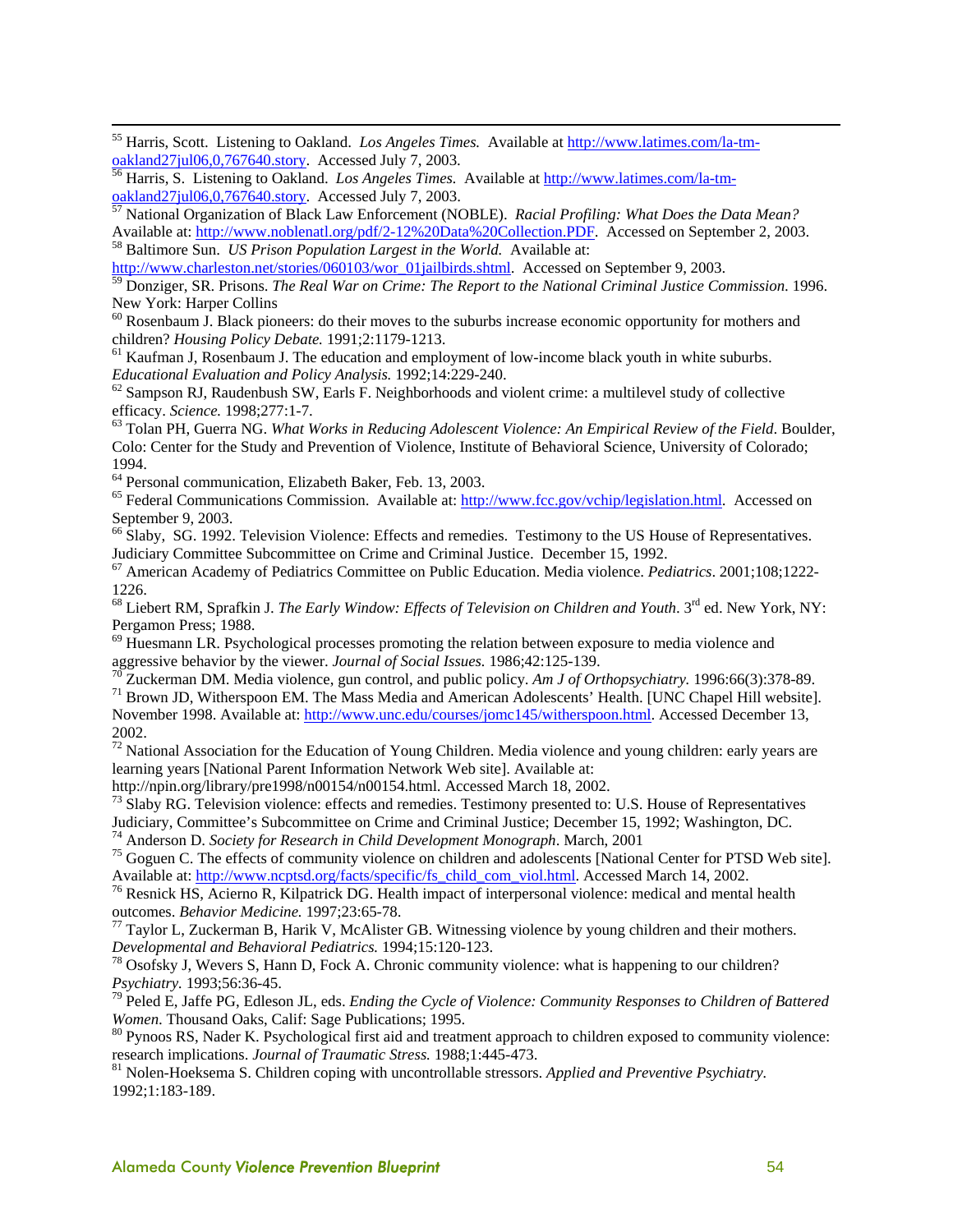55 Harris, Scott. Listening to Oakland. *Los Angeles Times.* Available at http://www.latimes.com/la-tmoakland27jul06,0,767640.story. Accessed July 7, 2003. 56 Harris, S. Listening to Oakland. *Los Angeles Times.* Available at http://www.latimes.com/la-tm-

oakland27jul06,0,767640.story. Accessed July 7, 2003. 57 National Organization of Black Law Enforcement (NOBLE). *Racial Profiling: What Does the Data Mean?*

Available at: http://www.noblenatl.org/pdf/2-12%20Data%20Collection.PDF. Accessed on September 2, 2003. 58 Baltimore Sun. *US Prison Population Largest in the World.* Available at:

http://www.charleston.net/stories/060103/wor\_01jailbirds.shtml. Accessed on September 9, 2003.

59 Donziger, SR. Prisons. *The Real War on Crime: The Report to the National Criminal Justice Commission*. 1996. New York: Harper Collins

 $60$  Rosenbaum J. Black pioneers: do their moves to the suburbs increase economic opportunity for mothers and

children? *Housing Policy Debate.* 1991;2:1179-1213.<br><sup>61</sup> Kaufman J, Rosenbaum J. The education and employment of low-income black youth in white suburbs.<br>*Educational Evaluation and Policy Analysis.* 1992;14:229-240.

<sup>62</sup> Sampson RJ, Raudenbush SW, Earls F. Neighborhoods and violent crime: a multilevel study of collective efficacy. *Science.* 1998;277:1-7.<br><sup>63</sup> Tolan PH, Guerra NG. *What Works in Reducing Adolescent Violence: An Empirical Review of the Field*. Boulder,

Colo: Center for the Study and Prevention of Violence, Institute of Behavioral Science, University of Colorado; 1994.

64 Personal communication, Elizabeth Baker, Feb. 13, 2003.

<sup>65</sup> Federal Communications Commission. Available at: http://www.fcc.gov/vchip/legislation.html. Accessed on September 9, 2003.

<sup>66</sup> Slaby, SG. 1992. Television Violence: Effects and remedies. Testimony to the US House of Representatives. Judiciary Committee Subcommittee on Crime and Criminal Justice. December 15, 1992. 67 American Academy of Pediatrics Committee on Public Education. Media violence. *Pediatrics*. 2001;108;1222-

1226.

<sup>68</sup> Liebert RM, Sprafkin J. *The Early Window: Effects of Television on Children and Youth*. 3<sup>rd</sup> ed. New York, NY: Pergamon Press; 1988.

 $^{69}$  Huesmann LR. Psychological processes promoting the relation between exposure to media violence and aggressive behavior by the viewer. Journal of Social Issues. 1986;42:125-139.

 $^{70}$ Zuckerman DM. Media violence, gun control, and public policy. Am J of Orthopsychiatry. 1996:66(3):378-89.<br><sup>71</sup> Brown JD, Witherspoon EM. The Mass Media and American Adolescents' Health. [UNC Chapel Hill website].

November 1998. Available at: http://www.unc.edu/courses/jomc145/witherspoon.html. Accessed December 13, 2002.

 $72$  National Association for the Education of Young Children. Media violence and young children: early years are learning years [National Parent Information Network Web site]. Available at:

http://npin.org/library/pre1998/n00154/n00154.html. Accessed March 18, 2002.<br><sup>73</sup> Slaby RG. Television violence: effects and remedies. Testimony presented to: U.S. House of Representatives<br>Judiciary, Committee's Subcommitt

<sup>74</sup> Anderson D. *Society for Research in Child Development Monograph*. March, 2001<br><sup>75</sup> Goguen C. The effects of community violence on children and adolescents [National Center for PTSD Web site].<br>Available at: http://ww

<sup>76</sup> Resnick HS, Acierno R, Kilpatrick DG. Health impact of interpersonal violence: medical and mental health

outcomes. *Behavior Medicine.* 1997;23:65-78.<br><sup>77</sup> Taylor L, Zuckerman B, Harik V, McAlister GB. Witnessing violence by young children and their mothers.<br>*Developmental and Behavioral Pediatrics*. 1994;15:120-123.

<sup>78</sup> Osofsky J, Wevers S, Hann D, Fock A. Chronic community violence: what is happening to our children?

*Psychiatry.* 1993;56:36-45.<br><sup>79</sup> Peled E, Jaffe PG, Edleson JL, eds. *Ending the Cycle of Violence: Community Responses to Children of Battered Women.* Thousand Oaks, Calif: Sage Publications; 1995.

<sup>80</sup> Pynoos RS, Nader K. Psychological first aid and treatment approach to children exposed to community violence: research implications. *Journal of Traumatic Stress.* 1988;1:445-473.<br><sup>81</sup> Nolen-Hoeksema S. Children coping with uncontrollable stressors. *Applied and Preventive Psychiatry*.

1992;1:183-189.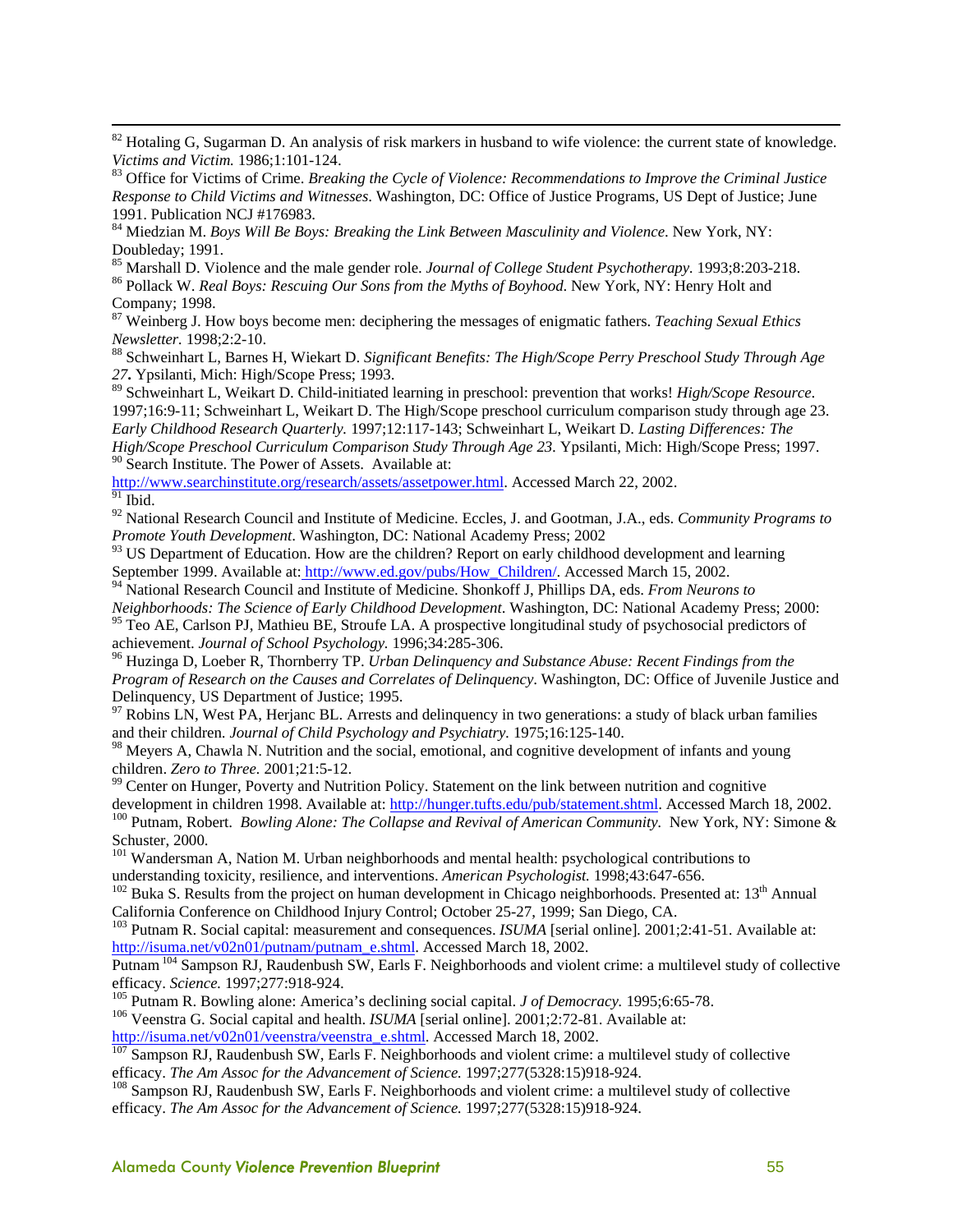$82$  Hotaling G, Sugarman D. An analysis of risk markers in husband to wife violence: the current state of knowledge. *Victims and Victim.* 1986;1:101-124.<br><sup>83</sup> Office for Victims of Crime. *Breaking the Cycle of Violence: Recommendations to Improve the Criminal Justice* 

*Response to Child Victims and Witnesses*. Washington, DC: Office of Justice Programs, US Dept of Justice; June 1991. Publication NCJ #176983.

84 Miedzian M. *Boys Will Be Boys: Breaking the Link Between Masculinity and Violence*. New York, NY: Doubleday; 1991.<br><sup>85</sup> Marshall D. Violence and the male gender role. *Journal of College Student Psychotherapy*. 1993;8:203-218.

<sup>86</sup> Pollack W. Real Boys: Rescuing Our Sons from the Myths of Boyhood. New York, NY: Henry Holt and Company; 1998.

87 Weinberg J. How boys become men: deciphering the messages of enigmatic fathers. *Teaching Sexual Ethics Newsletter.* 1998;2:2-10.<br><sup>88</sup> Schweinhart L, Barnes H, Wiekart D. Significant Benefits: The High/Scope Perry Preschool Study Through Age

*27***.** Ypsilanti, Mich: High/Scope Press; 1993.

89 Schweinhart L, Weikart D. Child-initiated learning in preschool: prevention that works! *High/Scope Resource*. 1997;16:9-11; Schweinhart L, Weikart D. The High/Scope preschool curriculum comparison study through age 23. *Early Childhood Research Quarterly.* 1997;12:117-143; Schweinhart L, Weikart D. *Lasting Differences: The High/Scope Preschool Curriculum Comparison Study Through Age 23.* Ypsilanti, Mich: High/Scope Press; 1997. <sup>90</sup> Search Institute. The Power of Assets. Available at:

http://www.searchinstitute.org/research/assets/assetpower.html. Accessed March 22, 2002.  $91$  Ibid.

92 National Research Council and Institute of Medicine. Eccles, J. and Gootman, J.A., eds. *Community Programs to Promote Youth Development*. Washington, DC: National Academy Press; 2002

<sup>93</sup> US Department of Education. How are the children? Report on early childhood development and learning September 1999. Available at: http://www.ed.gov/pubs/How\_Children/. Accessed March 15, 2002.

94 National Research Council and Institute of Medicine. Shonkoff J, Phillips DA, eds. *From Neurons to Neighborhoods: The Science of Early Childhood Development*. Washington, DC: National Academy Press; 2000:

<sup>95</sup> Teo AE, Carlson PJ, Mathieu BE, Stroufe LA. A prospective longitudinal study of psychosocial predictors of achievement. Journal of School Psychology. 1996;34:285-306.

<sup>96</sup> Huzinga D, Loeber R, Thornberry TP. *Urban Delinguency and Substance Abuse: Recent Findings from the Program of Research on the Causes and Correlates of Delinquency*. Washington, DC: Office of Juvenile Justice and Delinquency, US Department of Justice; 1995.

<sup>97</sup> Robins LN, West PA, Herjanc BL. Arrests and delinquency in two generations: a study of black urban families and their children. *Journal of Child Psychology and Psychiatry.* 1975;16:125-140.

<sup>98</sup> Meyers A, Chawla N. Nutrition and the social, emotional, and cognitive development of infants and young children. *Zero to Three.* 2001;21:5-12.<br><sup>99</sup> Center on Hunger, Poverty and Nutrition Policy. Statement on the link between nutrition and cognitive development in children 1998. Available at: http://hunger.tufts.edu/pub/st

<sup>100</sup> Putnam, Robert. *Bowling Alone: The Collapse and Revival of American Community*. New York, NY: Simone & Schuster, 2000.

<sup>101</sup> Wandersman A, Nation M. Urban neighborhoods and mental health: psychological contributions to understanding toxicity, resilience, and interventions. *American Psychologist*. 1998;43:647-656.<br><sup>102</sup> Buka S. Results from the project on human development in Chicago neighborhoods. Presented at: 13<sup>th</sup> Annual

California Conference on Childhood Injury Control; October 25-27, 1999; San Diego, CA.

103 Putnam R. Social capital: measurement and consequences. *ISUMA* [serial online]*.* 2001;2:41-51. Available at: http://isuma.net/v02n01/putnam/putnam\_e.shtml. Accessed March 18, 2002.

Putnam <sup>104</sup> Sampson RJ, Raudenbush SW, Earls F. Neighborhoods and violent crime: a multilevel study of collective efficacy. Science. 1997;277:918-924.

<sup>105</sup> Putnam R. Bowling alone: America's declining social capital. *J of Democracy*. 1995;6:65-78.<br><sup>106</sup> Veenstra G. Social capital and health. *ISUMA* [serial online]. 2001;2:72-81. Available at:<br>http://isuma.net/v02n01/

 $\frac{107}{107}$  Sampson RJ, Raudenbush SW, Earls F. Neighborhoods and violent crime: a multilevel study of collective efficacy. The Am Assoc for the Advancement of Science. 1997;277(5328:15)918-924.

<sup>108</sup> Sampson RJ, Raudenbush SW, Earls F. Neighborhoods and violent crime: a multilevel study of collective efficacy. *The Am Assoc for the Advancement of Science.* 1997;277(5328:15)918-924.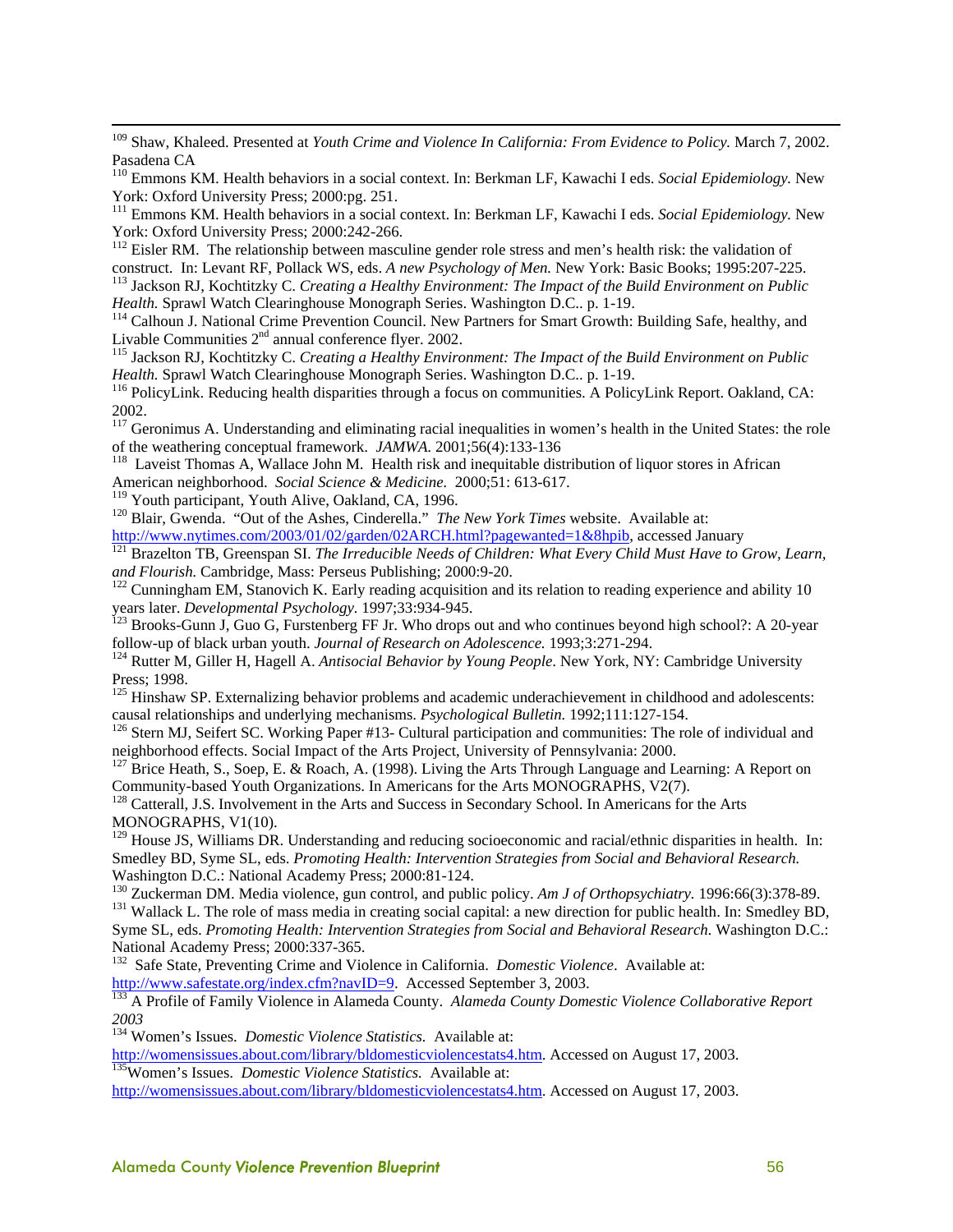<sup>109</sup> Shaw, Khaleed. Presented at *Youth Crime and Violence In California: From Evidence to Policy*. March 7, 2002. Pasadena CA

110 Emmons KM. Health behaviors in a social context. In: Berkman LF, Kawachi I eds. *Social Epidemiology.* New York: Oxford University Press; 2000:pg. 251.

111 Emmons KM. Health behaviors in a social context. In: Berkman LF, Kawachi I eds. *Social Epidemiology.* New York: Oxford University Press; 2000:242-266.

<sup>112</sup> Eisler RM. The relationship between masculine gender role stress and men's health risk: the validation of construct. In: Levant RF, Pollack WS, eds. A new Psychology of Men. New York: Basic Books; 1995:207-225.<br><sup>113</sup> Jackson RJ, Kochtitzky C. Creating a Healthy Environment: The Impact of the Build Environment on Public

*Health.* Sprawl Watch Clearinghouse Monograph Series. Washington D.C.. p. 1-19.<br><sup>114</sup> Calhoun J. National Crime Prevention Council. New Partners for Smart Growth: Building Safe, healthy, and<br>Livable Communities 2<sup>nd</sup> annu

<sup>115</sup> Jackson RJ, Kochtitzky C. *Creating a Healthy Environment: The Impact of the Build Environment on Public Health. Sprawl Watch Clearinghouse Monograph Series. Washington D.C.. p. 1-19.* 

<sup>116</sup> PolicyLink. Reducing health disparities through a focus on communities. A PolicyLink Report. Oakland, CA: 2002.

<sup>117</sup> Geronimus A. Understanding and eliminating racial inequalities in women's health in the United States: the role of the weathering conceptual framework. *JAMWA*. 2001;56(4):133-136

<sup>118</sup> Laveist Thomas A, Wallace John M. Health risk and inequitable distribution of liquor stores in African American neighborhood. *Social Science & Medicine*. 2000;51: 613-617.<br><sup>119</sup> Youth participant, Youth Alive, Oakland, CA, 1996.

<sup>120</sup> Blair, Gwenda. "Out of the Ashes, Cinderella." *The New York Times* website. Available at:

http://www.nytimes.com/2003/01/02/garden/02ARCH.html?pagewanted=1&8hpib, accessed January <sup>121</sup> Brazelton TB, Greenspan SI. *The Irreducible Needs of Children: What Every Child Must Have to Grow, Learn, and Flourish. Cambr* 

<sup>122</sup> Cunningham EM, Stanovich K. Early reading acquisition and its relation to reading experience and ability 10

years later. *Developmental Psychology.* 1997;33:934-945.<br><sup>123</sup> Brooks-Gunn J, Guo G, Furstenberg FF Jr. Who drops out and who continues beyond high school?: A 20-year follow-up of black urban youth. *Journal of Research o* 

<sup>124</sup> Rutter M, Giller H, Hagell A. *Antisocial Behavior by Young People*. New York, NY: Cambridge University Press; 1998.

<sup>125</sup> Hinshaw SP. Externalizing behavior problems and academic underachievement in childhood and adolescents: causal relationships and underlying mechanisms. *Psychological Bulletin*. 1992;111:127-154.<br><sup>126</sup> Stern MJ, Seifert SC. Working Paper #13- Cultural participation and communities: The role of individual and

neighborhood effects. Social Impact of the Arts Project, University of Pennsylvania: 2000.

 $127$  Brice Heath, S., Soep, E. & Roach, A. (1998). Living the Arts Through Language and Learning: A Report on Community-based Youth Organizations. In Americans for the Arts MONOGRAPHS, V2(7). 128 Catterall, J.S. Involvement in the Arts and Success in Secondary School. In Americans for the Arts

MONOGRAPHS, V1(10).

<sup>129</sup> House JS, Williams DR. Understanding and reducing socioeconomic and racial/ethnic disparities in health. In: Smedley BD, Syme SL, eds. *Promoting Health: Intervention Strategies from Social and Behavioral Research.*  Washington D.C.: National Academy Press; 2000:81-124.<br><sup>130</sup> Zuckerman DM. Media violence, gun control, and public policy. Am J of Orthopsychiatry. 1996:66(3):378-89.

<sup>131</sup> Wallack L. The role of mass media in creating social capital: a new direction for public health. In: Smedley BD, Syme SL, eds. *Promoting Health: Intervention Strategies from Social and Behavioral Research*. Washington D.C.: National Academy Press; 2000:337-365.

132 Safe State, Preventing Crime and Violence in California. *Domestic Violence*. Available at: http://www.safestate.org/index.cfm?navID=9. Accessed September 3, 2003.<br><sup>133</sup> A Profile of Family Violence in Alameda County. *Alameda County Domestic Violence Collaborative Report* 

*2003*

<sup>134</sup> Women's Issues. *Domestic Violence Statistics*. Available at:<br>http://womensissues.about.com/library/bldomesticviolencestats4.htm. Accessed on August 17, 2003. <sup>135</sup>Women's Issues. *Domestic Violence Statistics*. Available at:

http://womensissues.about.com/library/bldomesticviolencestats4.htm. Accessed on August 17, 2003.